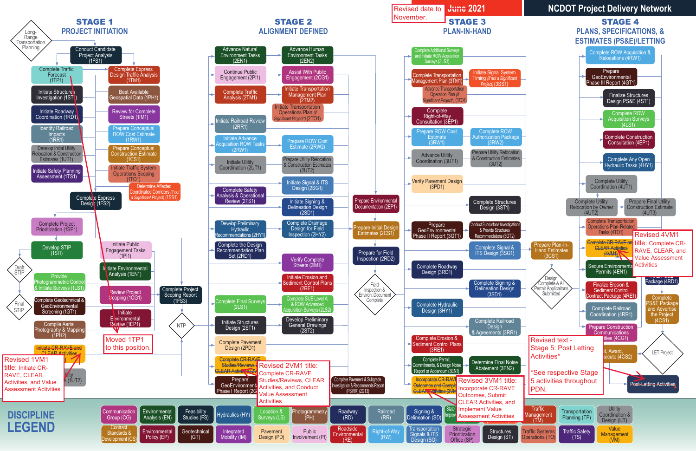

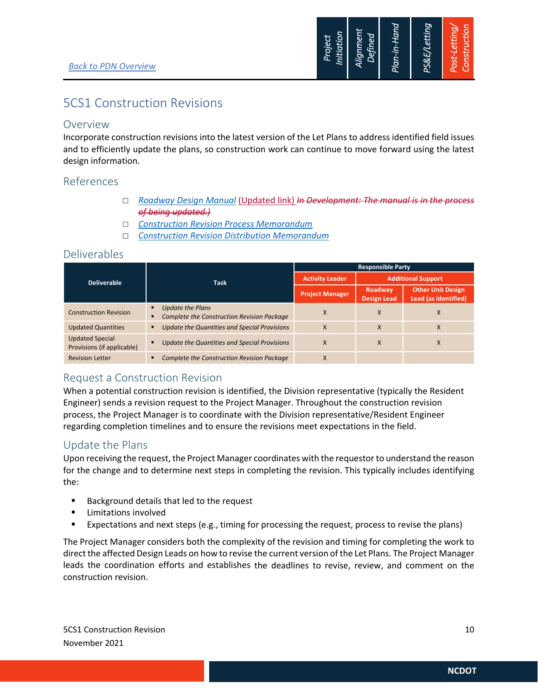

## 5CS1 Construction Revisions

### Overview

Incorporate construction revisions into the latest version of the Let Plans to address identified field issues and to efficiently update the plans, so construction work can continue to move forward using the latest design information.

## References

- *Roadway Design Manual* (Updated link) *In Development: The manual is in the process of being updated.)*
- *Construction Revision Process Memorandum*
- *Construction Revision Distribution Memorandum*

## Deliverables

|                                                      | <b>Task</b>                                                                  | <b>Responsible Party</b> |                               |                                                  |
|------------------------------------------------------|------------------------------------------------------------------------------|--------------------------|-------------------------------|--------------------------------------------------|
| <b>Deliverable</b>                                   |                                                                              | <b>Activity Leader</b>   |                               | <b>Additional Support</b>                        |
|                                                      |                                                                              | <b>Project Manager</b>   | Roadway<br><b>Design Lead</b> | <b>Other Unit Design</b><br>Lead (as identified) |
| <b>Construction Revision</b>                         | <b>Update the Plans</b><br><b>Complete the Construction Revision Package</b> | X                        | X                             | ⋏                                                |
| <b>Updated Quantities</b>                            | Update the Quantities and Special Provisions                                 | X                        | X                             | Χ                                                |
| <b>Updated Special</b><br>Provisions (if applicable) | <b>Update the Quantities and Special Provisions</b>                          | X                        | X                             | Χ                                                |
| <b>Revision Letter</b>                               | <b>Complete the Construction Revision Package</b>                            | X                        |                               |                                                  |

## Request a Construction Revision

When a potential construction revision is identified, the Division representative (typically the Resident Engineer) sends a revision request to the Project Manager. Throughout the construction revision process, the Project Manager is to coordinate with the Division representative/Resident Engineer regarding completion timelines and to ensure the revisions meet expectations in the field.

## Update the Plans

Upon receiving the request, the Project Manager coordinates with the requestorto understand the reason for the change and to determine next steps in completing the revision. This typically includes identifying the:

- **Background details that led to the request**
- **E** Limitations involved
- Expectations and next steps (e.g., timing for processing the request, process to revise the plans)

The Project Manager considers both the complexity of the revision and timing for completing the work to direct the affected Design Leads on how to revise the current version of the Let Plans. The Project Manager leads the coordination efforts and establishes the deadlines to revise, review, and comment on the construction revision.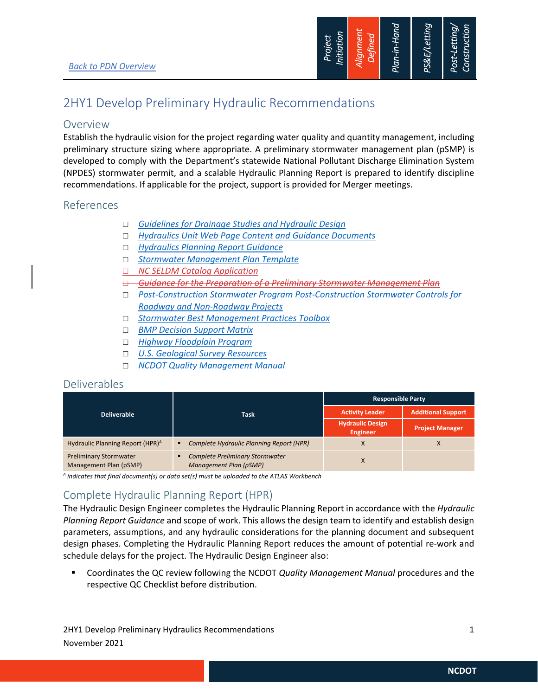

## 2HY1 Develop Preliminary Hydraulic Recommendations

### Overview

Establish the hydraulic vision for the project regarding water quality and quantity management, including preliminary structure sizing where appropriate. A preliminary stormwater management plan (pSMP) is developed to comply with the Department's statewide National Pollutant Discharge Elimination System (NPDES) stormwater permit, and a scalable Hydraulic Planning Report is prepared to identify discipline recommendations. If applicable for the project, support is provided for Merger meetings.

## References

- *Guidelines for Drainage Studies and Hydraulic Design*
- *Hydraulics Unit Web Page Content and Guidance Documents*
- *Hydraulics Planning Report Guidance*
- *Stormwater Management Plan Template*
- *NC SELDM Catalog Application*
- *Guidance for the Preparation of a Preliminary Stormwater Management Plan*
- *Post-Construction Stormwater Program Post-Construction Stormwater Controls for Roadway and Non-Roadway Projects*
- *Stormwater Best Management Practices Toolbox*
- *BMP Decision Support Matrix*
- *Highway Floodplain Program*
- *U.S. Geological Survey Resources*
- *NCDOT Quality Management Manual*

## Deliverables

|                                                         |                                                                  | <b>Responsible Party</b>                   |                           |
|---------------------------------------------------------|------------------------------------------------------------------|--------------------------------------------|---------------------------|
| <b>Deliverable</b>                                      | Task                                                             | <b>Activity Leader</b>                     | <b>Additional Support</b> |
|                                                         |                                                                  | <b>Hydraulic Design</b><br><b>Engineer</b> | <b>Project Manager</b>    |
| Hydraulic Planning Report (HPR) <sup>A</sup>            | Complete Hydraulic Planning Report (HPR)                         | v                                          | л                         |
| <b>Preliminary Stormwater</b><br>Management Plan (pSMP) | <b>Complete Preliminary Stormwater</b><br>Management Plan (pSMP) |                                            |                           |

*A indicates that final document(s) or data set(s) must be uploaded to the ATLAS Workbench* 

## Complete Hydraulic Planning Report (HPR)

The Hydraulic Design Engineer completes the Hydraulic Planning Report in accordance with the *Hydraulic Planning Report Guidance* and scope of work. This allows the design team to identify and establish design parameters, assumptions, and any hydraulic considerations for the planning document and subsequent design phases. Completing the Hydraulic Planning Report reduces the amount of potential re-work and schedule delays for the project. The Hydraulic Design Engineer also:

 Coordinates the QC review following the NCDOT *Quality Management Manual* procedures and the respective QC Checklist before distribution.

2HY1 Develop Preliminary Hydraulics Recommendations 1 November 2021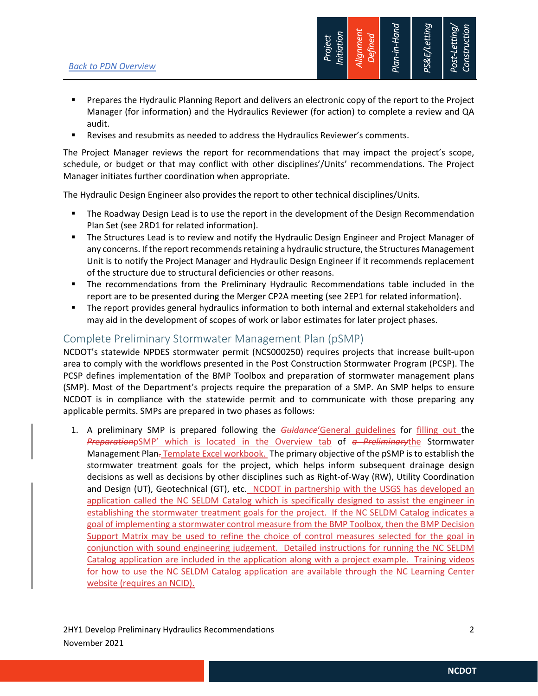

- Prepares the Hydraulic Planning Report and delivers an electronic copy of the report to the Project Manager (for information) and the Hydraulics Reviewer (for action) to complete a review and QA audit.
- Revises and resubmits as needed to address the Hydraulics Reviewer's comments.

The Project Manager reviews the report for recommendations that may impact the project's scope, schedule, or budget or that may conflict with other disciplines'/Units' recommendations. The Project Manager initiates further coordination when appropriate.

The Hydraulic Design Engineer also provides the report to other technical disciplines/Units.

- The Roadway Design Lead is to use the report in the development of the Design Recommendation Plan Set (see 2RD1 for related information).
- The Structures Lead is to review and notify the Hydraulic Design Engineer and Project Manager of any concerns. If the report recommends retaining a hydraulic structure, the Structures Management Unit is to notify the Project Manager and Hydraulic Design Engineer if it recommends replacement of the structure due to structural deficiencies or other reasons.
- The recommendations from the Preliminary Hydraulic Recommendations table included in the report are to be presented during the Merger CP2A meeting (see 2EP1 for related information).
- The report provides general hydraulics information to both internal and external stakeholders and may aid in the development of scopes of work or labor estimates for later project phases.

## Complete Preliminary Stormwater Management Plan (pSMP)

NCDOT's statewide NPDES stormwater permit (NCS000250) requires projects that increase built-upon area to comply with the workflows presented in the Post Construction Stormwater Program (PCSP). The PCSP defines implementation of the BMP Toolbox and preparation of stormwater management plans (SMP). Most of the Department's projects require the preparation of a SMP. An SMP helps to ensure NCDOT is in compliance with the statewide permit and to communicate with those preparing any applicable permits. SMPs are prepared in two phases as follows:

1. A preliminary SMP is prepared following the *Guidance*'General guidelines for filling out the *Preparation*pSMP' which is located in the Overview tab of *a Preliminary*the Stormwater Management Plan-Template Excel workbook. The primary objective of the pSMP is to establish the stormwater treatment goals for the project, which helps inform subsequent drainage design decisions as well as decisions by other disciplines such as Right-of-Way (RW), Utility Coordination and Design (UT), Geotechnical (GT), etc. NCDOT in partnership with the USGS has developed an application called the NC SELDM Catalog which is specifically designed to assist the engineer in establishing the stormwater treatment goals for the project. If the NC SELDM Catalog indicates a goal of implementing a stormwater control measure from the BMP Toolbox, then the BMP Decision Support Matrix may be used to refine the choice of control measures selected for the goal in conjunction with sound engineering judgement. Detailed instructions for running the NC SELDM Catalog application are included in the application along with a project example. Training videos for how to use the NC SELDM Catalog application are available through the NC Learning Center website (requires an NCID).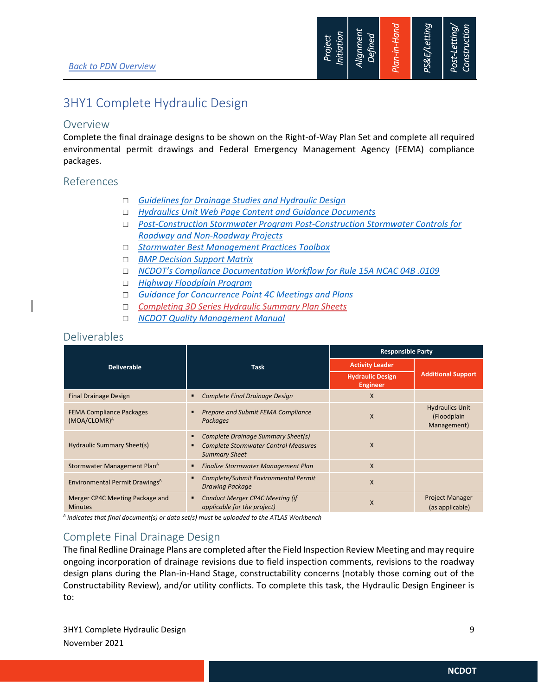

## 3HY1 Complete Hydraulic Design

#### Overview

Complete the final drainage designs to be shown on the Right-of-Way Plan Set and complete all required environmental permit drawings and Federal Emergency Management Agency (FEMA) compliance packages.

### References

- *Guidelines for Drainage Studies and Hydraulic Design*
- *Hydraulics Unit Web Page Content and Guidance Documents*
- *Post-Construction Stormwater Program Post-Construction Stormwater Controls for Roadway and Non-Roadway Projects*
- *Stormwater Best Management Practices Toolbox*
- *BMP Decision Support Matrix*
- *NCDOT's Compliance Documentation Workflow for Rule 15A NCAC 04B .0109*
- *Highway Floodplain Program*
- *Guidance for Concurrence Point 4C Meetings and Plans*
- *Completing 3D Series Hydraulic Summary Plan Sheets*
- *NCDOT Quality Management Manual*

### Deliverables

|                                                             |                                                                                                           | <b>Responsible Party</b>                   |                                                      |
|-------------------------------------------------------------|-----------------------------------------------------------------------------------------------------------|--------------------------------------------|------------------------------------------------------|
| <b>Deliverable</b>                                          | Task                                                                                                      | <b>Activity Leader</b>                     |                                                      |
|                                                             |                                                                                                           | <b>Hydraulic Design</b><br><b>Engineer</b> | <b>Additional Support</b>                            |
| <b>Final Drainage Design</b>                                | Complete Final Drainage Design                                                                            | X                                          |                                                      |
| <b>FEMA Compliance Packages</b><br>(MOA/CLOMR) <sup>A</sup> | Prepare and Submit FEMA Compliance<br>Packages                                                            | X                                          | <b>Hydraulics Unit</b><br>(Floodplain<br>Management) |
| Hydraulic Summary Sheet(s)                                  | Complete Drainage Summary Sheet(s)<br><b>Complete Stormwater Control Measures</b><br><b>Summary Sheet</b> | X                                          |                                                      |
| Stormwater Management Plan <sup>A</sup>                     | Finalize Stormwater Management Plan                                                                       | X                                          |                                                      |
| Environmental Permit Drawings <sup>A</sup>                  | Complete/Submit Environmental Permit<br><b>Drawing Package</b>                                            | X                                          |                                                      |
| Merger CP4C Meeting Package and<br><b>Minutes</b>           | <b>Conduct Merger CP4C Meeting (if</b><br>applicable for the project)                                     | X                                          | <b>Project Manager</b><br>(as applicable)            |

*A indicates that final document(s) or data set(s) must be uploaded to the ATLAS Workbench* 

## Complete Final Drainage Design

The final Redline Drainage Plans are completed after the Field Inspection Review Meeting and may require ongoing incorporation of drainage revisions due to field inspection comments, revisions to the roadway design plans during the Plan-in-Hand Stage, constructability concerns (notably those coming out of the Constructability Review), and/or utility conflicts. To complete this task, the Hydraulic Design Engineer is to:

3HY1 Complete Hydraulic Design 9 November 2021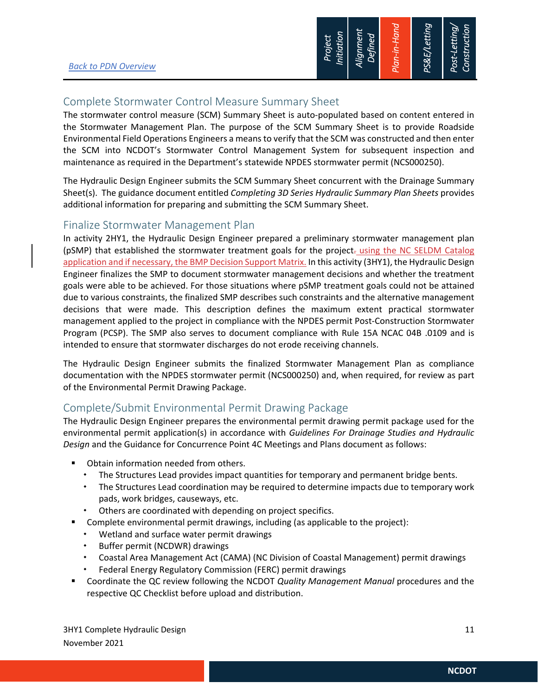

## Complete Stormwater Control Measure Summary Sheet

The stormwater control measure (SCM) Summary Sheet is auto-populated based on content entered in the Stormwater Management Plan. The purpose of the SCM Summary Sheet is to provide Roadside Environmental Field Operations Engineers a means to verify that the SCM was constructed and then enter the SCM into NCDOT's Stormwater Control Management System for subsequent inspection and maintenance as required in the Department's statewide NPDES stormwater permit (NCS000250).

The Hydraulic Design Engineer submits the SCM Summary Sheet concurrent with the Drainage Summary Sheet(s). The guidance document entitled *Completing 3D Series Hydraulic Summary Plan Sheets* provides additional information for preparing and submitting the SCM Summary Sheet.

### Finalize Stormwater Management Plan

In activity 2HY1, the Hydraulic Design Engineer prepared a preliminary stormwater management plan (pSMP) that established the stormwater treatment goals for the project-using the NC SELDM Catalog application and if necessary, the BMP Decision Support Matrix. In this activity (3HY1), the Hydraulic Design Engineer finalizes the SMP to document stormwater management decisions and whether the treatment goals were able to be achieved. For those situations where pSMP treatment goals could not be attained due to various constraints, the finalized SMP describes such constraints and the alternative management decisions that were made. This description defines the maximum extent practical stormwater management applied to the project in compliance with the NPDES permit Post-Construction Stormwater Program (PCSP). The SMP also serves to document compliance with Rule 15A NCAC 04B .0109 and is intended to ensure that stormwater discharges do not erode receiving channels.

The Hydraulic Design Engineer submits the finalized Stormwater Management Plan as compliance documentation with the NPDES stormwater permit (NCS000250) and, when required, for review as part of the Environmental Permit Drawing Package.

## Complete/Submit Environmental Permit Drawing Package

The Hydraulic Design Engineer prepares the environmental permit drawing permit package used for the environmental permit application(s) in accordance with *Guidelines For Drainage Studies and Hydraulic Design* and the Guidance for Concurrence Point 4C Meetings and Plans document as follows:

- Obtain information needed from others.
	- The Structures Lead provides impact quantities for temporary and permanent bridge bents.
	- The Structures Lead coordination may be required to determine impacts due to temporary work pads, work bridges, causeways, etc.
	- Others are coordinated with depending on project specifics.
- Complete environmental permit drawings, including (as applicable to the project):
	- Wetland and surface water permit drawings
	- \* Buffer permit (NCDWR) drawings
	- Coastal Area Management Act (CAMA) (NC Division of Coastal Management) permit drawings
	- Federal Energy Regulatory Commission (FERC) permit drawings
- Coordinate the QC review following the NCDOT *Quality Management Manual* procedures and the respective QC Checklist before upload and distribution.

3HY1 Complete Hydraulic Design 11 and 2008 12 and 2009 12 and 2009 12 and 2009 12 and 2009 12 and 2009 12 and 2009 12 and 2009 12 and 2009 12 and 2009 12 and 2009 12 and 2009 12 and 2009 12 and 2009 12 and 2009 12 and 2009 November 2021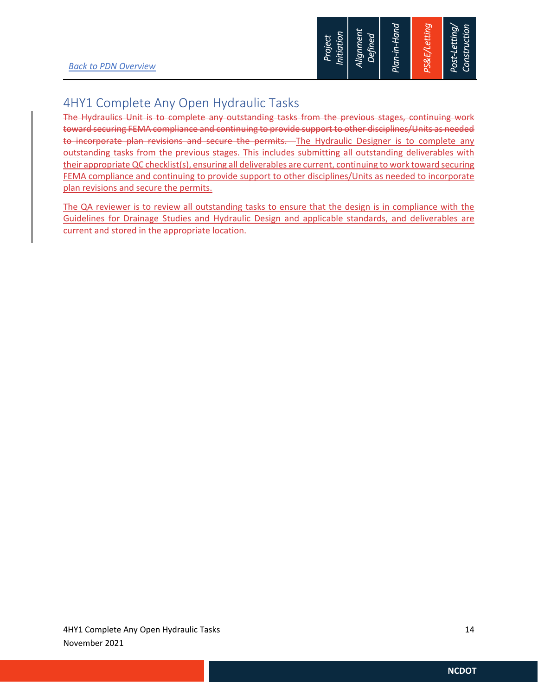## 4HY1 Complete Any Open Hydraulic Tasks

The Hydraulics Unit is to complete any outstanding tasks from the previous stages, continuing work toward securing FEMA compliance and continuing to provide support to other disciplines/Units as needed to incorporate plan revisions and secure the permits. The Hydraulic Designer is to complete any outstanding tasks from the previous stages. This includes submitting all outstanding deliverables with their appropriate QC checklist(s), ensuring all deliverables are current, continuing to work toward securing FEMA compliance and continuing to provide support to other disciplines/Units as needed to incorporate plan revisions and secure the permits.

The QA reviewer is to review all outstanding tasks to ensure that the design is in compliance with the Guidelines for Drainage Studies and Hydraulic Design and applicable standards, and deliverables are current and stored in the appropriate location.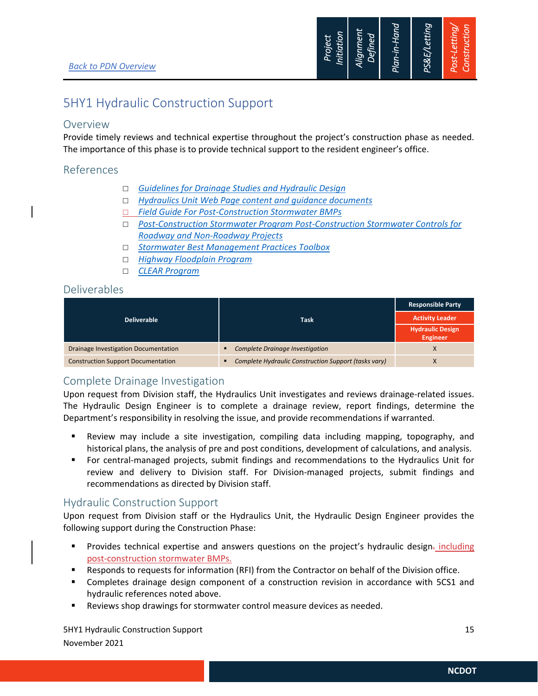

## 5HY1 Hydraulic Construction Support

### Overview

Provide timely reviews and technical expertise throughout the project's construction phase as needed. The importance of this phase is to provide technical support to the resident engineer's office.

### References

- *Guidelines for Drainage Studies and Hydraulic Design*
- *Hydraulics Unit Web Page content and guidance documents*
- *Field Guide For Post-Construction Stormwater BMPs*
- *Post-Construction Stormwater Program Post-Construction Stormwater Controls for Roadway and Non-Roadway Projects*
- *Stormwater Best Management Practices Toolbox*
- *Highway Floodplain Program*
- *CLEAR Program*

## Deliverables

|                                           |                                                                        | <b>Responsible Party</b>                   |
|-------------------------------------------|------------------------------------------------------------------------|--------------------------------------------|
| <b>Deliverable</b>                        | <b>Task</b>                                                            | <b>Activity Leader</b>                     |
|                                           |                                                                        | <b>Hydraulic Design</b><br><b>Engineer</b> |
| Drainage Investigation Documentation      | <b>Complete Drainage Investigation</b><br>٠                            |                                            |
| <b>Construction Support Documentation</b> | Complete Hydraulic Construction Support (tasks vary)<br>$\blacksquare$ |                                            |

## Complete Drainage Investigation

Upon request from Division staff, the Hydraulics Unit investigates and reviews drainage-related issues. The Hydraulic Design Engineer is to complete a drainage review, report findings, determine the Department's responsibility in resolving the issue, and provide recommendations if warranted.

- Review may include a site investigation, compiling data including mapping, topography, and historical plans, the analysis of pre and post conditions, development of calculations, and analysis.
- For central-managed projects, submit findings and recommendations to the Hydraulics Unit for review and delivery to Division staff. For Division-managed projects, submit findings and recommendations as directed by Division staff.

## Hydraulic Construction Support

Upon request from Division staff or the Hydraulics Unit, the Hydraulic Design Engineer provides the following support during the Construction Phase:

- **Provides technical expertise and answers questions on the project's hydraulic design-** including post-construction stormwater BMPs.
- Responds to requests for information (RFI) from the Contractor on behalf of the Division office.
- Completes drainage design component of a construction revision in accordance with 5CS1 and hydraulic references noted above.
- Reviews shop drawings for stormwater control measure devices as needed.

SHY1 Hydraulic Construction Support 15 and 15 and 15 and 15 and 15 and 15 and 15 and 15 and 15 and 15 and 15 and 15 and 15 and 15 and 15 and 15 and 15 and 15 and 15 and 15 and 15 and 16 and 16 and 16 and 16 and 16 and 16 a November 2021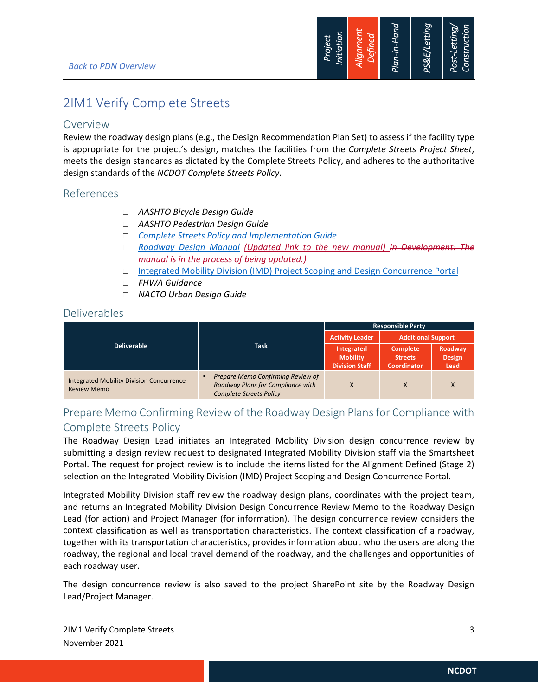

## 2IM1 Verify Complete Streets

### Overview

Review the roadway design plans (e.g., the Design Recommendation Plan Set) to assess if the facility type is appropriate for the project's design, matches the facilities from the *Complete Streets Project Sheet*, meets the design standards as dictated by the Complete Streets Policy, and adheres to the authoritative design standards of the *NCDOT Complete Streets Policy*.

### References

- *AASHTO Bicycle Design Guide*
- *AASHTO Pedestrian Design Guide*
- *Complete Streets Policy and Implementation Guide*
- *Roadway Design Manual (Updated link to the new manual) In Development: The manual is in the process of being updated.)*
- □ Integrated Mobility Division (IMD) Project Scoping and Design Concurrence Portal
- *FHWA Guidance*
- *NACTO Urban Design Guide*

## Deliverables

|                                                                       |                                                                                                               | <b>Responsible Party</b><br><b>Additional Support</b><br><b>Activity Leader</b> |                                                         |                                  |
|-----------------------------------------------------------------------|---------------------------------------------------------------------------------------------------------------|---------------------------------------------------------------------------------|---------------------------------------------------------|----------------------------------|
|                                                                       |                                                                                                               |                                                                                 |                                                         |                                  |
| <b>Deliverable</b>                                                    | <b>Task</b>                                                                                                   | Integrated<br><b>Mobility</b><br><b>Division Staff</b>                          | <b>Complete</b><br><b>Streets</b><br><b>Coordinator</b> | Roadway<br><b>Design</b><br>Lead |
| <b>Integrated Mobility Division Concurrence</b><br><b>Review Memo</b> | Prepare Memo Confirming Review of<br>п<br>Roadway Plans for Compliance with<br><b>Complete Streets Policy</b> | X                                                                               |                                                         | X                                |

## Prepare Memo Confirming Review of the Roadway Design Plansfor Compliance with Complete Streets Policy

The Roadway Design Lead initiates an Integrated Mobility Division design concurrence review by submitting a design review request to designated Integrated Mobility Division staff via the Smartsheet Portal. The request for project review is to include the items listed for the Alignment Defined (Stage 2) selection on the Integrated Mobility Division (IMD) Project Scoping and Design Concurrence Portal.

Integrated Mobility Division staff review the roadway design plans, coordinates with the project team, and returns an Integrated Mobility Division Design Concurrence Review Memo to the Roadway Design Lead (for action) and Project Manager (for information). The design concurrence review considers the context classification as well as transportation characteristics. The context classification of a roadway, together with its transportation characteristics, provides information about who the users are along the roadway, the regional and local travel demand of the roadway, and the challenges and opportunities of each roadway user.

The design concurrence review is also saved to the project SharePoint site by the Roadway Design Lead/Project Manager.

2IM1 Verify Complete Streets 3 November 2021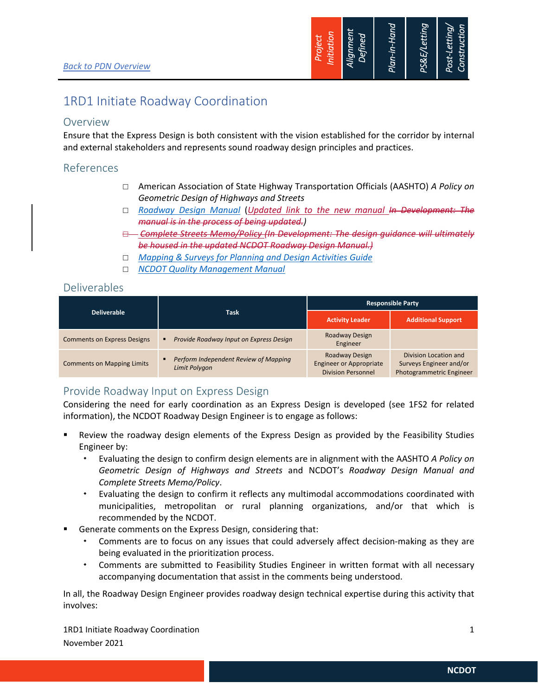

## 1RD1 Initiate Roadway Coordination

## Overview

Ensure that the Express Design is both consistent with the vision established for the corridor by internal and external stakeholders and represents sound roadway design principles and practices.

## References

- American Association of State Highway Transportation Officials (AASHTO) *A Policy on Geometric Design of Highways and Streets*
- *Roadway Design Manual* (*Updated link to the new manual In Development: The manual is in the process of being updated.)*
- *Complete Streets Memo/Policy (In Development: The design guidance will ultimately be housed in the updated NCDOT Roadway Design Manual.)*
- *Mapping & Surveys for Planning and Design Activities Guide*
- *NCDOT Quality Management Manual*

## Deliverables

| <b>Deliverable</b>                 | <b>Task</b>                                            | <b>Responsible Party</b>                                                      |                                                                              |
|------------------------------------|--------------------------------------------------------|-------------------------------------------------------------------------------|------------------------------------------------------------------------------|
|                                    |                                                        | <b>Activity Leader</b>                                                        | <b>Additional Support</b>                                                    |
| <b>Comments on Express Designs</b> | Provide Roadway Input on Express Design<br>в           | Roadway Design<br>Engineer                                                    |                                                                              |
| <b>Comments on Mapping Limits</b>  | Perform Independent Review of Mapping<br>Limit Polygon | Roadway Design<br><b>Engineer or Appropriate</b><br><b>Division Personnel</b> | Division Location and<br>Surveys Engineer and/or<br>Photogrammetric Engineer |

## Provide Roadway Input on Express Design

Considering the need for early coordination as an Express Design is developed (see 1FS2 for related information), the NCDOT Roadway Design Engineer is to engage as follows:

- Review the roadway design elements of the Express Design as provided by the Feasibility Studies Engineer by:
	- Evaluating the design to confirm design elements are in alignment with the AASHTO *A Policy on Geometric Design of Highways and Streets* and NCDOT's *Roadway Design Manual and Complete Streets Memo/Policy*.
	- Evaluating the design to confirm it reflects any multimodal accommodations coordinated with municipalities, metropolitan or rural planning organizations, and/or that which is recommended by the NCDOT.
- Generate comments on the Express Design, considering that:
	- Comments are to focus on any issues that could adversely affect decision‐making as they are being evaluated in the prioritization process.
	- Comments are submitted to Feasibility Studies Engineer in written format with all necessary accompanying documentation that assist in the comments being understood.

In all, the Roadway Design Engineer provides roadway design technical expertise during this activity that involves:

1RD1 Initiate Roadway Coordination **1** November 2021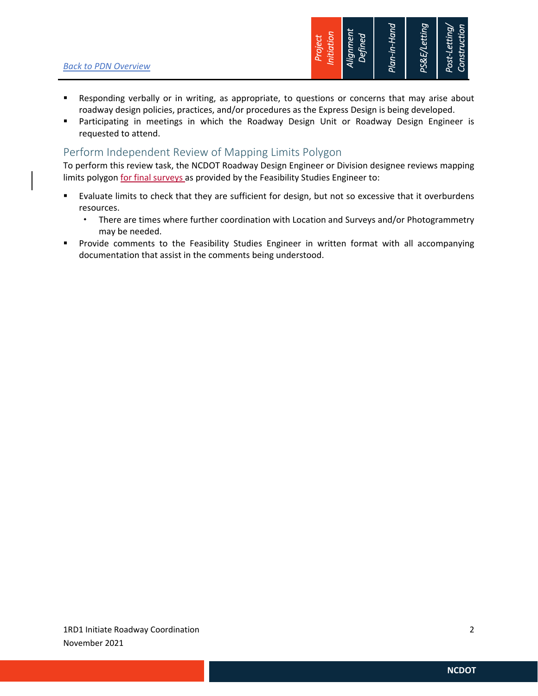

- Responding verbally or in writing, as appropriate, to questions or concerns that may arise about roadway design policies, practices, and/or procedures as the Express Design is being developed.
- Participating in meetings in which the Roadway Design Unit or Roadway Design Engineer is requested to attend.

### Perform Independent Review of Mapping Limits Polygon

To perform this review task, the NCDOT Roadway Design Engineer or Division designee reviews mapping limits polygon for final surveys as provided by the Feasibility Studies Engineer to:

- Evaluate limits to check that they are sufficient for design, but not so excessive that it overburdens resources.
	- There are times where further coordination with Location and Surveys and/or Photogrammetry may be needed.
- **Provide comments to the Feasibility Studies Engineer in written format with all accompanying** documentation that assist in the comments being understood.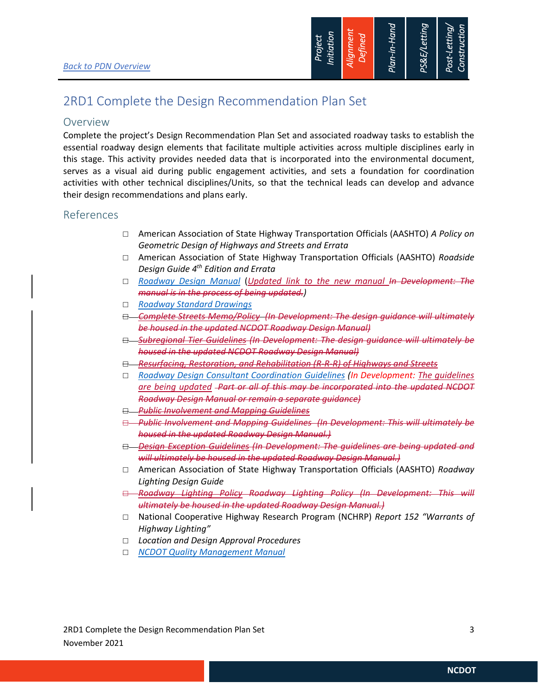

## 2RD1 Complete the Design Recommendation Plan Set

### Overview

Complete the project's Design Recommendation Plan Set and associated roadway tasks to establish the essential roadway design elements that facilitate multiple activities across multiple disciplines early in this stage. This activity provides needed data that is incorporated into the environmental document, serves as a visual aid during public engagement activities, and sets a foundation for coordination activities with other technical disciplines/Units, so that the technical leads can develop and advance their design recommendations and plans early.

### References

- American Association of State Highway Transportation Officials (AASHTO) *A Policy on Geometric Design of Highways and Streets and Errata*
- American Association of State Highway Transportation Officials (AASHTO) *Roadside Design Guide 4th Edition and Errata*
- *Roadway Design Manual* (*Updated link to the new manual In Development: The manual is in the process of being updated.)*
- *Roadway Standard Drawings*
- *Complete Streets Memo/Policy (In Development: The design guidance will ultimately be housed in the updated NCDOT Roadway Design Manual)*
- *Subregional Tier Guidelines (In Development: The design guidance will ultimately be housed in the updated NCDOT Roadway Design Manual)*
- *Resurfacing, Restoration, and Rehabilitation (R‐R‐R) of Highways and Streets*
- *Roadway Design Consultant Coordination Guidelines (In Development: The guidelines are being updated Part or all of this may be incorporated into the updated NCDOT Roadway Design Manual or remain a separate guidance)*
- *Public Involvement and Mapping Guidelines*
- *Public Involvement and Mapping Guidelines (In Development: This will ultimately be housed in the updated Roadway Design Manual.)*
- *Design Exception Guidelines (In Development: The guidelines are being updated and will ultimately be housed in the updated Roadway Design Manual.)*
- American Association of State Highway Transportation Officials (AASHTO) *Roadway Lighting Design Guide*
- *Roadway Lighting Policy Roadway Lighting Policy (In Development: This will ultimately be housed in the updated Roadway Design Manual.)*
- National Cooperative Highway Research Program (NCHRP) *Report 152 "Warrants of Highway Lighting"*
- *Location and Design Approval Procedures*
- *NCDOT Quality Management Manual*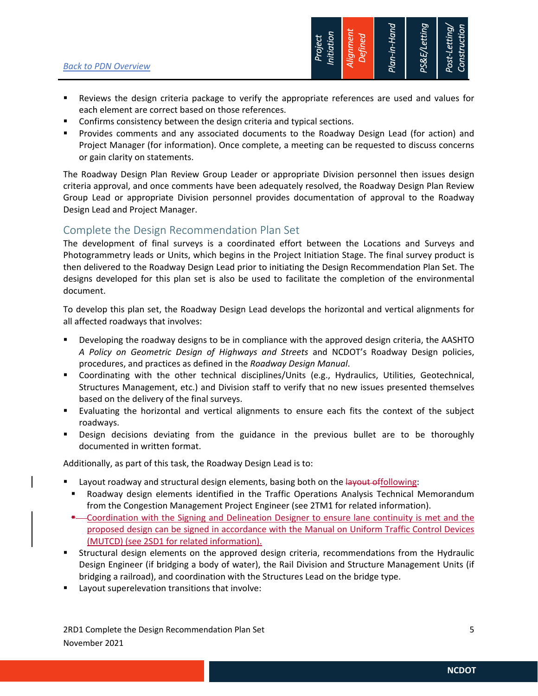

- Reviews the design criteria package to verify the appropriate references are used and values for each element are correct based on those references.
- Confirms consistency between the design criteria and typical sections.
- Provides comments and any associated documents to the Roadway Design Lead (for action) and Project Manager (for information). Once complete, a meeting can be requested to discuss concerns or gain clarity on statements.

The Roadway Design Plan Review Group Leader or appropriate Division personnel then issues design criteria approval, and once comments have been adequately resolved, the Roadway Design Plan Review Group Lead or appropriate Division personnel provides documentation of approval to the Roadway Design Lead and Project Manager.

### Complete the Design Recommendation Plan Set

The development of final surveys is a coordinated effort between the Locations and Surveys and Photogrammetry leads or Units, which begins in the Project Initiation Stage. The final survey product is then delivered to the Roadway Design Lead prior to initiating the Design Recommendation Plan Set. The designs developed for this plan set is also be used to facilitate the completion of the environmental document.

To develop this plan set, the Roadway Design Lead develops the horizontal and vertical alignments for all affected roadways that involves:

- Developing the roadway designs to be in compliance with the approved design criteria, the AASHTO *A Policy on Geometric Design of Highways and Streets* and NCDOT's Roadway Design policies, procedures, and practices as defined in the *Roadway Design Manual*.
- Coordinating with the other technical disciplines/Units (e.g., Hydraulics, Utilities, Geotechnical, Structures Management, etc.) and Division staff to verify that no new issues presented themselves based on the delivery of the final surveys.
- Evaluating the horizontal and vertical alignments to ensure each fits the context of the subject roadways.
- Design decisions deviating from the guidance in the previous bullet are to be thoroughly documented in written format.

Additionally, as part of this task, the Roadway Design Lead is to:

- Layout roadway and structural design elements, basing both on the layout offollowing:
	- Roadway design elements identified in the Traffic Operations Analysis Technical Memorandum from the Congestion Management Project Engineer (see 2TM1 for related information).
	- \*- Coordination with the Signing and Delineation Designer to ensure lane continuity is met and the proposed design can be signed in accordance with the Manual on Uniform Traffic Control Devices (MUTCD) (see 2SD1 for related information).
- Structural design elements on the approved design criteria, recommendations from the Hydraulic Design Engineer (if bridging a body of water), the Rail Division and Structure Management Units (if bridging a railroad), and coordination with the Structures Lead on the bridge type.
- Layout superelevation transitions that involve:

2RD1 Complete the Design Recommendation Plan Set **5** <sup>5</sup> November 2021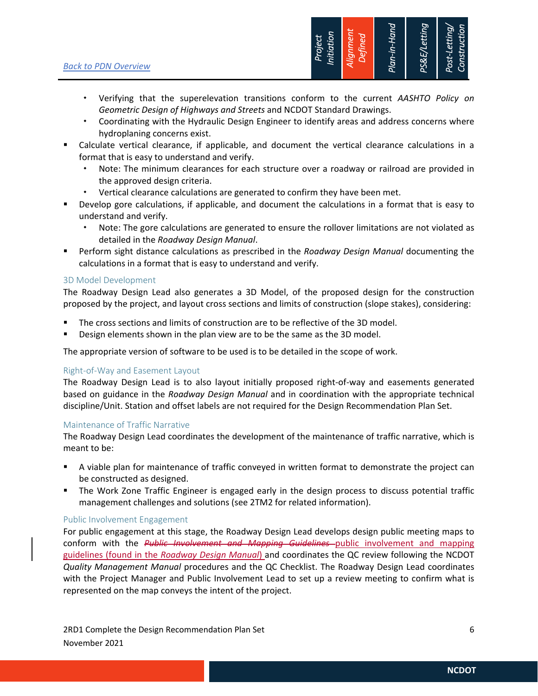*Back to PDN Overview*



- Verifying that the superelevation transitions conform to the current *AASHTO Policy on Geometric Design of Highways and Streets* and NCDOT Standard Drawings.
- Coordinating with the Hydraulic Design Engineer to identify areas and address concerns where hydroplaning concerns exist.
- Calculate vertical clearance, if applicable, and document the vertical clearance calculations in a format that is easy to understand and verify.
	- Note: The minimum clearances for each structure over a roadway or railroad are provided in the approved design criteria.
	- Vertical clearance calculations are generated to confirm they have been met.
- Develop gore calculations, if applicable, and document the calculations in a format that is easy to understand and verify.
	- Note: The gore calculations are generated to ensure the rollover limitations are not violated as detailed in the *Roadway Design Manual*.
- Perform sight distance calculations as prescribed in the *Roadway Design Manual* documenting the calculations in a format that is easy to understand and verify.

#### 3D Model Development

The Roadway Design Lead also generates a 3D Model, of the proposed design for the construction proposed by the project, and layout cross sections and limits of construction (slope stakes), considering:

- The cross sections and limits of construction are to be reflective of the 3D model.
- Design elements shown in the plan view are to be the same as the 3D model.

The appropriate version of software to be used is to be detailed in the scope of work.

#### Right‐of‐Way and Easement Layout

The Roadway Design Lead is to also layout initially proposed right‐of‐way and easements generated based on guidance in the *Roadway Design Manual* and in coordination with the appropriate technical discipline/Unit. Station and offset labels are not required for the Design Recommendation Plan Set.

#### Maintenance of Traffic Narrative

The Roadway Design Lead coordinates the development of the maintenance of traffic narrative, which is meant to be:

- A viable plan for maintenance of traffic conveyed in written format to demonstrate the project can be constructed as designed.
- **The Work Zone Traffic Engineer is engaged early in the design process to discuss potential traffic** management challenges and solutions (see 2TM2 for related information).

#### Public Involvement Engagement

For public engagement at this stage, the Roadway Design Lead develops design public meeting maps to conform with the *Public Involvement and Mapping Guidelines* public involvement and mapping guidelines (found in the *Roadway Design Manual*) and coordinates the QC review following the NCDOT *Quality Management Manual* procedures and the QC Checklist. The Roadway Design Lead coordinates with the Project Manager and Public Involvement Lead to set up a review meeting to confirm what is represented on the map conveys the intent of the project.

2RD1 Complete the Design Recommendation Plan Set 6 November 2021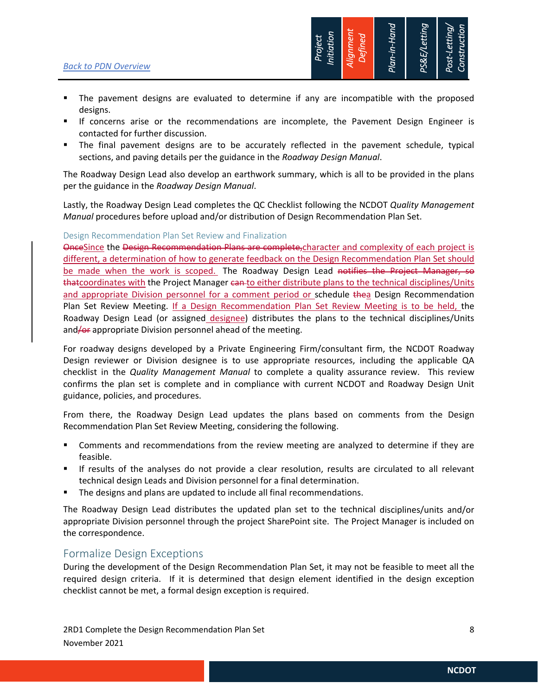

- The pavement designs are evaluated to determine if any are incompatible with the proposed designs.
- If concerns arise or the recommendations are incomplete, the Pavement Design Engineer is contacted for further discussion.
- The final pavement designs are to be accurately reflected in the pavement schedule, typical sections, and paving details per the guidance in the *Roadway Design Manual*.

The Roadway Design Lead also develop an earthwork summary, which is all to be provided in the plans per the guidance in the *Roadway Design Manual*.

Lastly, the Roadway Design Lead completes the QC Checklist following the NCDOT *Quality Management Manual* procedures before upload and/or distribution of Design Recommendation Plan Set.

#### Design Recommendation Plan Set Review and Finalization

OnceSince the Design Recommendation Plans are complete,character and complexity of each project is different, a determination of how to generate feedback on the Design Recommendation Plan Set should be made when the work is scoped. The Roadway Design Lead notifies the Project Manager, so thatcoordinates with the Project Manager can to either distribute plans to the technical disciplines/Units and appropriate Division personnel for a comment period or schedule thea Design Recommendation Plan Set Review Meeting. If a Design Recommendation Plan Set Review Meeting is to be held, the Roadway Design Lead (or assigned designee) distributes the plans to the technical disciplines/Units and/of appropriate Division personnel ahead of the meeting.

For roadway designs developed by a Private Engineering Firm/consultant firm, the NCDOT Roadway Design reviewer or Division designee is to use appropriate resources, including the applicable QA checklist in the *Quality Management Manual* to complete a quality assurance review. This review confirms the plan set is complete and in compliance with current NCDOT and Roadway Design Unit guidance, policies, and procedures.

From there, the Roadway Design Lead updates the plans based on comments from the Design Recommendation Plan Set Review Meeting, considering the following.

- Comments and recommendations from the review meeting are analyzed to determine if they are feasible.
- If results of the analyses do not provide a clear resolution, results are circulated to all relevant technical design Leads and Division personnel for a final determination.
- The designs and plans are updated to include all final recommendations.

The Roadway Design Lead distributes the updated plan set to the technical disciplines/units and/or appropriate Division personnel through the project SharePoint site. The Project Manager is included on the correspondence.

### Formalize Design Exceptions

During the development of the Design Recommendation Plan Set, it may not be feasible to meet all the required design criteria. If it is determined that design element identified in the design exception checklist cannot be met, a formal design exception is required.

2RD1 Complete the Design Recommendation Plan Set **8** 8 November 2021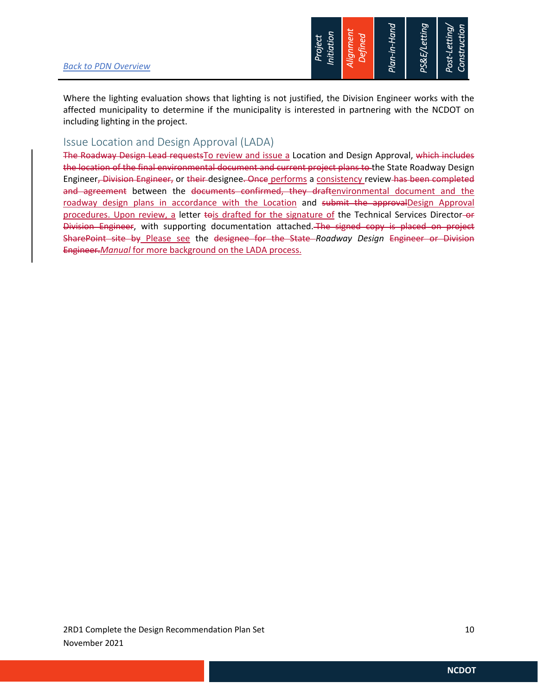

Where the lighting evaluation shows that lighting is not justified, the Division Engineer works with the affected municipality to determine if the municipality is interested in partnering with the NCDOT on including lighting in the project.

### Issue Location and Design Approval (LADA)

The Roadway Design Lead requestsTo review and issue a Location and Design Approval, which includes the location of the final environmental document and current project plans to the State Roadway Design Engineer, Division Engineer, or their designee. Once performs a consistency review has been completed and agreement between the documents confirmed, they draftenvironmental document and the roadway design plans in accordance with the Location and submit the approvalDesign Approval procedures. Upon review, a letter tois drafted for the signature of the Technical Services Director-or Division Engineer, with supporting documentation attached. The signed copy is placed on project SharePoint site by Please see the designee for the State *Roadway Design* Engineer or Division Engineer.*Manual* for more background on the LADA process.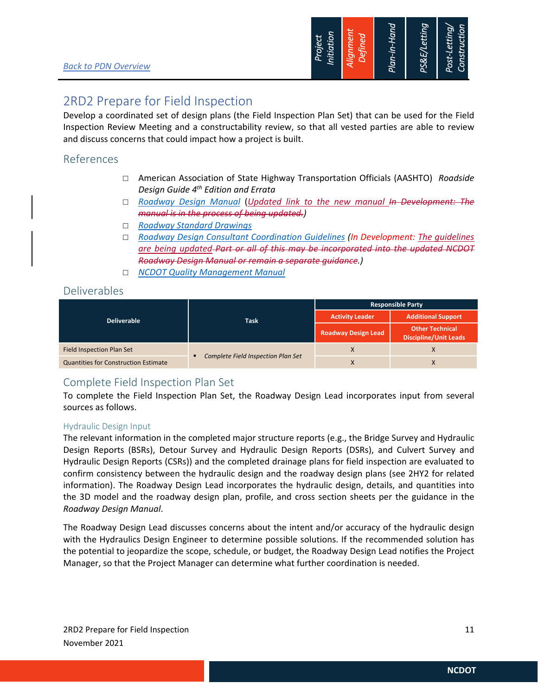

## 2RD2 Prepare for Field Inspection

Develop a coordinated set of design plans (the Field Inspection Plan Set) that can be used for the Field Inspection Review Meeting and a constructability review, so that all vested parties are able to review and discuss concerns that could impact how a project is built.

## References

- American Association of State Highway Transportation Officials (AASHTO) *Roadside Design Guide 4th Edition and Errata*
- *Roadway Design Manual* (*Updated link to the new manual In Development: The manual is in the process of being updated.)*
- *Roadway Standard Drawings*
- *Roadway Design Consultant Coordination Guidelines (In Development: The guidelines are being updated Part or all of this may be incorporated into the updated NCDOT Roadway Design Manual or remain a separate guidance.)*
- *NCDOT Quality Management Manual*

## Deliverables

|                                             |                                           | <b>Responsible Party</b>   |                                                        |  |
|---------------------------------------------|-------------------------------------------|----------------------------|--------------------------------------------------------|--|
| <b>Deliverable</b>                          | <b>Task</b>                               | <b>Activity Leader</b>     | <b>Additional Support</b>                              |  |
|                                             |                                           | <b>Roadway Design Lead</b> | <b>Other Technical</b><br><b>Discipline/Unit Leads</b> |  |
| Field Inspection Plan Set                   |                                           | X                          | X                                                      |  |
| <b>Quantities for Construction Estimate</b> | <b>Complete Field Inspection Plan Set</b> | X                          | X                                                      |  |

## Complete Field Inspection Plan Set

To complete the Field Inspection Plan Set, the Roadway Design Lead incorporates input from several sources as follows.

#### Hydraulic Design Input

The relevant information in the completed major structure reports (e.g., the Bridge Survey and Hydraulic Design Reports (BSRs), Detour Survey and Hydraulic Design Reports (DSRs), and Culvert Survey and Hydraulic Design Reports (CSRs)) and the completed drainage plans for field inspection are evaluated to confirm consistency between the hydraulic design and the roadway design plans (see 2HY2 for related information). The Roadway Design Lead incorporates the hydraulic design, details, and quantities into the 3D model and the roadway design plan, profile, and cross section sheets per the guidance in the *Roadway Design Manual*.

The Roadway Design Lead discusses concerns about the intent and/or accuracy of the hydraulic design with the Hydraulics Design Engineer to determine possible solutions. If the recommended solution has the potential to jeopardize the scope, schedule, or budget, the Roadway Design Lead notifies the Project Manager, so that the Project Manager can determine what further coordination is needed.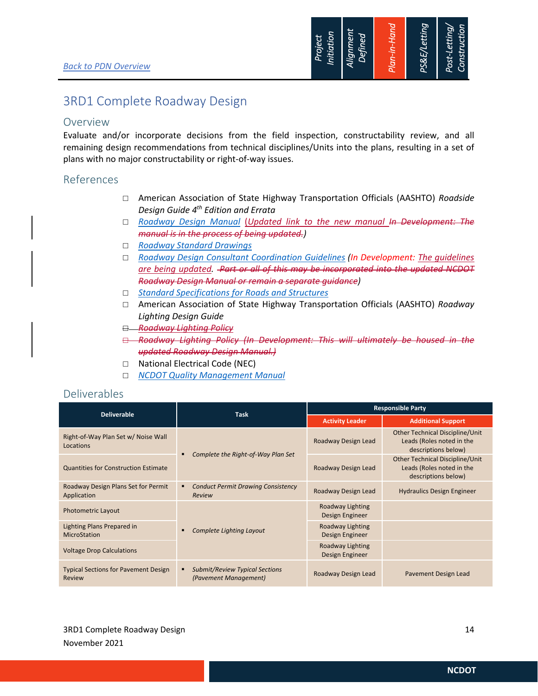

## 3RD1 Complete Roadway Design

### Overview

Evaluate and/or incorporate decisions from the field inspection, constructability review, and all remaining design recommendations from technical disciplines/Units into the plans, resulting in a set of plans with no major constructability or right‐of‐way issues.

### References

- American Association of State Highway Transportation Officials (AASHTO) *Roadside Design Guide 4th Edition and Errata*
- *Roadway Design Manual* (*Updated link to the new manual In Development: The manual is in the process of being updated.)*
- *Roadway Standard Drawings*
- *Roadway Design Consultant Coordination Guidelines (In Development: The guidelines are being updated. Part or all of this may be incorporated into the updated NCDOT Roadway Design Manual or remain a separate guidance)*
- *Standard Specifications for Roads and Structures*
- American Association of State Highway Transportation Officials (AASHTO) *Roadway Lighting Design Guide*
- *Roadway Lighting Policy*
- *Roadway Lighting Policy (In Development: This will ultimately be housed in the updated Roadway Design Manual.)*
- □ National Electrical Code (NEC)
- *NCDOT Quality Management Manual*

### Deliverables

|                                                       |                                                                     | <b>Responsible Party</b>            |                                                                                     |  |
|-------------------------------------------------------|---------------------------------------------------------------------|-------------------------------------|-------------------------------------------------------------------------------------|--|
| <b>Deliverable</b>                                    | <b>Task</b>                                                         | <b>Activity Leader</b>              | <b>Additional Support</b>                                                           |  |
| Right-of-Way Plan Set w/ Noise Wall<br>Locations      |                                                                     | Roadway Design Lead                 | Other Technical Discipline/Unit<br>Leads (Roles noted in the<br>descriptions below) |  |
| <b>Quantities for Construction Estimate</b>           | Complete the Right-of-Way Plan Set<br>٠                             | Roadway Design Lead                 | Other Technical Discipline/Unit<br>Leads (Roles noted in the<br>descriptions below) |  |
| Roadway Design Plans Set for Permit<br>Application    | <b>Conduct Permit Drawing Consistency</b><br>٠<br>Review            | Roadway Design Lead                 | <b>Hydraulics Design Engineer</b>                                                   |  |
| <b>Photometric Layout</b>                             | Complete Lighting Layout<br>٠                                       | Roadway Lighting<br>Design Engineer |                                                                                     |  |
| Lighting Plans Prepared in<br>MicroStation            |                                                                     | Roadway Lighting<br>Design Engineer |                                                                                     |  |
| <b>Voltage Drop Calculations</b>                      |                                                                     | Roadway Lighting<br>Design Engineer |                                                                                     |  |
| <b>Typical Sections for Pavement Design</b><br>Review | <b>Submit/Review Typical Sections</b><br>٠<br>(Pavement Management) | Roadway Design Lead                 | Pavement Design Lead                                                                |  |

3RD1 Complete Roadway Design 38RD1 Complete Roadway Design 38RD1 Complete Roadway Design 314 November 2021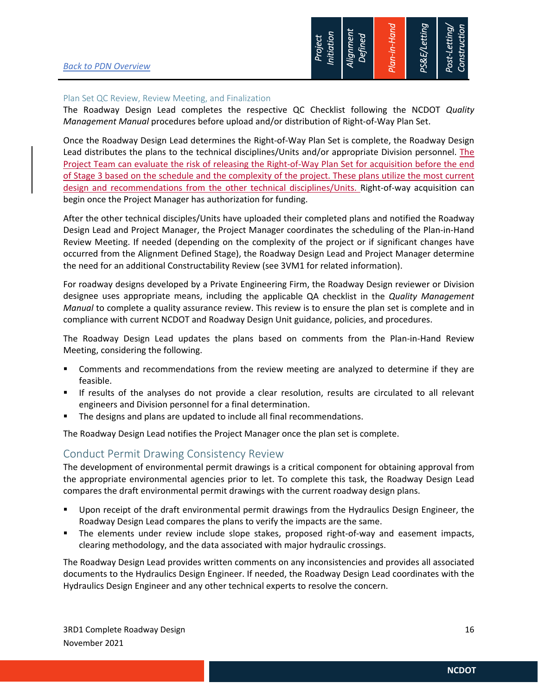

#### Plan Set QC Review, Review Meeting, and Finalization

The Roadway Design Lead completes the respective QC Checklist following the NCDOT *Quality Management Manual* procedures before upload and/or distribution of Right‐of‐Way Plan Set.

Once the Roadway Design Lead determines the Right‐of‐Way Plan Set is complete, the Roadway Design Lead distributes the plans to the technical disciplines/Units and/or appropriate Division personnel. The Project Team can evaluate the risk of releasing the Right-of-Way Plan Set for acquisition before the end of Stage 3 based on the schedule and the complexity of the project. These plans utilize the most current design and recommendations from the other technical disciplines/Units. Right-of-way acquisition can begin once the Project Manager has authorization for funding.

After the other technical disciples/Units have uploaded their completed plans and notified the Roadway Design Lead and Project Manager, the Project Manager coordinates the scheduling of the Plan‐in‐Hand Review Meeting. If needed (depending on the complexity of the project or if significant changes have occurred from the Alignment Defined Stage), the Roadway Design Lead and Project Manager determine the need for an additional Constructability Review (see 3VM1 for related information).

For roadway designs developed by a Private Engineering Firm, the Roadway Design reviewer or Division designee uses appropriate means, including the applicable QA checklist in the *Quality Management Manual* to complete a quality assurance review. This review is to ensure the plan set is complete and in compliance with current NCDOT and Roadway Design Unit guidance, policies, and procedures.

The Roadway Design Lead updates the plans based on comments from the Plan‐in‐Hand Review Meeting, considering the following.

- Comments and recommendations from the review meeting are analyzed to determine if they are feasible.
- If results of the analyses do not provide a clear resolution, results are circulated to all relevant engineers and Division personnel for a final determination.
- The designs and plans are updated to include all final recommendations.

The Roadway Design Lead notifies the Project Manager once the plan set is complete.

### Conduct Permit Drawing Consistency Review

The development of environmental permit drawings is a critical component for obtaining approval from the appropriate environmental agencies prior to let. To complete this task, the Roadway Design Lead compares the draft environmental permit drawings with the current roadway design plans.

- Upon receipt of the draft environmental permit drawings from the Hydraulics Design Engineer, the Roadway Design Lead compares the plans to verify the impacts are the same.
- The elements under review include slope stakes, proposed right‐of‐way and easement impacts, clearing methodology, and the data associated with major hydraulic crossings.

The Roadway Design Lead provides written comments on any inconsistencies and provides all associated documents to the Hydraulics Design Engineer. If needed, the Roadway Design Lead coordinates with the Hydraulics Design Engineer and any other technical experts to resolve the concern.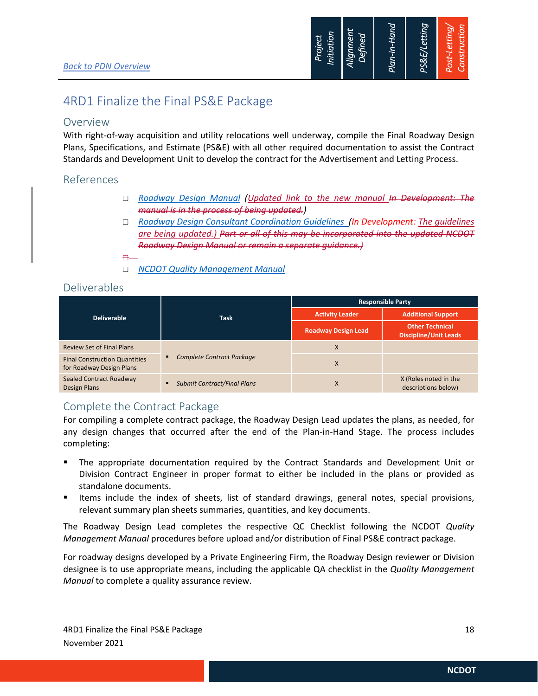

## 4RD1 Finalize the Final PS&E Package

### Overview

With right-of-way acquisition and utility relocations well underway, compile the Final Roadway Design Plans, Specifications, and Estimate (PS&E) with all other required documentation to assist the Contract Standards and Development Unit to develop the contract for the Advertisement and Letting Process.

## References

- *Roadway Design Manual (Updated link to the new manual In Development: The manual is in the process of being updated.)*
- *Roadway Design Consultant Coordination Guidelines (In Development: The guidelines are being updated.) Part or all of this may be incorporated into the updated NCDOT Roadway Design Manual or remain a separate guidance.)*
- $\Box$ 
	- *NCDOT Quality Management Manual*

### Deliverables

| <b>Deliverable</b>                                               | Task                                  | <b>Responsible Party</b>   |                                                        |  |
|------------------------------------------------------------------|---------------------------------------|----------------------------|--------------------------------------------------------|--|
|                                                                  |                                       | <b>Activity Leader</b>     | <b>Additional Support</b>                              |  |
|                                                                  |                                       | <b>Roadway Design Lead</b> | <b>Other Technical</b><br><b>Discipline/Unit Leads</b> |  |
| <b>Review Set of Final Plans</b>                                 | <b>Complete Contract Package</b><br>٠ | X                          |                                                        |  |
| <b>Final Construction Quantities</b><br>for Roadway Design Plans |                                       | X                          |                                                        |  |
| Sealed Contract Roadway<br>Design Plans                          | <b>Submit Contract/Final Plans</b>    | X                          | X (Roles noted in the<br>descriptions below)           |  |

## Complete the Contract Package

For compiling a complete contract package, the Roadway Design Lead updates the plans, as needed, for any design changes that occurred after the end of the Plan-in-Hand Stage. The process includes completing:

- The appropriate documentation required by the Contract Standards and Development Unit or Division Contract Engineer in proper format to either be included in the plans or provided as standalone documents.
- Items include the index of sheets, list of standard drawings, general notes, special provisions, relevant summary plan sheets summaries, quantities, and key documents.

The Roadway Design Lead completes the respective QC Checklist following the NCDOT *Quality Management Manual* procedures before upload and/or distribution of Final PS&E contract package.

For roadway designs developed by a Private Engineering Firm, the Roadway Design reviewer or Division designee is to use appropriate means, including the applicable QA checklist in the *Quality Management Manual* to complete a quality assurance review.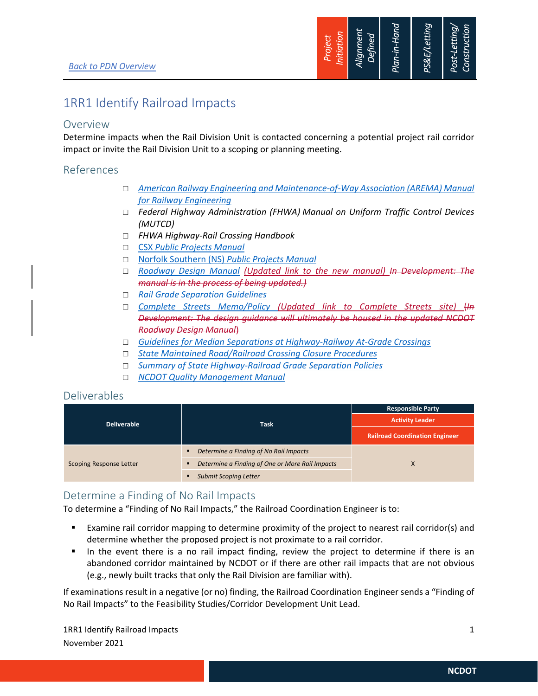

## 1RR1 Identify Railroad Impacts

### Overview

Determine impacts when the Rail Division Unit is contacted concerning a potential project rail corridor impact or invite the Rail Division Unit to a scoping or planning meeting.

## References

- *American Railway Engineering and Maintenance‐of‐Way Association (AREMA) Manual for Railway Engineering*
- *Federal Highway Administration (FHWA) Manual on Uniform Traffic Control Devices (MUTCD)*
- *FHWA Highway‐Rail Crossing Handbook*
- CSX *Public Projects Manual*
- Norfolk Southern (NS) *Public Projects Manual*
- *Roadway Design Manual (Updated link to the new manual) In Development: The manual is in the process of being updated.)*
- *Rail Grade Separation Guidelines*
- *Complete Streets Memo/Policy (Updated link to Complete Streets site)* (*In Development: The design guidance will ultimately be housed in the updated NCDOT Roadway Design Manual*)
- *Guidelines for Median Separations at Highway‐Railway At‐Grade Crossings*
- *State Maintained Road/Railroad Crossing Closure Procedures*
- *Summary of State Highway‐Railroad Grade Separation Policies*
- *NCDOT Quality Management Manual*

## Deliverables

|                                |                                                      | <b>Responsible Party</b>              |  |
|--------------------------------|------------------------------------------------------|---------------------------------------|--|
| <b>Deliverable</b>             | <b>Task</b>                                          | <b>Activity Leader</b>                |  |
|                                |                                                      | <b>Railroad Coordination Engineer</b> |  |
| <b>Scoping Response Letter</b> | Determine a Finding of No Rail Impacts               |                                       |  |
|                                | Determine a Finding of One or More Rail Impacts<br>X |                                       |  |
|                                | <b>Submit Scoping Letter</b>                         |                                       |  |

## Determine a Finding of No Rail Impacts

To determine a "Finding of No Rail Impacts," the Railroad Coordination Engineer is to:

- Examine rail corridor mapping to determine proximity of the project to nearest rail corridor(s) and determine whether the proposed project is not proximate to a rail corridor.
- In the event there is a no rail impact finding, review the project to determine if there is an abandoned corridor maintained by NCDOT or if there are other rail impacts that are not obvious (e.g., newly built tracks that only the Rail Division are familiar with).

If examinations result in a negative (or no) finding, the Railroad Coordination Engineer sends a "Finding of No Rail Impacts" to the Feasibility Studies/Corridor Development Unit Lead.

1RR1 Identify Railroad Impacts **1** November 2021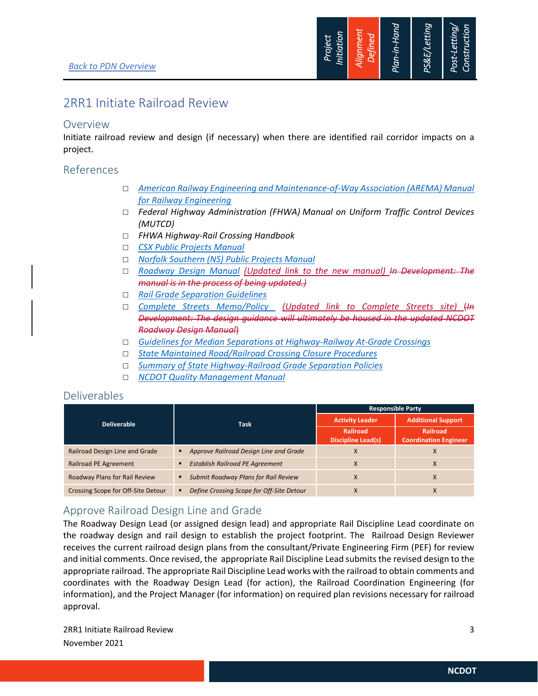

## 2RR1 Initiate Railroad Review

#### Overview

Initiate railroad review and design (if necessary) when there are identified rail corridor impacts on a project.

### References

- *American Railway Engineering and Maintenance‐of‐Way Association (AREMA) Manual for Railway Engineering*
- *Federal Highway Administration (FHWA) Manual on Uniform Traffic Control Devices (MUTCD)*
- *FHWA Highway‐Rail Crossing Handbook*
- *CSX Public Projects Manual*
- *Norfolk Southern (NS) Public Projects Manual*
- *Roadway Design Manual (Updated link to the new manual) In Development: The manual is in the process of being updated.)*
- *Rail Grade Separation Guidelines*
- *Complete Streets Memo/Policy (Updated link to Complete Streets site)* (*In Development: The design guidance will ultimately be housed in the updated NCDOT Roadway Design Manual*)
- *Guidelines for Median Separations at Highway‐Railway At‐Grade Crossings*
- *State Maintained Road/Railroad Crossing Closure Procedures*
- *Summary of State Highway‐Railroad Grade Separation Policies*
- *NCDOT Quality Management Manual*

### Deliverables

|                                      |                                                          | <b>Responsible Party</b>              |                                                 |  |
|--------------------------------------|----------------------------------------------------------|---------------------------------------|-------------------------------------------------|--|
| Deliverable                          | <b>Task</b>                                              | <b>Activity Leader</b>                | <b>Additional Support</b>                       |  |
|                                      |                                                          | Railroad<br><b>Discipline Lead(s)</b> | <b>Railroad</b><br><b>Coordination Engineer</b> |  |
| Railroad Design Line and Grade       | Approve Railroad Design Line and Grade<br>٠              |                                       |                                                 |  |
| <b>Railroad PE Agreement</b>         | <b>Establish Railroad PE Agreement</b><br>$\blacksquare$ | X                                     | X                                               |  |
| <b>Roadway Plans for Rail Review</b> | <b>Submit Roadway Plans for Rail Review</b>              |                                       | X                                               |  |
| Crossing Scope for Off-Site Detour   | Define Crossing Scope for Off-Site Detour<br>٠           |                                       | X                                               |  |

## Approve Railroad Design Line and Grade

The Roadway Design Lead (or assigned design lead) and appropriate Rail Discipline Lead coordinate on the roadway design and rail design to establish the project footprint. The Railroad Design Reviewer receives the current railroad design plans from the consultant/Private Engineering Firm (PEF) for review and initial comments. Once revised, the appropriate Rail Discipline Lead submits the revised design to the appropriate railroad. The appropriate Rail Discipline Lead works with the railroad to obtain comments and coordinates with the Roadway Design Lead (for action), the Railroad Coordination Engineering (for information), and the Project Manager (for information) on required plan revisions necessary for railroad approval.

2RR1 Initiate Railroad Review 3 November 2021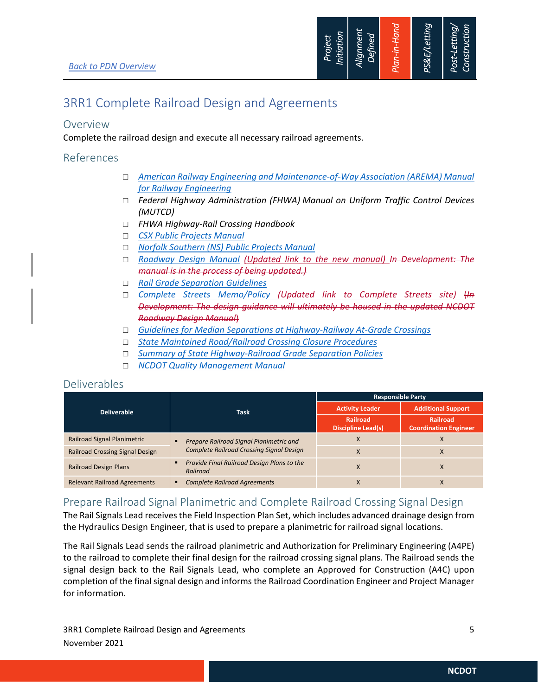

## 3RR1 Complete Railroad Design and Agreements

#### Overview

Complete the railroad design and execute all necessary railroad agreements.

### References

- *American Railway Engineering and Maintenance‐of‐Way Association (AREMA) Manual for Railway Engineering*
- *Federal Highway Administration (FHWA) Manual on Uniform Traffic Control Devices (MUTCD)*
- *FHWA Highway‐Rail Crossing Handbook*
- *CSX Public Projects Manual*
- *Norfolk Southern (NS) Public Projects Manual*
- *Roadway Design Manual (Updated link to the new manual) In Development: The manual is in the process of being updated.)*
- *Rail Grade Separation Guidelines*
- *Complete Streets Memo/Policy (Updated link to Complete Streets site)* (*In Development: The design guidance will ultimately be housed in the updated NCDOT Roadway Design Manual*)
- *Guidelines for Median Separations at Highway‐Railway At‐Grade Crossings*
- *State Maintained Road/Railroad Crossing Closure Procedures*
- *Summary of State Highway‐Railroad Grade Separation Policies*
- *NCDOT Quality Management Manual*

### Deliverables

|                                        |                                                           | <b>Responsible Party</b>                     |                                                 |  |
|----------------------------------------|-----------------------------------------------------------|----------------------------------------------|-------------------------------------------------|--|
| Deliverable                            | <b>Task</b>                                               | <b>Activity Leader</b>                       | <b>Additional Support</b>                       |  |
|                                        |                                                           | <b>Railroad</b><br><b>Discipline Lead(s)</b> | <b>Railroad</b><br><b>Coordination Engineer</b> |  |
| Railroad Signal Planimetric            | Prepare Railroad Signal Planimetric and<br>$\blacksquare$ | X                                            | $\lambda$                                       |  |
| <b>Railroad Crossing Signal Design</b> | <b>Complete Railroad Crossing Signal Design</b>           | X                                            | X                                               |  |
| <b>Railroad Design Plans</b>           | Provide Final Railroad Design Plans to the<br>Railroad    | X                                            | X                                               |  |
| <b>Relevant Railroad Agreements</b>    | <b>Complete Railroad Agreements</b><br>٠                  | X                                            | X                                               |  |

## Prepare Railroad Signal Planimetric and Complete Railroad Crossing Signal Design

The Rail Signals Lead receivesthe Field Inspection Plan Set, which includes advanced drainage design from the Hydraulics Design Engineer, that is used to prepare a planimetric for railroad signal locations.

The Rail Signals Lead sends the railroad planimetric and Authorization for Preliminary Engineering (A4PE) to the railroad to complete their final design for the railroad crossing signal plans. The Railroad sends the signal design back to the Rail Signals Lead, who complete an Approved for Construction (A4C) upon completion of the final signal design and informs the Railroad Coordination Engineer and Project Manager for information.

3RR1 Complete Railroad Design and Agreements 5 November 2021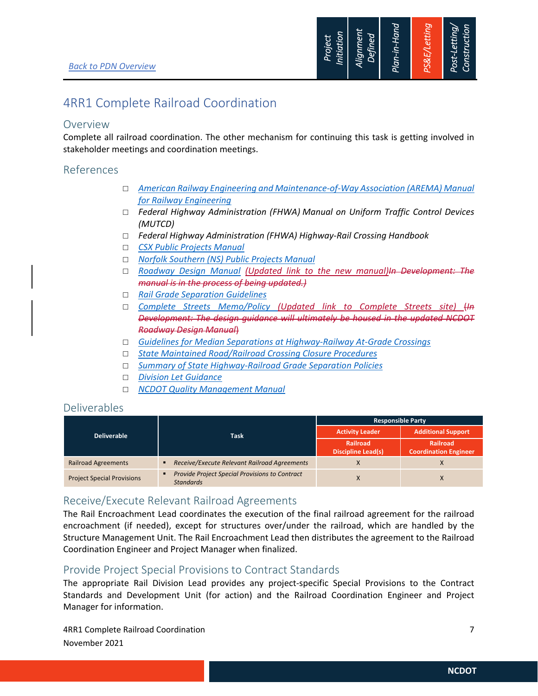

## 4RR1 Complete Railroad Coordination

### Overview

Complete all railroad coordination. The other mechanism for continuing this task is getting involved in stakeholder meetings and coordination meetings.

### References

- *American Railway Engineering and Maintenance‐of‐Way Association (AREMA) Manual for Railway Engineering*
- *Federal Highway Administration (FHWA) Manual on Uniform Traffic Control Devices (MUTCD)*
- *Federal Highway Administration (FHWA) Highway‐Rail Crossing Handbook*
- *CSX Public Projects Manual*
- *Norfolk Southern (NS) Public Projects Manual*
- *Roadway Design Manual (Updated link to the new manual)In Development: The manual is in the process of being updated.)*
- *Rail Grade Separation Guidelines*
- *Complete Streets Memo/Policy (Updated link to Complete Streets site)* (*In Development: The design guidance will ultimately be housed in the updated NCDOT Roadway Design Manual*)
- *Guidelines for Median Separations at Highway‐Railway At‐Grade Crossings*
- *State Maintained Road/Railroad Crossing Closure Procedures*
- *Summary of State Highway‐Railroad Grade Separation Policies*
- *Division Let Guidance*
- *NCDOT Quality Management Manual*

### Deliverables

| <b>Deliverable</b>                | <b>Task</b>                                                        | <b>Responsible Party</b>              |                                          |
|-----------------------------------|--------------------------------------------------------------------|---------------------------------------|------------------------------------------|
|                                   |                                                                    | <b>Activity Leader</b>                | <b>Additional Support</b>                |
|                                   |                                                                    | Railroad<br><b>Discipline Lead(s)</b> | Railroad<br><b>Coordination Engineer</b> |
| <b>Railroad Agreements</b>        | Receive/Execute Relevant Railroad Agreements                       |                                       |                                          |
| <b>Project Special Provisions</b> | Provide Project Special Provisions to Contract<br><b>Standards</b> |                                       |                                          |

## Receive/Execute Relevant Railroad Agreements

The Rail Encroachment Lead coordinates the execution of the final railroad agreement for the railroad encroachment (if needed), except for structures over/under the railroad, which are handled by the Structure Management Unit. The Rail Encroachment Lead then distributes the agreement to the Railroad Coordination Engineer and Project Manager when finalized.

## Provide Project Special Provisions to Contract Standards

The appropriate Rail Division Lead provides any project‐specific Special Provisions to the Contract Standards and Development Unit (for action) and the Railroad Coordination Engineer and Project Manager for information.

4RR1 Complete Railroad Coordination 7 November 2021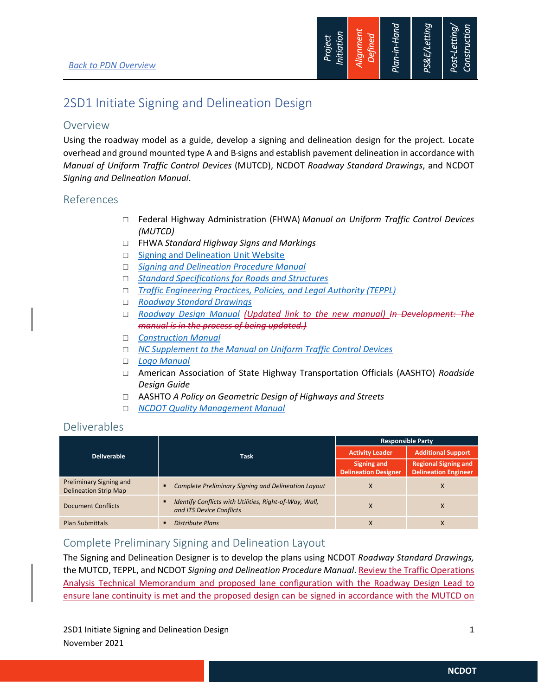

## 2SD1 Initiate Signing and Delineation Design

## Overview

Using the roadway model as a guide, develop a signing and delineation design for the project. Locate overhead and ground mounted type A and B signs and establish pavement delineation in accordance with *Manual of Uniform Traffic Control Devices* (MUTCD), NCDOT *Roadway Standard Drawings*, and NCDOT *Signing and Delineation Manual*.

## References

- Federal Highway Administration (FHWA) *Manual on Uniform Traffic Control Devices (MUTCD)*
- FHWA *Standard Highway Signs and Markings*
- $\Box$  Signing and Delineation Unit Website
- *Signing and Delineation Procedure Manual*
- *Standard Specifications for Roads and Structures*
- *Traffic Engineering Practices, Policies, and Legal Authority (TEPPL)*
- *Roadway Standard Drawings*
- *Roadway Design Manual (Updated link to the new manual) In Development: The manual is in the process of being updated.)*
- *Construction Manual*
- *NC Supplement to the Manual on Uniform Traffic Control Devices*
- *Logo Manual*
- American Association of State Highway Transportation Officials (AASHTO) *Roadside Design Guide*
- AASHTO *A Policy on Geometric Design of Highways and Streets*
- *NCDOT Quality Management Manual*

## Deliverables

|                                                         |                                                                                         | <b>Responsible Party</b>                          |                                                            |  |
|---------------------------------------------------------|-----------------------------------------------------------------------------------------|---------------------------------------------------|------------------------------------------------------------|--|
| <b>Deliverable</b>                                      | <b>Task</b>                                                                             | <b>Activity Leader</b>                            | <b>Additional Support</b>                                  |  |
|                                                         |                                                                                         | <b>Signing and</b><br><b>Delineation Designer</b> | <b>Regional Signing and</b><br><b>Delineation Engineer</b> |  |
| Preliminary Signing and<br><b>Delineation Strip Map</b> | Complete Preliminary Signing and Delineation Layout<br>٠                                | X                                                 | X                                                          |  |
| <b>Document Conflicts</b>                               | Identify Conflicts with Utilities, Right-of-Way, Wall,<br>٠<br>and ITS Device Conflicts | $\lambda$                                         | X                                                          |  |
| <b>Plan Submittals</b>                                  | <b>Distribute Plans</b><br>п                                                            | $\Lambda$                                         | X                                                          |  |

## Complete Preliminary Signing and Delineation Layout

The Signing and Delineation Designer is to develop the plans using NCDOT *Roadway Standard Drawings,*  the MUTCD, TEPPL, and NCDOT *Signing and Delineation Procedure Manual*. Review the Traffic Operations Analysis Technical Memorandum and proposed lane configuration with the Roadway Design Lead to ensure lane continuity is met and the proposed design can be signed in accordance with the MUTCD on

2SD1 Initiate Signing and Delineation Design 1 and 2001 1 and 2008 1 and 2008 1 and 2008 1 and 2008 1 and 2008 1 and 2008 1 and 2008 1 and 2008 1 and 2008 1 and 2008 1 and 2008 1 and 2008 1 and 2008 1 and 2008 1 and 2008 1 November 2021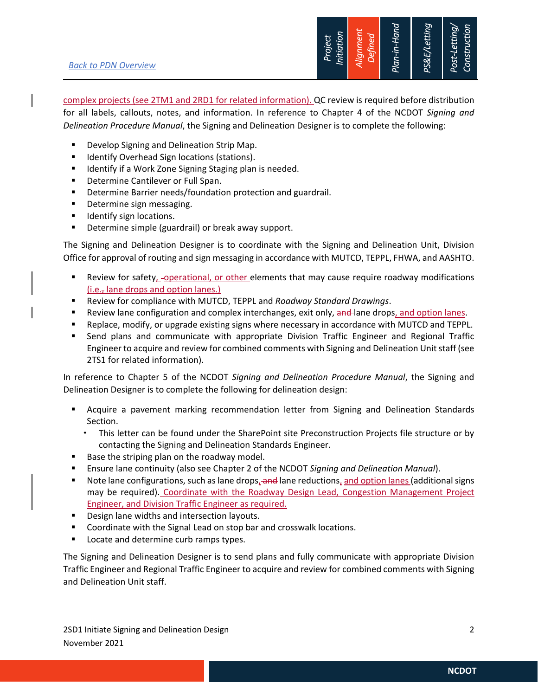#### *Back to PDN Overview*



complex projects (see 2TM1 and 2RD1 for related information). QC review is required before distribution for all labels, callouts, notes, and information. In reference to Chapter 4 of the NCDOT *Signing and Delineation Procedure Manual*, the Signing and Delineation Designer is to complete the following:

- Develop Signing and Delineation Strip Map.
- **IDENTIFY Overhead Sign locations (stations).**
- **IDED IDENT** Identify if a Work Zone Signing Staging plan is needed.
- **Determine Cantilever or Full Span.**
- **•** Determine Barrier needs/foundation protection and guardrail.
- **•** Determine sign messaging.
- Identify sign locations.
- **•** Determine simple (guardrail) or break away support.

The Signing and Delineation Designer is to coordinate with the Signing and Delineation Unit, Division Office for approval of routing and sign messaging in accordance with MUTCD, TEPPL, FHWA, and AASHTO.

- Review for safety, -operational, or other elements that may cause require roadway modifications (i.e., lane drops and option lanes.)
- Review for compliance with MUTCD, TEPPL and *Roadway Standard Drawings*.
- **EXECT** Review lane configuration and complex interchanges, exit only, and lane drops, and option lanes.
- Replace, modify, or upgrade existing signs where necessary in accordance with MUTCD and TEPPL.
- Send plans and communicate with appropriate Division Traffic Engineer and Regional Traffic Engineer to acquire and review for combined comments with Signing and Delineation Unit staff (see 2TS1 for related information).

In reference to Chapter 5 of the NCDOT *Signing and Delineation Procedure Manual*, the Signing and Delineation Designer is to complete the following for delineation design:

- Acquire a pavement marking recommendation letter from Signing and Delineation Standards Section.
	- This letter can be found under the SharePoint site Preconstruction Projects file structure or by contacting the Signing and Delineation Standards Engineer.
- Base the striping plan on the roadway model.
- Ensure lane continuity (also see Chapter 2 of the NCDOT *Signing and Delineation Manual*).
- Note lane configurations, such as lane drops, and lane reductions, and option lanes (additional signs may be required). Coordinate with the Roadway Design Lead, Congestion Management Project Engineer, and Division Traffic Engineer as required.
- Design lane widths and intersection layouts.
- **Coordinate with the Signal Lead on stop bar and crosswalk locations.**
- **Locate and determine curb ramps types.**

The Signing and Delineation Designer is to send plans and fully communicate with appropriate Division Traffic Engineer and Regional Traffic Engineer to acquire and review for combined comments with Signing and Delineation Unit staff.

2SD1 Initiate Signing and Delineation Design 2 November 2021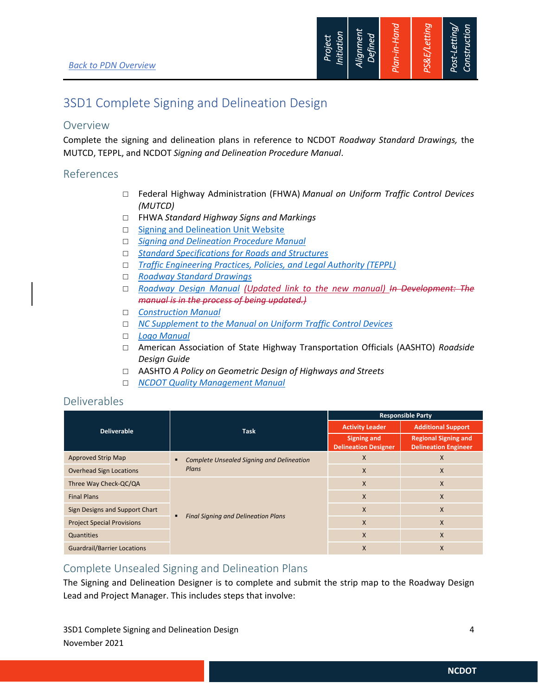

## 3SD1 Complete Signing and Delineation Design

### Overview

Complete the signing and delineation plans in reference to NCDOT *Roadway Standard Drawings,* the MUTCD, TEPPL, and NCDOT *Signing and Delineation Procedure Manual*.

## References

- Federal Highway Administration (FHWA) *Manual on Uniform Traffic Control Devices (MUTCD)*
- FHWA *Standard Highway Signs and Markings*
- □ Signing and Delineation Unit Website
- *Signing and Delineation Procedure Manual*
- *Standard Specifications for Roads and Structures*
- *Traffic Engineering Practices, Policies, and Legal Authority (TEPPL)*
- *Roadway Standard Drawings*
- *Roadway Design Manual (Updated link to the new manual) In Development: The manual is in the process of being updated.)*
- *Construction Manual*
- *NC Supplement to the Manual on Uniform Traffic Control Devices*
- *Logo Manual*
- American Association of State Highway Transportation Officials (AASHTO) *Roadside Design Guide*
- AASHTO *A Policy on Geometric Design of Highways and Streets*
- *NCDOT Quality Management Manual*

## Deliverables

|                                    |                                                           | <b>Responsible Party</b>                          |                                                            |
|------------------------------------|-----------------------------------------------------------|---------------------------------------------------|------------------------------------------------------------|
| <b>Deliverable</b>                 | <b>Task</b>                                               | <b>Activity Leader</b>                            | <b>Additional Support</b>                                  |
|                                    |                                                           | <b>Signing and</b><br><b>Delineation Designer</b> | <b>Regional Signing and</b><br><b>Delineation Engineer</b> |
| <b>Approved Strip Map</b>          | <b>Complete Unsealed Signing and Delineation</b><br>Plans | X                                                 | X                                                          |
| <b>Overhead Sign Locations</b>     |                                                           | X                                                 | X                                                          |
| Three Way Check-QC/QA              |                                                           | X                                                 | X                                                          |
| <b>Final Plans</b>                 |                                                           | X                                                 | X                                                          |
| Sign Designs and Support Chart     |                                                           | $\times$                                          | X                                                          |
| <b>Project Special Provisions</b>  | <b>Final Signing and Delineation Plans</b>                | $\mathsf{x}$                                      | X                                                          |
| Quantities                         |                                                           | $\times$                                          | X                                                          |
| <b>Guardrail/Barrier Locations</b> |                                                           | $\times$                                          | X                                                          |

## Complete Unsealed Signing and Delineation Plans

The Signing and Delineation Designer is to complete and submit the strip map to the Roadway Design Lead and Project Manager. This includes steps that involve:

3SD1 Complete Signing and Delineation Design 4 November 2021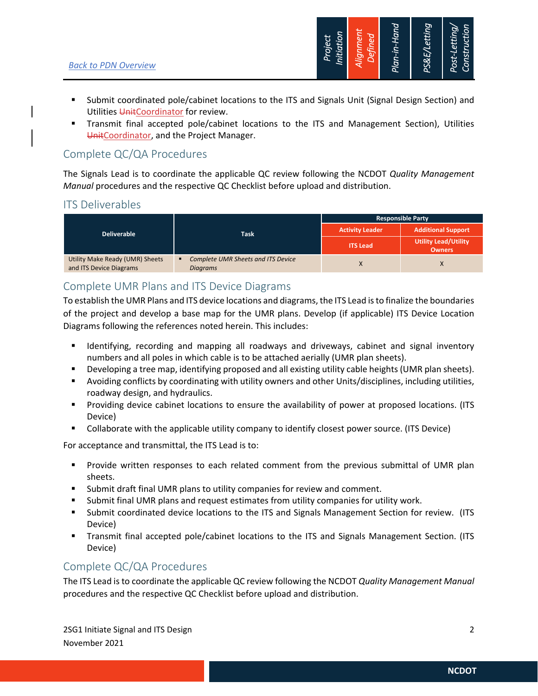

- Submit coordinated pole/cabinet locations to the ITS and Signals Unit (Signal Design Section) and Utilities UnitCoordinator for review.
- Transmit final accepted pole/cabinet locations to the ITS and Management Section), Utilities UnitCoordinator, and the Project Manager.

## Complete QC/QA Procedures

The Signals Lead is to coordinate the applicable QC review following the NCDOT *Quality Management Manual* procedures and the respective QC Checklist before upload and distribution.

## ITS Deliverables

| <b>Deliverable</b>                                         | <b>Task</b>                                                  | <b>Responsible Party</b> |                                              |
|------------------------------------------------------------|--------------------------------------------------------------|--------------------------|----------------------------------------------|
|                                                            |                                                              | <b>Activity Leader</b>   | <b>Additional Support</b>                    |
|                                                            |                                                              | <b>ITS Lead</b>          | <b>Utility Lead/Utility</b><br><b>Owners</b> |
| Utility Make Ready (UMR) Sheets<br>and ITS Device Diagrams | <b>Complete UMR Sheets and ITS Device</b><br><b>Diagrams</b> |                          |                                              |

## Complete UMR Plans and ITS Device Diagrams

To establish the UMR Plans and ITS device locations and diagrams, the ITS Lead is to finalize the boundaries of the project and develop a base map for the UMR plans. Develop (if applicable) ITS Device Location Diagrams following the references noted herein. This includes:

- Identifying, recording and mapping all roadways and driveways, cabinet and signal inventory numbers and all poles in which cable is to be attached aerially (UMR plan sheets).
- Developing a tree map, identifying proposed and all existing utility cable heights (UMR plan sheets).
- Avoiding conflicts by coordinating with utility owners and other Units/disciplines, including utilities, roadway design, and hydraulics.
- **Providing device cabinet locations to ensure the availability of power at proposed locations. (ITS** Device)
- Collaborate with the applicable utility company to identify closest power source. (ITS Device)

For acceptance and transmittal, the ITS Lead is to:

- Provide written responses to each related comment from the previous submittal of UMR plan sheets.
- Submit draft final UMR plans to utility companies for review and comment.
- Submit final UMR plans and request estimates from utility companies for utility work.
- Submit coordinated device locations to the ITS and Signals Management Section for review. (ITS Device)
- Transmit final accepted pole/cabinet locations to the ITS and Signals Management Section. (ITS Device)

## Complete QC/QA Procedures

The ITS Lead is to coordinate the applicable QC review following the NCDOT *Quality Management Manual* procedures and the respective QC Checklist before upload and distribution.

2SG1 Initiate Signal and ITS Design 2 November 2021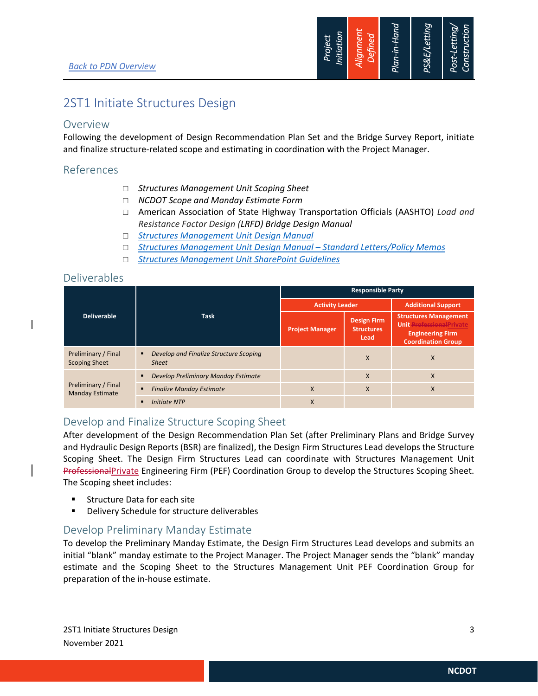

## 2ST1 Initiate Structures Design

### Overview

Following the development of Design Recommendation Plan Set and the Bridge Survey Report, initiate and finalize structure-related scope and estimating in coordination with the Project Manager.

### References

- *Structures Management Unit Scoping Sheet*
- *NCDOT Scope and Manday Estimate Form*
- American Association of State Highway Transportation Officials (AASHTO) *Load and Resistance Factor Design (LRFD) Bridge Design Manual*
- *Structures Management Unit Design Manual*
- *Structures Management Unit Design Manual Standard Letters/Policy Memos*
- *Structures Management Unit SharePoint Guidelines*

### Deliverables

|                                               |                                                             | <b>Responsible Party</b> |                                                 |                                                                                                                          |  |
|-----------------------------------------------|-------------------------------------------------------------|--------------------------|-------------------------------------------------|--------------------------------------------------------------------------------------------------------------------------|--|
|                                               |                                                             | <b>Activity Leader</b>   |                                                 | <b>Additional Support</b>                                                                                                |  |
| <b>Deliverable</b>                            | <b>Task</b>                                                 | <b>Project Manager</b>   | <b>Design Firm</b><br><b>Structures</b><br>Lead | <b>Structures Management</b><br><b>Unit Professional Private</b><br><b>Engineering Firm</b><br><b>Coordination Group</b> |  |
| Preliminary / Final<br><b>Scoping Sheet</b>   | Develop and Finalize Structure Scoping<br>٠<br><b>Sheet</b> |                          | X                                               | X                                                                                                                        |  |
|                                               | Develop Preliminary Manday Estimate<br>$\blacksquare$       |                          | X                                               | X                                                                                                                        |  |
| Preliminary / Final<br><b>Manday Estimate</b> | <b>Finalize Manday Estimate</b><br>٠                        | X                        | X                                               | X                                                                                                                        |  |
|                                               | <b>Initiate NTP</b><br>п                                    | X                        |                                                 |                                                                                                                          |  |

## Develop and Finalize Structure Scoping Sheet

After development of the Design Recommendation Plan Set (after Preliminary Plans and Bridge Survey and Hydraulic Design Reports (BSR) are finalized), the Design Firm Structures Lead develops the Structure Scoping Sheet. The Design Firm Structures Lead can coordinate with Structures Management Unit ProfessionalPrivate Engineering Firm (PEF) Coordination Group to develop the Structures Scoping Sheet. The Scoping sheet includes:

- **Structure Data for each site**
- **Delivery Schedule for structure deliverables**

## Develop Preliminary Manday Estimate

To develop the Preliminary Manday Estimate, the Design Firm Structures Lead develops and submits an initial "blank" manday estimate to the Project Manager. The Project Manager sends the "blank" manday estimate and the Scoping Sheet to the Structures Management Unit PEF Coordination Group for preparation of the in-house estimate.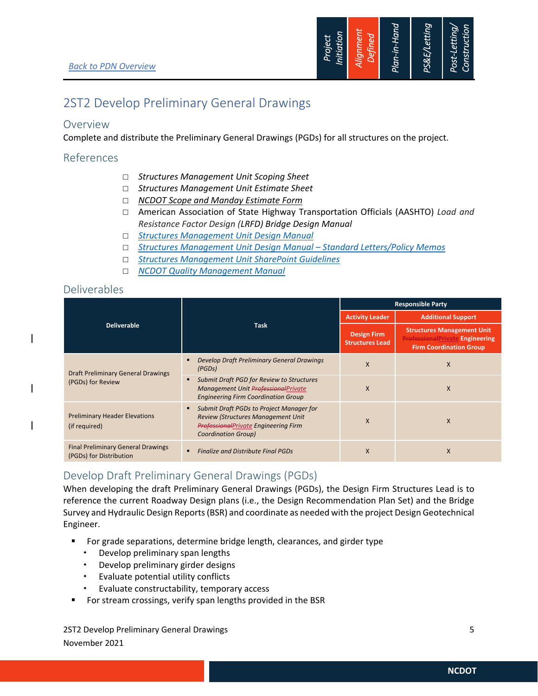

## 2ST2 Develop Preliminary General Drawings

### Overview

Complete and distribute the Preliminary General Drawings (PGDs) for all structures on the project.

#### References

- *Structures Management Unit Scoping Sheet*
- *Structures Management Unit Estimate Sheet*
- *NCDOT Scope and Manday Estimate Form*
- American Association of State Highway Transportation Officials (AASHTO) *Load and Resistance Factor Design (LRFD) Bridge Design Manual*
- *Structures Management Unit Design Manual*
- *Structures Management Unit Design Manual Standard Letters/Policy Memos*
- *Structures Management Unit SharePoint Guidelines*
- *NCDOT Quality Management Manual*

#### Deliverables

|                                                                      |                                                                                                                                                                         | <b>Responsible Party</b>                     |                                                                                                               |  |
|----------------------------------------------------------------------|-------------------------------------------------------------------------------------------------------------------------------------------------------------------------|----------------------------------------------|---------------------------------------------------------------------------------------------------------------|--|
|                                                                      |                                                                                                                                                                         | <b>Activity Leader</b>                       | <b>Additional Support</b>                                                                                     |  |
| <b>Deliverable</b>                                                   | <b>Task</b>                                                                                                                                                             | <b>Design Firm</b><br><b>Structures Lead</b> | <b>Structures Management Unit</b><br><b>ProfessionalPrivate Engineering</b><br><b>Firm Coordination Group</b> |  |
| <b>Draft Preliminary General Drawings</b><br>(PGDs) for Review       | Develop Draft Preliminary General Drawings<br>٠<br>(PGDS)                                                                                                               | X                                            | X                                                                                                             |  |
|                                                                      | Submit Draft PGD for Review to Structures<br>٠<br>Management Unit ProfessionalPrivate<br><b>Engineering Firm Coordination Group</b>                                     | X                                            | X                                                                                                             |  |
| <b>Preliminary Header Elevations</b><br>(if required)                | Submit Draft PGDs to Project Manager for<br>٠<br><b>Review (Structures Management Unit</b><br><b>ProfessionalPrivate Engineering Firm</b><br><b>Coordination Group)</b> | X                                            | X                                                                                                             |  |
| <b>Final Preliminary General Drawings</b><br>(PGDs) for Distribution | <b>Finalize and Distribute Final PGDs</b><br>$\blacksquare$                                                                                                             | X                                            | X                                                                                                             |  |

## Develop Draft Preliminary General Drawings (PGDs)

When developing the draft Preliminary General Drawings (PGDs), the Design Firm Structures Lead is to reference the current Roadway Design plans (i.e., the Design Recommendation Plan Set) and the Bridge Survey and Hydraulic Design Reports (BSR) and coordinate as needed with the project Design Geotechnical Engineer.

- For grade separations, determine bridge length, clearances, and girder type
	- Develop preliminary span lengths
	- Develop preliminary girder designs
	- Evaluate potential utility conflicts
	- Evaluate constructability, temporary access
- For stream crossings, verify span lengths provided in the BSR

2ST2 Develop Preliminary General Drawings 5 November 2021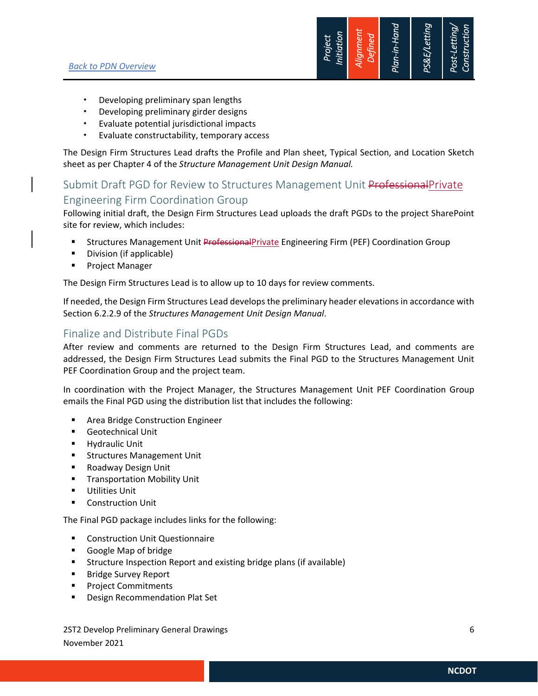

- Developing preliminary span lengths
- Developing preliminary girder designs
- Evaluate potential jurisdictional impacts
- Evaluate constructability, temporary access

The Design Firm Structures Lead drafts the Profile and Plan sheet, Typical Section, and Location Sketch sheet as per Chapter 4 of the *Structure Management Unit Design Manual.*

## Submit Draft PGD for Review to Structures Management Unit ProfessionalPrivate Engineering Firm Coordination Group

Following initial draft, the Design Firm Structures Lead uploads the draft PGDs to the project SharePoint site for review, which includes:

- **Structures Management Unit Professional Private Engineering Firm (PEF) Coordination Group**
- **Division (if applicable)**
- **Project Manager**

The Design Firm Structures Lead is to allow up to 10 days for review comments.

If needed, the Design Firm Structures Lead develops the preliminary header elevations in accordance with Section 6.2.2.9 of the *Structures Management Unit Design Manual*.

## Finalize and Distribute Final PGDs

After review and comments are returned to the Design Firm Structures Lead, and comments are addressed, the Design Firm Structures Lead submits the Final PGD to the Structures Management Unit PEF Coordination Group and the project team.

In coordination with the Project Manager, the Structures Management Unit PEF Coordination Group emails the Final PGD using the distribution list that includes the following:

- Area Bridge Construction Engineer
- **Geotechnical Unit**
- **-** Hydraulic Unit
- **Structures Management Unit**
- Roadway Design Unit
- **Transportation Mobility Unit**
- **Utilities Unit**
- **•** Construction Unit

The Final PGD package includes links for the following:

- Construction Unit Questionnaire
- Google Map of bridge
- Structure Inspection Report and existing bridge plans (if available)
- **Bridge Survey Report**
- **Project Commitments**
- **Design Recommendation Plat Set**

2ST2 Develop Preliminary General Drawings 6 November 2021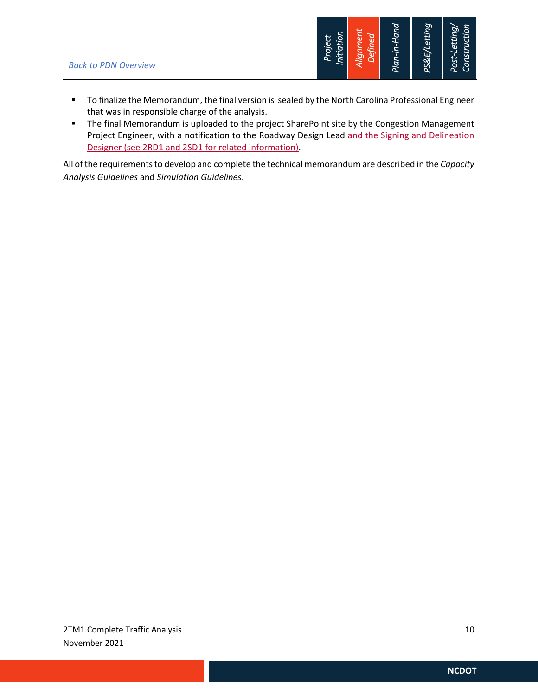

- **To finalize the Memorandum, the final version is sealed by the North Carolina Professional Engineer** that was in responsible charge of the analysis.
- **The final Memorandum is uploaded to the project SharePoint site by the Congestion Management** Project Engineer, with a notification to the Roadway Design Lead and the Signing and Delineation Designer (see 2RD1 and 2SD1 for related information).

All of the requirements to develop and complete the technical memorandum are described in the *Capacity Analysis Guidelines* and *Simulation Guidelines*.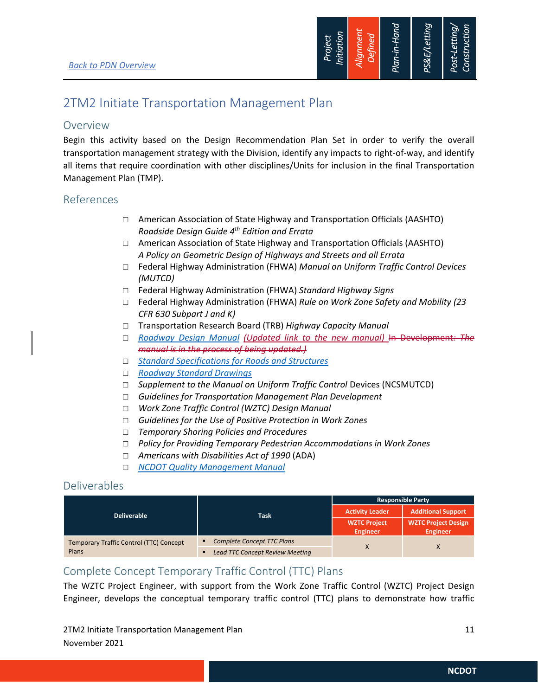

## 2TM2 Initiate Transportation Management Plan

### Overview

Begin this activity based on the Design Recommendation Plan Set in order to verify the overall transportation management strategy with the Division, identify any impacts to right-of-way, and identify all items that require coordination with other disciplines/Units for inclusion in the final Transportation Management Plan (TMP).

### References

- $\Box$  American Association of State Highway and Transportation Officials (AASHTO) *Roadside Design Guide 4th Edition and Errata*
- $\Box$  American Association of State Highway and Transportation Officials (AASHTO) *A Policy on Geometric Design of Highways and Streets and all Errata*
- Federal Highway Administration (FHWA) *Manual on Uniform Traffic Control Devices (MUTCD)*
- Federal Highway Administration (FHWA) *Standard Highway Signs*
- Federal Highway Administration (FHWA) *Rule on Work Zone Safety and Mobility (23 CFR 630 Subpart J and K)*
- Transportation Research Board (TRB) *Highway Capacity Manual*
- *Roadway Design Manual (Updated link to the new manual)* In Development*: The manual is in the process of being updated.)*
- *Standard Specifications for Roads and Structures*
- *Roadway Standard Drawings*
- □ Supplement to the Manual on Uniform Traffic Control Devices (NCSMUTCD)
- *Guidelines for Transportation Management Plan Development*
- *Work Zone Traffic Control (WZTC) Design Manual*
- *Guidelines for the Use of Positive Protection in Work Zones*
- *Temporary Shoring Policies and Procedures*
- *Policy for Providing Temporary Pedestrian Accommodations in Work Zones*
- *Americans with Disabilities Act of 1990* (ADA)
- *NCDOT Quality Management Manual*

## Deliverables

|                                         | <b>Task</b>                            | <b>Responsible Party</b>        |                                               |
|-----------------------------------------|----------------------------------------|---------------------------------|-----------------------------------------------|
| <b>Deliverable</b>                      |                                        | <b>Activity Leader</b>          | <b>Additional Support</b>                     |
|                                         |                                        | <b>WZTC Project</b><br>Engineer | <b>WZTC Project Design</b><br><b>Engineer</b> |
| Temporary Traffic Control (TTC) Concept | <b>Complete Concept TTC Plans</b><br>п |                                 |                                               |
| Plans                                   | <b>Lead TTC Concept Review Meeting</b> |                                 |                                               |

## Complete Concept Temporary Traffic Control (TTC) Plans

The WZTC Project Engineer, with support from the Work Zone Traffic Control (WZTC) Project Design Engineer, develops the conceptual temporary traffic control (TTC) plans to demonstrate how traffic

2TM2 Initiate Transportation Management Plan 11 and 11 and 11 and 11 and 11 and 11 and 11 and 11 and 11 and 11 November 2021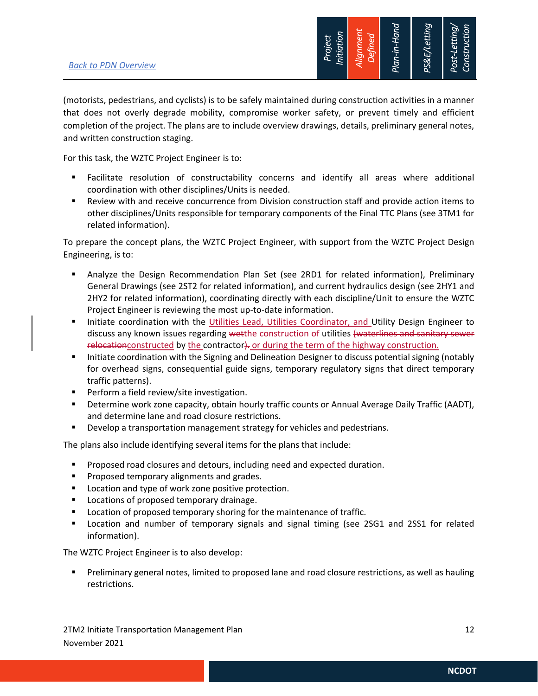

(motorists, pedestrians, and cyclists) is to be safely maintained during construction activities in a manner that does not overly degrade mobility, compromise worker safety, or prevent timely and efficient completion of the project. The plans are to include overview drawings, details, preliminary general notes, and written construction staging.

For this task, the WZTC Project Engineer is to:

- Facilitate resolution of constructability concerns and identify all areas where additional coordination with other disciplines/Units is needed.
- Review with and receive concurrence from Division construction staff and provide action items to other disciplines/Units responsible for temporary components of the Final TTC Plans (see 3TM1 for related information).

To prepare the concept plans, the WZTC Project Engineer, with support from the WZTC Project Design Engineering, is to:

- Analyze the Design Recommendation Plan Set (see 2RD1 for related information), Preliminary General Drawings (see 2ST2 for related information), and current hydraulics design (see 2HY1 and 2HY2 for related information), coordinating directly with each discipline/Unit to ensure the WZTC Project Engineer is reviewing the most up-to-date information.
- Initiate coordination with the Utilities Lead, Utilities Coordinator, and Utility Design Engineer to discuss any known issues regarding wetthe construction of utilities (waterlines and sanitary sewer relocationconstructed by the contractor). or during the term of the highway construction.
- Initiate coordination with the Signing and Delineation Designer to discuss potential signing (notably for overhead signs, consequential guide signs, temporary regulatory signs that direct temporary traffic patterns).
- **Perform a field review/site investigation.**
- Determine work zone capacity, obtain hourly traffic counts or Annual Average Daily Traffic (AADT), and determine lane and road closure restrictions.
- **Develop a transportation management strategy for vehicles and pedestrians.**

The plans also include identifying several items for the plans that include:

- **Proposed road closures and detours, including need and expected duration.**
- **Proposed temporary alignments and grades.**
- **Location and type of work zone positive protection.**
- **Locations of proposed temporary drainage.**
- **Location of proposed temporary shoring for the maintenance of traffic.**
- Location and number of temporary signals and signal timing (see 2SG1 and 2SS1 for related information).

The WZTC Project Engineer is to also develop:

 Preliminary general notes, limited to proposed lane and road closure restrictions, as well as hauling restrictions.

2TM2 Initiate Transportation Management Plan 12 November 2021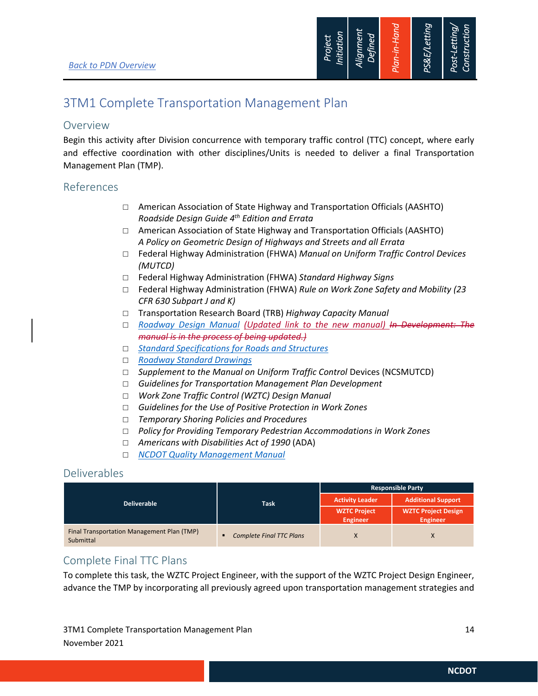

## 3TM1 Complete Transportation Management Plan

### Overview

Begin this activity after Division concurrence with temporary traffic control (TTC) concept, where early and effective coordination with other disciplines/Units is needed to deliver a final Transportation Management Plan (TMP).

### References

- □ American Association of State Highway and Transportation Officials (AASHTO) *Roadside Design Guide 4th Edition and Errata*
- □ American Association of State Highway and Transportation Officials (AASHTO) *A Policy on Geometric Design of Highways and Streets and all Errata*
- Federal Highway Administration (FHWA) *Manual on Uniform Traffic Control Devices (MUTCD)*
- Federal Highway Administration (FHWA) *Standard Highway Signs*
- Federal Highway Administration (FHWA) *Rule on Work Zone Safety and Mobility (23 CFR 630 Subpart J and K)*
- Transportation Research Board (TRB) *Highway Capacity Manual*
- *Roadway Design Manual (Updated link to the new manual) In Development: The manual is in the process of being updated.)*
- *Standard Specifications for Roads and Structures*
- *Roadway Standard Drawings*
- □ Supplement to the Manual on Uniform Traffic Control Devices (NCSMUTCD)
- *Guidelines for Transportation Management Plan Development*
- *Work Zone Traffic Control (WZTC) Design Manual*
- *Guidelines for the Use of Positive Protection in Work Zones*
- *Temporary Shoring Policies and Procedures*
- *Policy for Providing Temporary Pedestrian Accommodations in Work Zones*
- *Americans with Disabilities Act of 1990* (ADA)
- *NCDOT Quality Management Manual*

## Deliverables

|                                                         | <b>Task</b>                                       | <b>Responsible Party</b>               |                                               |
|---------------------------------------------------------|---------------------------------------------------|----------------------------------------|-----------------------------------------------|
| <b>Deliverable</b>                                      |                                                   | <b>Activity Leader</b>                 | <b>Additional Support</b>                     |
|                                                         |                                                   | <b>WZTC Project</b><br><b>Engineer</b> | <b>WZTC Project Design</b><br><b>Engineer</b> |
| Final Transportation Management Plan (TMP)<br>Submittal | <b>Complete Final TTC Plans</b><br>$\blacksquare$ |                                        |                                               |

## Complete Final TTC Plans

To complete this task, the WZTC Project Engineer, with the support of the WZTC Project Design Engineer, advance the TMP by incorporating all previously agreed upon transportation management strategies and

3TM1 Complete Transportation Management Plan 14 and 14 and 14 and 14 and 14 and 14 and 14 and 14 and 14 and 14 November 2021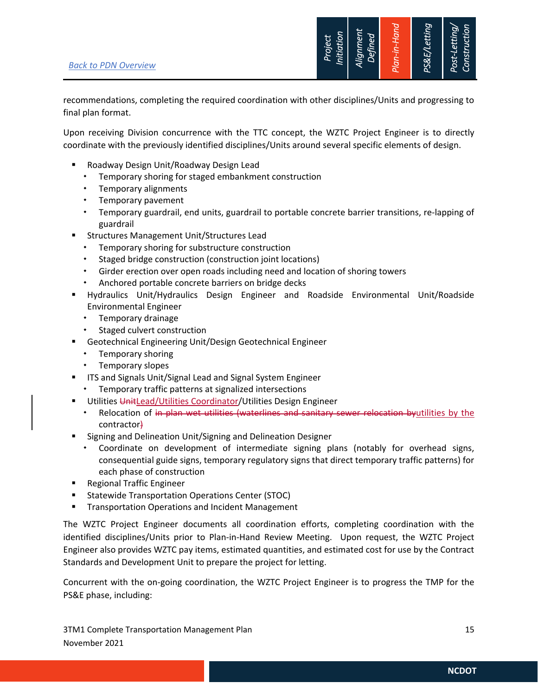

recommendations, completing the required coordination with other disciplines/Units and progressing to final plan format.

Upon receiving Division concurrence with the TTC concept, the WZTC Project Engineer is to directly coordinate with the previously identified disciplines/Units around several specific elements of design.

- Roadway Design Unit/Roadway Design Lead
	- Temporary shoring for staged embankment construction
	- Temporary alignments
	- Temporary pavement
	- Temporary guardrail, end units, guardrail to portable concrete barrier transitions, re-lapping of guardrail
- **EXECT:** Structures Management Unit/Structures Lead
	- Temporary shoring for substructure construction
	- Staged bridge construction (construction joint locations)
	- Girder erection over open roads including need and location of shoring towers
	- Anchored portable concrete barriers on bridge decks
- Hydraulics Unit/Hydraulics Design Engineer and Roadside Environmental Unit/Roadside Environmental Engineer
	- Temporary drainage
	- \* Staged culvert construction
- Geotechnical Engineering Unit/Design Geotechnical Engineer
	- **\*** Temporary shoring
	- **\*** Temporary slopes
- **ITS and Signals Unit/Signal Lead and Signal System Engineer** 
	- Temporary traffic patterns at signalized intersections
- Utilities UnitLead/Utilities Coordinator/Utilities Design Engineer
	- \* Relocation of in plan wet utilities (waterlines and sanitary sewer relocation byutilities by the contractor)
- Signing and Delineation Unit/Signing and Delineation Designer
	- Coordinate on development of intermediate signing plans (notably for overhead signs, consequential guide signs, temporary regulatory signs that direct temporary traffic patterns) for each phase of construction
- **Regional Traffic Engineer**
- Statewide Transportation Operations Center (STOC)
- **Transportation Operations and Incident Management**

The WZTC Project Engineer documents all coordination efforts, completing coordination with the identified disciplines/Units prior to Plan-in-Hand Review Meeting. Upon request, the WZTC Project Engineer also provides WZTC pay items, estimated quantities, and estimated cost for use by the Contract Standards and Development Unit to prepare the project for letting.

Concurrent with the on-going coordination, the WZTC Project Engineer is to progress the TMP for the PS&E phase, including:

3TM1 Complete Transportation Management Plan 15 and 15 and 15 and 15 and 15 and 15 and 15 and 15 and 15 and 15 November 2021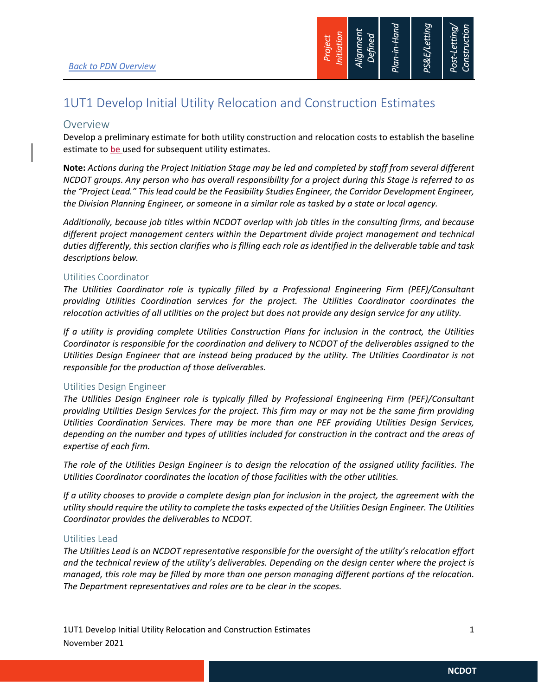

## 1UT1 Develop Initial Utility Relocation and Construction Estimates

### Overview

Develop a preliminary estimate for both utility construction and relocation costs to establish the baseline estimate to be used for subsequent utility estimates.

**Note:** *Actions during the Project Initiation Stage may be led and completed by staff from several different NCDOT groups. Any person who has overall responsibility for a project during this Stage is referred to as the "Project Lead." This lead could be the Feasibility Studies Engineer, the Corridor Development Engineer, the Division Planning Engineer, or someone in a similar role as tasked by a state or local agency.* 

*Additionally, because job titles within NCDOT overlap with job titles in the consulting firms, and because different project management centers within the Department divide project management and technical duties differently, this section clarifies who is filling each role as identified in the deliverable table and task descriptions below.* 

#### Utilities Coordinator

*The Utilities Coordinator role is typically filled by a Professional Engineering Firm (PEF)/Consultant providing Utilities Coordination services for the project. The Utilities Coordinator coordinates the relocation activities of all utilities on the project but does not provide any design service for any utility.* 

*If a utility is providing complete Utilities Construction Plans for inclusion in the contract, the Utilities Coordinator is responsible for the coordination and delivery to NCDOT of the deliverables assigned to the Utilities Design Engineer that are instead being produced by the utility. The Utilities Coordinator is not responsible for the production of those deliverables.* 

#### Utilities Design Engineer

*The Utilities Design Engineer role is typically filled by Professional Engineering Firm (PEF)/Consultant providing Utilities Design Services for the project. This firm may or may not be the same firm providing Utilities Coordination Services. There may be more than one PEF providing Utilities Design Services, depending on the number and types of utilities included for construction in the contract and the areas of expertise of each firm.* 

*The role of the Utilities Design Engineer is to design the relocation of the assigned utility facilities. The Utilities Coordinator coordinates the location of those facilities with the other utilities.* 

*If a utility chooses to provide a complete design plan for inclusion in the project, the agreement with the utility should require the utility to complete the tasks expected of the Utilities Design Engineer. The Utilities Coordinator provides the deliverables to NCDOT.* 

### Utilities Lead

*The Utilities Lead is an NCDOT representative responsible for the oversight of the utility's relocation effort and the technical review of the utility's deliverables. Depending on the design center where the project is managed, this role may be filled by more than one person managing different portions of the relocation. The Department representatives and roles are to be clear in the scopes.* 

1UT1 Develop Initial Utility Relocation and Construction Estimates 1 November 2021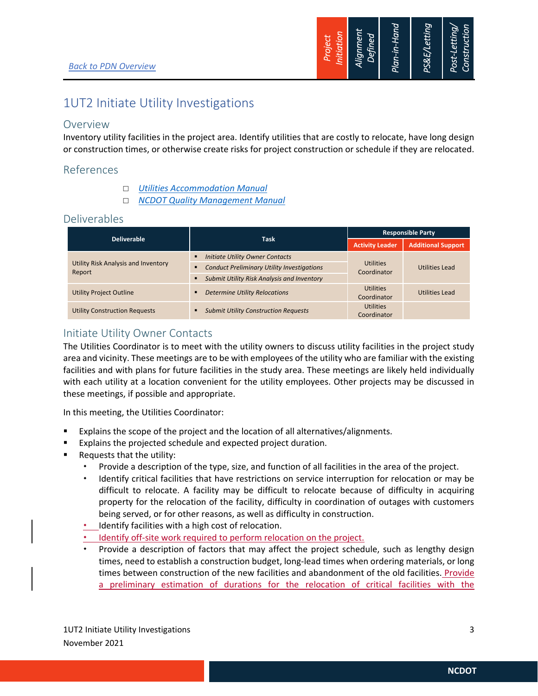

## 1UT2 Initiate Utility Investigations

## Overview

Inventory utility facilities in the project area. Identify utilities that are costly to relocate, have long design or construction times, or otherwise create risks for project construction or schedule if they are relocated.

## References

- *Utilities Accommodation Manual*
- *NCDOT Quality Management Manual*

### Deliverables

|                                               |                                                   | <b>Responsible Party</b>        |                           |
|-----------------------------------------------|---------------------------------------------------|---------------------------------|---------------------------|
| <b>Deliverable</b>                            | <b>Task</b>                                       | <b>Activity Leader</b>          | <b>Additional Support</b> |
| Utility Risk Analysis and Inventory<br>Report | Initiate Utility Owner Contacts                   |                                 |                           |
|                                               | <b>Conduct Preliminary Utility Investigations</b> | <b>Utilities</b><br>Coordinator | Utilities Lead            |
|                                               | Submit Utility Risk Analysis and Inventory        |                                 |                           |
| <b>Utility Project Outline</b>                | <b>Determine Utility Relocations</b>              | <b>Utilities</b>                | Utilities Lead            |
|                                               |                                                   | Coordinator                     |                           |
| <b>Utility Construction Requests</b>          | <b>Submit Utility Construction Requests</b>       | <b>Utilities</b>                |                           |
|                                               |                                                   | Coordinator                     |                           |

## Initiate Utility Owner Contacts

The Utilities Coordinator is to meet with the utility owners to discuss utility facilities in the project study area and vicinity. These meetings are to be with employees of the utility who are familiar with the existing facilities and with plans for future facilities in the study area. These meetings are likely held individually with each utility at a location convenient for the utility employees. Other projects may be discussed in these meetings, if possible and appropriate.

In this meeting, the Utilities Coordinator:

- Explains the scope of the project and the location of all alternatives/alignments.
- **Explains the projected schedule and expected project duration.**
- Requests that the utility:
	- Provide a description of the type, size, and function of all facilities in the area of the project.
	- Identify critical facilities that have restrictions on service interruption for relocation or may be difficult to relocate. A facility may be difficult to relocate because of difficulty in acquiring property for the relocation of the facility, difficulty in coordination of outages with customers being served, or for other reasons, as well as difficulty in construction.
	- **•** Identify facilities with a high cost of relocation.
	- Identify off-site work required to perform relocation on the project.
	- Provide a description of factors that may affect the project schedule, such as lengthy design times, need to establish a construction budget, long-lead times when ordering materials, or long times between construction of the new facilities and abandonment of the old facilities. Provide a preliminary estimation of durations for the relocation of critical facilities with the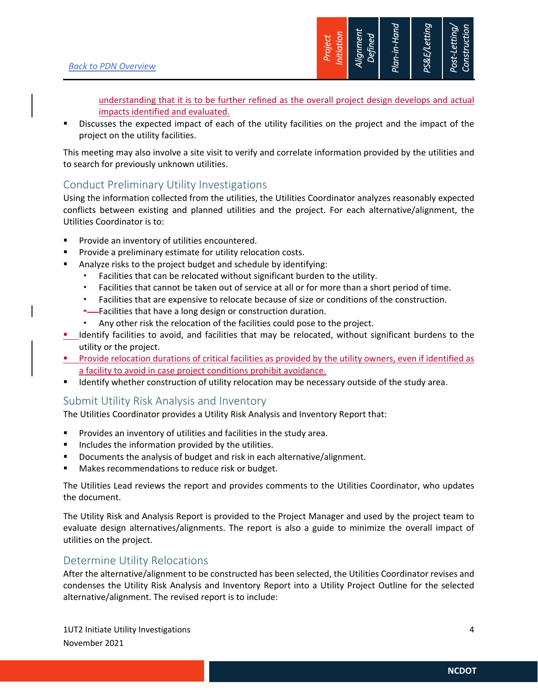

understanding that it is to be further refined as the overall project design develops and actual impacts identified and evaluated.

 Discusses the expected impact of each of the utility facilities on the project and the impact of the project on the utility facilities.

This meeting may also involve a site visit to verify and correlate information provided by the utilities and to search for previously unknown utilities.

## Conduct Preliminary Utility Investigations

Using the information collected from the utilities, the Utilities Coordinator analyzes reasonably expected conflicts between existing and planned utilities and the project. For each alternative/alignment, the Utilities Coordinator is to:

- Provide an inventory of utilities encountered.
- Provide a preliminary estimate for utility relocation costs.
- Analyze risks to the project budget and schedule by identifying:
	- Facilities that can be relocated without significant burden to the utility.
	- Facilities that cannot be taken out of service at all or for more than a short period of time.
	- Facilities that are expensive to relocate because of size or conditions of the construction.
	- **\***——Facilities that have a long design or construction duration.
	- Any other risk the relocation of the facilities could pose to the project.
- I ldentify facilities to avoid, and facilities that may be relocated, without significant burdens to the utility or the project.
- Provide relocation durations of critical facilities as provided by the utility owners, even if identified as a facility to avoid in case project conditions prohibit avoidance.
- **If all identify whether construction of utility relocation may be necessary outside of the study area.**

## Submit Utility Risk Analysis and Inventory

The Utilities Coordinator provides a Utility Risk Analysis and Inventory Report that:

- **Provides an inventory of utilities and facilities in the study area.**
- **Includes the information provided by the utilities.**
- Documents the analysis of budget and risk in each alternative/alignment.
- Makes recommendations to reduce risk or budget.

The Utilities Lead reviews the report and provides comments to the Utilities Coordinator, who updates the document.

The Utility Risk and Analysis Report is provided to the Project Manager and used by the project team to evaluate design alternatives/alignments. The report is also a guide to minimize the overall impact of utilities on the project.

## Determine Utility Relocations

After the alternative/alignment to be constructed has been selected, the Utilities Coordinator revises and condenses the Utility Risk Analysis and Inventory Report into a Utility Project Outline for the selected alternative/alignment. The revised report is to include: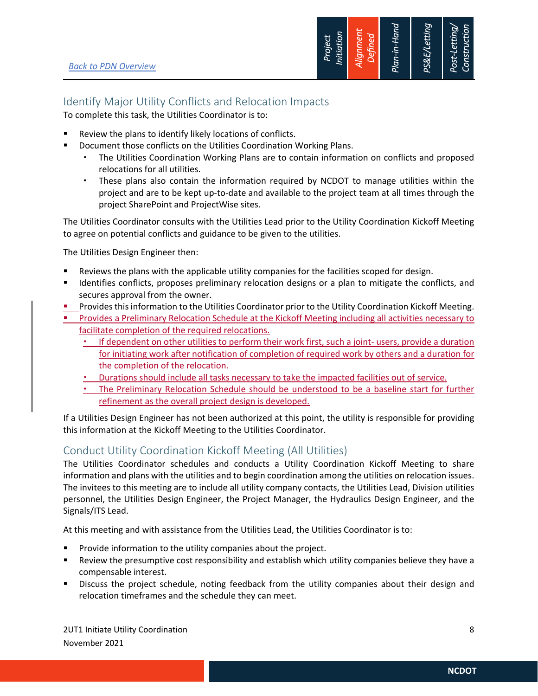

## Identify Major Utility Conflicts and Relocation Impacts

To complete this task, the Utilities Coordinator is to:

- Review the plans to identify likely locations of conflicts.
- **Document those conflicts on the Utilities Coordination Working Plans.** 
	- The Utilities Coordination Working Plans are to contain information on conflicts and proposed relocations for all utilities.
	- These plans also contain the information required by NCDOT to manage utilities within the project and are to be kept up-to-date and available to the project team at all times through the project SharePoint and ProjectWise sites.

The Utilities Coordinator consults with the Utilities Lead prior to the Utility Coordination Kickoff Meeting to agree on potential conflicts and guidance to be given to the utilities.

The Utilities Design Engineer then:

- Reviews the plans with the applicable utility companies for the facilities scoped for design.
- **If I**dentifies conflicts, proposes preliminary relocation designs or a plan to mitigate the conflicts, and secures approval from the owner.
- **Provides this information to the Utilities Coordinator prior to the Utility Coordination Kickoff Meeting.**
- **Provides a Preliminary Relocation Schedule at the Kickoff Meeting including all activities necessary to** facilitate completion of the required relocations.
	- \* If dependent on other utilities to perform their work first, such a joint- users, provide a duration for initiating work after notification of completion of required work by others and a duration for the completion of the relocation.
	- Durations should include all tasks necessary to take the impacted facilities out of service.
	- The Preliminary Relocation Schedule should be understood to be a baseline start for further refinement as the overall project design is developed.

If a Utilities Design Engineer has not been authorized at this point, the utility is responsible for providing this information at the Kickoff Meeting to the Utilities Coordinator.

## Conduct Utility Coordination Kickoff Meeting (All Utilities)

The Utilities Coordinator schedules and conducts a Utility Coordination Kickoff Meeting to share information and plans with the utilities and to begin coordination among the utilities on relocation issues. The invitees to this meeting are to include all utility company contacts, the Utilities Lead, Division utilities personnel, the Utilities Design Engineer, the Project Manager, the Hydraulics Design Engineer, and the Signals/ITS Lead.

At this meeting and with assistance from the Utilities Lead, the Utilities Coordinator is to:

- Provide information to the utility companies about the project.
- Review the presumptive cost responsibility and establish which utility companies believe they have a compensable interest.
- Discuss the project schedule, noting feedback from the utility companies about their design and relocation timeframes and the schedule they can meet.

2UT1 Initiate Utility Coordination 8 November 2021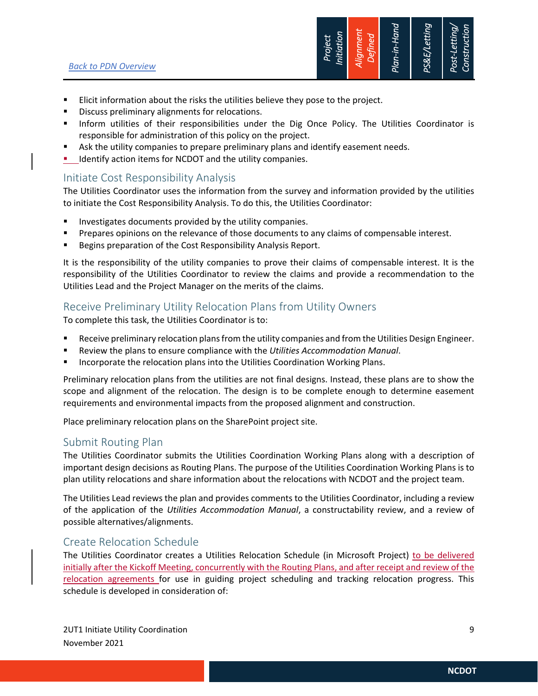

- **Elicit information about the risks the utilities believe they pose to the project.**
- Discuss preliminary alignments for relocations.
- Inform utilities of their responsibilities under the Dig Once Policy. The Utilities Coordinator is responsible for administration of this policy on the project.
- Ask the utility companies to prepare preliminary plans and identify easement needs.
- I Identify action items for NCDOT and the utility companies.

## Initiate Cost Responsibility Analysis

The Utilities Coordinator uses the information from the survey and information provided by the utilities to initiate the Cost Responsibility Analysis. To do this, the Utilities Coordinator:

- Investigates documents provided by the utility companies.
- Prepares opinions on the relevance of those documents to any claims of compensable interest.
- Begins preparation of the Cost Responsibility Analysis Report.

It is the responsibility of the utility companies to prove their claims of compensable interest. It is the responsibility of the Utilities Coordinator to review the claims and provide a recommendation to the Utilities Lead and the Project Manager on the merits of the claims.

## Receive Preliminary Utility Relocation Plans from Utility Owners

To complete this task, the Utilities Coordinator is to:

- Receive preliminary relocation plans from the utility companies and from the Utilities Design Engineer.
- Review the plans to ensure compliance with the *Utilities Accommodation Manual*.
- Incorporate the relocation plans into the Utilities Coordination Working Plans.

Preliminary relocation plans from the utilities are not final designs. Instead, these plans are to show the scope and alignment of the relocation. The design is to be complete enough to determine easement requirements and environmental impacts from the proposed alignment and construction.

Place preliminary relocation plans on the SharePoint project site.

### Submit Routing Plan

The Utilities Coordinator submits the Utilities Coordination Working Plans along with a description of important design decisions as Routing Plans. The purpose of the Utilities Coordination Working Plans is to plan utility relocations and share information about the relocations with NCDOT and the project team.

The Utilities Lead reviews the plan and provides comments to the Utilities Coordinator, including a review of the application of the *Utilities Accommodation Manual*, a constructability review, and a review of possible alternatives/alignments.

## Create Relocation Schedule

The Utilities Coordinator creates a Utilities Relocation Schedule (in Microsoft Project) to be delivered initially after the Kickoff Meeting, concurrently with the Routing Plans, and after receipt and review of the relocation agreements for use in guiding project scheduling and tracking relocation progress. This schedule is developed in consideration of: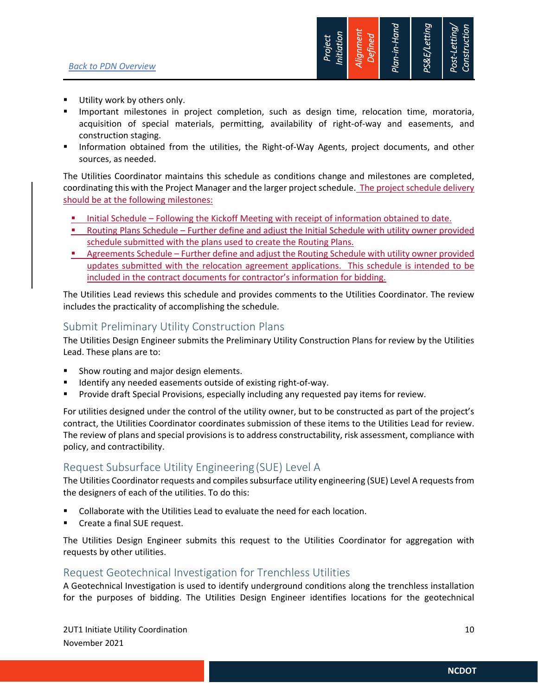

- **Utility work by others only.**
- **Important milestones in project completion, such as design time, relocation time, moratoria,** acquisition of special materials, permitting, availability of right-of-way and easements, and construction staging.
- **Information obtained from the utilities, the Right-of-Way Agents, project documents, and other** sources, as needed.

The Utilities Coordinator maintains this schedule as conditions change and milestones are completed, coordinating this with the Project Manager and the larger project schedule. The project schedule delivery should be at the following milestones:

- **Initial Schedule Following the Kickoff Meeting with receipt of information obtained to date.**
- Routing Plans Schedule Further define and adjust the Initial Schedule with utility owner provided schedule submitted with the plans used to create the Routing Plans.
- Agreements Schedule Further define and adjust the Routing Schedule with utility owner provided updates submitted with the relocation agreement applications. This schedule is intended to be included in the contract documents for contractor's information for bidding.

The Utilities Lead reviews this schedule and provides comments to the Utilities Coordinator. The review includes the practicality of accomplishing the schedule.

### Submit Preliminary Utility Construction Plans

The Utilities Design Engineer submits the Preliminary Utility Construction Plans for review by the Utilities Lead. These plans are to:

- Show routing and major design elements.
- Identify any needed easements outside of existing right-of-way.
- Provide draft Special Provisions, especially including any requested pay items for review.

For utilities designed under the control of the utility owner, but to be constructed as part of the project's contract, the Utilities Coordinator coordinates submission of these items to the Utilities Lead for review. The review of plans and special provisions is to address constructability, risk assessment, compliance with policy, and contractibility.

## Request Subsurface Utility Engineering(SUE) Level A

The Utilities Coordinator requests and compiles subsurface utility engineering (SUE) Level A requests from the designers of each of the utilities. To do this:

- Collaborate with the Utilities Lead to evaluate the need for each location.
- Create a final SUE request.

The Utilities Design Engineer submits this request to the Utilities Coordinator for aggregation with requests by other utilities.

### Request Geotechnical Investigation for Trenchless Utilities

A Geotechnical Investigation is used to identify underground conditions along the trenchless installation for the purposes of bidding. The Utilities Design Engineer identifies locations for the geotechnical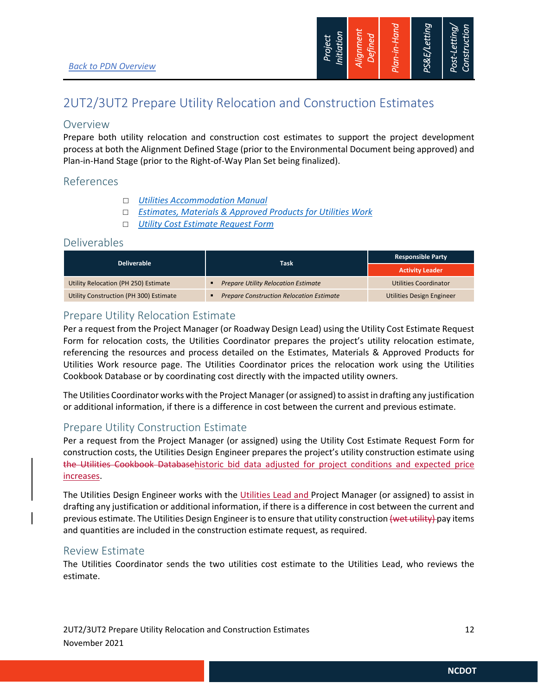

## 2UT2/3UT2 Prepare Utility Relocation and Construction Estimates

#### Overview

Prepare both utility relocation and construction cost estimates to support the project development process at both the Alignment Defined Stage (prior to the Environmental Document being approved) and Plan-in-Hand Stage (prior to the Right-of-Way Plan Set being finalized).

### References

- *Utilities Accommodation Manual*
- *Estimates, Materials & Approved Products for Utilities Work*
- *Utility Cost Estimate Request Form*

### Deliverables

| <b>Deliverable</b>                     |                                                 | <b>Responsible Party</b>         |  |
|----------------------------------------|-------------------------------------------------|----------------------------------|--|
|                                        | <b>Task</b>                                     | <b>Activity Leader</b>           |  |
| Utility Relocation (PH 250) Estimate   | <b>Prepare Utility Relocation Estimate</b>      | Utilities Coordinator            |  |
| Utility Construction (PH 300) Estimate | <b>Prepare Construction Relocation Estimate</b> | <b>Utilities Design Engineer</b> |  |

### Prepare Utility Relocation Estimate

Per a request from the Project Manager (or Roadway Design Lead) using the Utility Cost Estimate Request Form for relocation costs, the Utilities Coordinator prepares the project's utility relocation estimate, referencing the resources and process detailed on the Estimates, Materials & Approved Products for Utilities Work resource page. The Utilities Coordinator prices the relocation work using the Utilities Cookbook Database or by coordinating cost directly with the impacted utility owners.

The Utilities Coordinator works with the Project Manager (or assigned) to assist in drafting any justification or additional information, if there is a difference in cost between the current and previous estimate.

## Prepare Utility Construction Estimate

Per a request from the Project Manager (or assigned) using the Utility Cost Estimate Request Form for construction costs, the Utilities Design Engineer prepares the project's utility construction estimate using the Utilities Cookbook Databasehistoric bid data adjusted for project conditions and expected price increases.

The Utilities Design Engineer works with the Utilities Lead and Project Manager (or assigned) to assist in drafting any justification or additional information, if there is a difference in cost between the current and previous estimate. The Utilities Design Engineer is to ensure that utility construction (wet utility) pay items and quantities are included in the construction estimate request, as required.

### Review Estimate

The Utilities Coordinator sends the two utilities cost estimate to the Utilities Lead, who reviews the estimate.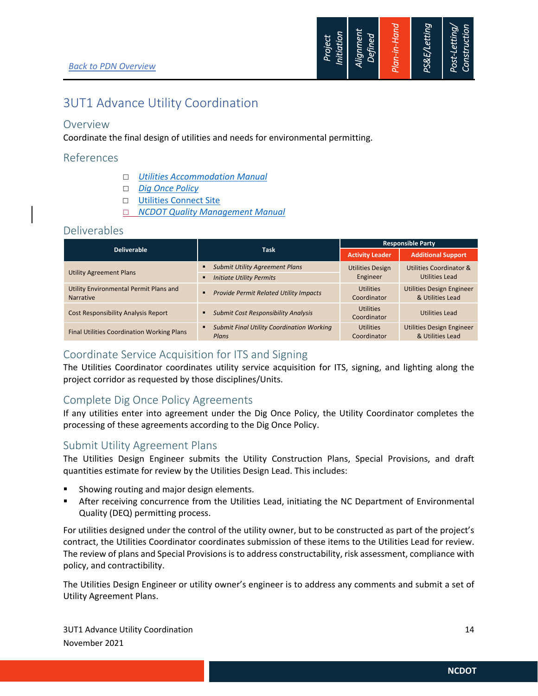

## 3UT1 Advance Utility Coordination

#### Overview

Coordinate the final design of utilities and needs for environmental permitting.

#### References

- *Utilities Accommodation Manual*
- *Dig Once Policy*
- Utilities Connect Site
- *NCDOT Quality Management Manual*

#### Deliverables

|                                                            |                                                                 | <b>Responsible Party</b>        |                                                      |
|------------------------------------------------------------|-----------------------------------------------------------------|---------------------------------|------------------------------------------------------|
| <b>Deliverable</b>                                         | <b>Task</b>                                                     | <b>Activity Leader</b>          | <b>Additional Support</b>                            |
|                                                            | <b>Submit Utility Agreement Plans</b><br>٠                      | <b>Utilities Design</b>         | Utilities Coordinator &                              |
| <b>Utility Agreement Plans</b>                             | <b>Initiate Utility Permits</b><br>٠                            | Engineer                        | Utilities Lead                                       |
| Utility Environmental Permit Plans and<br><b>Narrative</b> | <b>Provide Permit Related Utility Impacts</b><br>$\blacksquare$ | <b>Utilities</b><br>Coordinator | <b>Utilities Design Engineer</b><br>& Utilities Lead |
| <b>Cost Responsibility Analysis Report</b>                 | <b>Submit Cost Responsibility Analysis</b><br>٠                 | <b>Utilities</b><br>Coordinator | Utilities Lead                                       |
| <b>Final Utilities Coordination Working Plans</b>          | <b>Submit Final Utility Coordination Working</b><br>٠<br>Plans  | <b>Utilities</b><br>Coordinator | <b>Utilities Design Engineer</b><br>& Utilities Lead |

## Coordinate Service Acquisition for ITS and Signing

The Utilities Coordinator coordinates utility service acquisition for ITS, signing, and lighting along the project corridor as requested by those disciplines/Units.

## Complete Dig Once Policy Agreements

If any utilities enter into agreement under the Dig Once Policy, the Utility Coordinator completes the processing of these agreements according to the Dig Once Policy.

### Submit Utility Agreement Plans

The Utilities Design Engineer submits the Utility Construction Plans, Special Provisions, and draft quantities estimate for review by the Utilities Design Lead. This includes:

- Showing routing and major design elements.
- After receiving concurrence from the Utilities Lead, initiating the NC Department of Environmental Quality (DEQ) permitting process.

For utilities designed under the control of the utility owner, but to be constructed as part of the project's contract, the Utilities Coordinator coordinates submission of these items to the Utilities Lead for review. The review of plans and Special Provisions is to address constructability, risk assessment, compliance with policy, and contractibility.

The Utilities Design Engineer or utility owner's engineer is to address any comments and submit a set of Utility Agreement Plans.

3UT1 Advance Utility Coordination 14 November 2021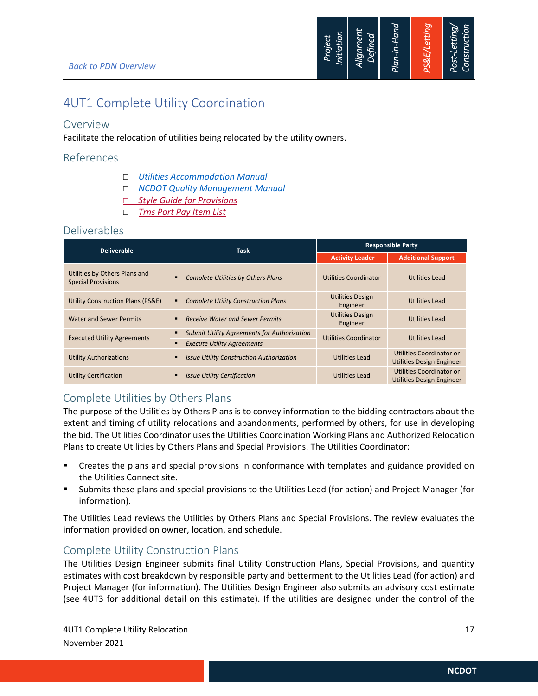

## 4UT1 Complete Utility Coordination

### Overview

Facilitate the relocation of utilities being relocated by the utility owners.

### References

- *Utilities Accommodation Manual*
- *NCDOT Quality Management Manual*
- *Style Guide for Provisions*
- *Trns Port Pay Item List*

#### Deliverables

| <b>Deliverable</b>                                         | <b>Task</b>                                        | <b>Responsible Party</b>            |                                                       |
|------------------------------------------------------------|----------------------------------------------------|-------------------------------------|-------------------------------------------------------|
|                                                            |                                                    | <b>Activity Leader</b>              | <b>Additional Support</b>                             |
| Utilities by Others Plans and<br><b>Special Provisions</b> | <b>Complete Utilities by Others Plans</b>          | Utilities Coordinator               | Utilities Lead                                        |
| Utility Construction Plans (PS&E)                          | <b>Complete Utility Construction Plans</b>         | <b>Utilities Design</b><br>Engineer | Utilities Lead                                        |
| <b>Water and Sewer Permits</b>                             | <b>Receive Water and Sewer Permits</b>             | <b>Utilities Design</b><br>Engineer | Utilities Lead                                        |
| <b>Executed Utility Agreements</b>                         | <b>Submit Utility Agreements for Authorization</b> | <b>Utilities Coordinator</b>        | Utilities Lead                                        |
|                                                            | <b>Execute Utility Agreements</b>                  |                                     |                                                       |
| <b>Utility Authorizations</b>                              | <b>Issue Utility Construction Authorization</b>    | <b>Utilities Lead</b>               | Utilities Coordinator or<br>Utilities Design Engineer |
| <b>Utility Certification</b>                               | <b>Issue Utility Certification</b>                 | Utilities Lead                      | Utilities Coordinator or<br>Utilities Design Engineer |

## Complete Utilities by Others Plans

The purpose of the Utilities by Others Plans is to convey information to the bidding contractors about the extent and timing of utility relocations and abandonments, performed by others, for use in developing the bid. The Utilities Coordinator uses the Utilities Coordination Working Plans and Authorized Relocation Plans to create Utilities by Others Plans and Special Provisions. The Utilities Coordinator:

- Creates the plans and special provisions in conformance with templates and guidance provided on the Utilities Connect site.
- Submits these plans and special provisions to the Utilities Lead (for action) and Project Manager (for information).

The Utilities Lead reviews the Utilities by Others Plans and Special Provisions. The review evaluates the information provided on owner, location, and schedule.

### Complete Utility Construction Plans

The Utilities Design Engineer submits final Utility Construction Plans, Special Provisions, and quantity estimates with cost breakdown by responsible party and betterment to the Utilities Lead (for action) and Project Manager (for information). The Utilities Design Engineer also submits an advisory cost estimate (see 4UT3 for additional detail on this estimate). If the utilities are designed under the control of the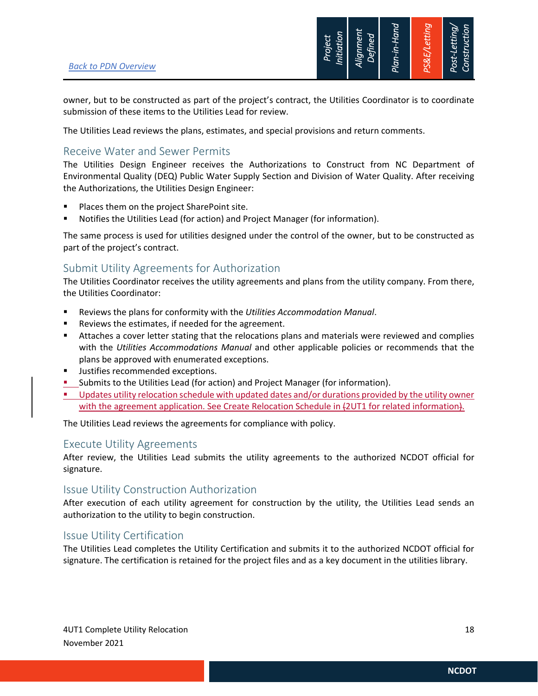

owner, but to be constructed as part of the project's contract, the Utilities Coordinator is to coordinate submission of these items to the Utilities Lead for review.

The Utilities Lead reviews the plans, estimates, and special provisions and return comments.

## Receive Water and Sewer Permits

The Utilities Design Engineer receives the Authorizations to Construct from NC Department of Environmental Quality (DEQ) Public Water Supply Section and Division of Water Quality. After receiving the Authorizations, the Utilities Design Engineer:

- Places them on the project SharePoint site.
- **Notifies the Utilities Lead (for action) and Project Manager (for information).**

The same process is used for utilities designed under the control of the owner, but to be constructed as part of the project's contract.

## Submit Utility Agreements for Authorization

The Utilities Coordinator receives the utility agreements and plans from the utility company. From there, the Utilities Coordinator:

- Reviews the plans for conformity with the *Utilities Accommodation Manual*.
- Reviews the estimates, if needed for the agreement.
- Attaches a cover letter stating that the relocations plans and materials were reviewed and complies with the *Utilities Accommodations Manual* and other applicable policies or recommends that the plans be approved with enumerated exceptions.
- Justifies recommended exceptions.
- Submits to the Utilities Lead (for action) and Project Manager (for information).
- **Updates utility relocation schedule with updated dates and/or durations provided by the utility owner** with the agreement application. See Create Relocation Schedule in  $\{2UT1$  for related information).

The Utilities Lead reviews the agreements for compliance with policy.

#### Execute Utility Agreements

After review, the Utilities Lead submits the utility agreements to the authorized NCDOT official for signature.

### Issue Utility Construction Authorization

After execution of each utility agreement for construction by the utility, the Utilities Lead sends an authorization to the utility to begin construction.

### Issue Utility Certification

The Utilities Lead completes the Utility Certification and submits it to the authorized NCDOT official for signature. The certification is retained for the project files and as a key document in the utilities library.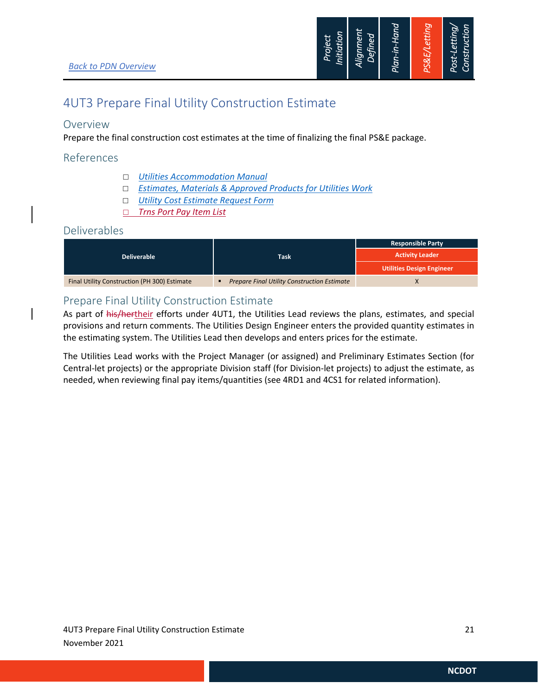

## 4UT3 Prepare Final Utility Construction Estimate

### Overview

Prepare the final construction cost estimates at the time of finalizing the final PS&E package.

### References

- *Utilities Accommodation Manual*
- *Estimates, Materials & Approved Products for Utilities Work*
- *Utility Cost Estimate Request Form*
- *Trns Port Pay Item List*

#### Deliverables

|                                              |                                                    | <b>Responsible Party</b>         |  |
|----------------------------------------------|----------------------------------------------------|----------------------------------|--|
| <b>Deliverable</b>                           | Task                                               | <b>Activity Leader</b>           |  |
|                                              |                                                    | <b>Utilities Design Engineer</b> |  |
| Final Utility Construction (PH 300) Estimate | <b>Prepare Final Utility Construction Estimate</b> |                                  |  |

## Prepare Final Utility Construction Estimate

As part of his/hertheir efforts under 4UT1, the Utilities Lead reviews the plans, estimates, and special provisions and return comments. The Utilities Design Engineer enters the provided quantity estimates in the estimating system. The Utilities Lead then develops and enters prices for the estimate.

The Utilities Lead works with the Project Manager (or assigned) and Preliminary Estimates Section (for Central-let projects) or the appropriate Division staff (for Division-let projects) to adjust the estimate, as needed, when reviewing final pay items/quantities (see 4RD1 and 4CS1 for related information).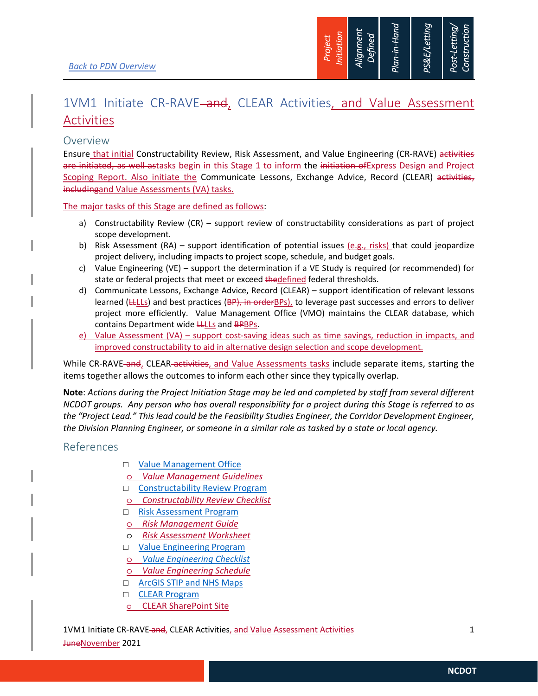

## 1VM1 Initiate CR-RAVE<del> and</del>, CLEAR Activities, and Value Assessment Activities

### Overview

Ensure that initial Constructability Review, Risk Assessment, and Value Engineering (CR-RAVE) activities are initiated, as well astasks begin in this Stage 1 to inform the initiation of Express Design and Project Scoping Report. Also initiate the Communicate Lessons, Exchange Advice, Record (CLEAR) activities, includingand Value Assessments (VA) tasks.

The major tasks of this Stage are defined as follows:

- a) Constructability Review (CR) support review of constructability considerations as part of project scope development.
- b) Risk Assessment (RA) support identification of potential issues  $(e.g.,$  risks) that could jeopardize project delivery, including impacts to project scope, schedule, and budget goals.
- c) Value Engineering (VE) support the determination if a VE Study is required (or recommended) for state or federal projects that meet or exceed thedefined federal thresholds.
- d) Communicate Lessons, Exchange Advice, Record (CLEAR) support identification of relevant lessons learned ( $LLLLs$ ) and best practices ( $BP$ ), in order $BPS$ ), to leverage past successes and errors to deliver project more efficiently. Value Management Office (VMO) maintains the CLEAR database, which contains Department wide **LLLLs** and **BPBPs**.
- e) Value Assessment (VA) support cost-saving ideas such as time savings, reduction in impacts, and improved constructability to aid in alternative design selection and scope development.

While CR-RAVE and, CLEAR activities, and Value Assessments tasks include separate items, starting the items together allows the outcomes to inform each other since they typically overlap.

**Note**: *Actions during the Project Initiation Stage may be led and completed by staff from several different NCDOT groups. Any person who has overall responsibility for a project during this Stage is referred to as the "Project Lead." This lead could be the Feasibility Studies Engineer, the Corridor Development Engineer, the Division Planning Engineer, or someone in a similar role as tasked by a state or local agency.* 

### References

- □ Value Management Office
- o *Value Management Guidelines*
- □ Constructability Review Program
- o *Constructability Review Checklist*
- □ Risk Assessment Program
- o *Risk Management Guide*
- o *Risk Assessment Worksheet*
- □ Value Engineering Program
- o *Value Engineering Checklist*
- o *Value Engineering Schedule*
- □ ArcGIS STIP and NHS Maps
- □ CLEAR Program
- o CLEAR SharePoint Site

1VM1 Initiate CR-RAVE and, CLEAR Activities, and Value Assessment Activities 1

JuneNovember 2021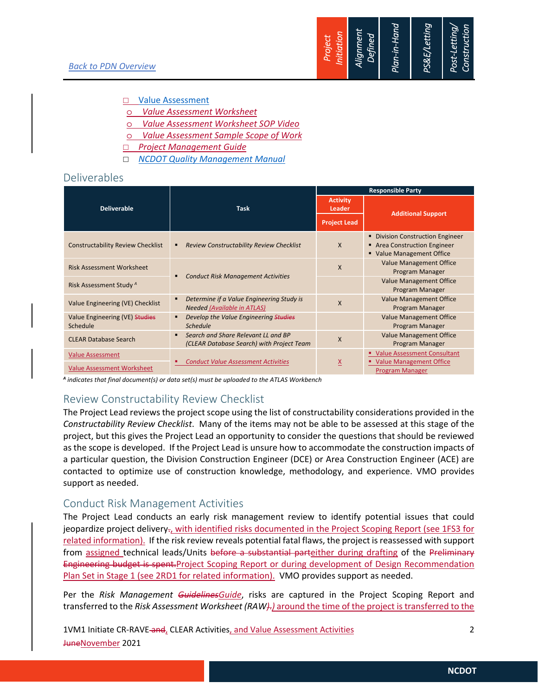#### □ Value Assessment

- o *Value Assessment Worksheet*
- o *Value Assessment Worksheet SOP Video*
- o *Value Assessment Sample Scope of Work*
- *Project Management Guide*
- *NCDOT Quality Management Manual*

#### Deliverables

|                                                              |                                                                                                    | <b>Responsible Party</b> |                                                                                           |  |
|--------------------------------------------------------------|----------------------------------------------------------------------------------------------------|--------------------------|-------------------------------------------------------------------------------------------|--|
| <b>Deliverable</b>                                           | <b>Task</b>                                                                                        |                          | <b>Additional Support</b>                                                                 |  |
|                                                              |                                                                                                    | <b>Project Lead</b>      |                                                                                           |  |
| <b>Constructability Review Checklist</b>                     | <b>Review Constructability Review Checklist</b><br>٠                                               | X                        | • Division Construction Engineer<br>Area Construction Engineer<br>Value Management Office |  |
| <b>Risk Assessment Worksheet</b>                             | п                                                                                                  | X                        | <b>Value Management Office</b><br>Program Manager                                         |  |
| Risk Assessment Study <sup>A</sup>                           | <b>Conduct Risk Management Activities</b>                                                          |                          | <b>Value Management Office</b><br>Program Manager                                         |  |
| Value Engineering (VE) Checklist                             | Determine if a Value Engineering Study is<br>$\blacksquare$<br><b>Needed (Available in ATLAS)</b>  | X                        | <b>Value Management Office</b><br>Program Manager                                         |  |
| Value Engineering (VE) Studies<br>Schedule                   | Develop the Value Engineering Studies<br>٠<br><b>Schedule</b>                                      |                          | <b>Value Management Office</b><br>Program Manager                                         |  |
| <b>CLEAR Database Search</b>                                 | Search and Share Relevant LL and BP<br>$\blacksquare$<br>(CLEAR Database Search) with Project Team | X                        | <b>Value Management Office</b><br>Program Manager                                         |  |
| <b>Value Assessment</b><br><b>Value Assessment Worksheet</b> | <b>Conduct Value Assessment Activities</b>                                                         | $\underline{x}$          | " Value Assessment Consultant<br>" Value Management Office<br>Program Manager             |  |

*<sup>A</sup> indicates that final document(s) or data set(s) must be uploaded to the ATLAS Workbench* 

## Review Constructability Review Checklist

The Project Lead reviews the project scope using the list of constructability considerations provided in the *Constructability Review Checklist*. Many of the items may not be able to be assessed at this stage of the project, but this gives the Project Lead an opportunity to consider the questions that should be reviewed as the scope is developed. If the Project Lead is unsure how to accommodate the construction impacts of a particular question, the Division Construction Engineer (DCE) or Area Construction Engineer (ACE) are contacted to optimize use of construction knowledge, methodology, and experience. VMO provides support as needed.

## Conduct Risk Management Activities

The Project Lead conducts an early risk management review to identify potential issues that could jeopardize project delivery<sub>7</sub>, with identified risks documented in the Project Scoping Report (see 1FS3 for related information). If the risk review reveals potential fatal flaws, the project is reassessed with support from assigned technical leads/Units before a substantial parteither during drafting of the Preliminary Engineering budget is spent.Project Scoping Report or during development of Design Recommendation Plan Set in Stage 1 (see 2RD1 for related information). VMO provides support as needed.

Per the *Risk Management GuidelinesGuide*, risks are captured in the Project Scoping Report and transferred to the *Risk Assessment Worksheet (RAW)*.*)* around the time of the project is transferred to the

1VM1 Initiate CR-RAVE and, CLEAR Activities, and Value Assessment Activities 2 JuneNovember 2021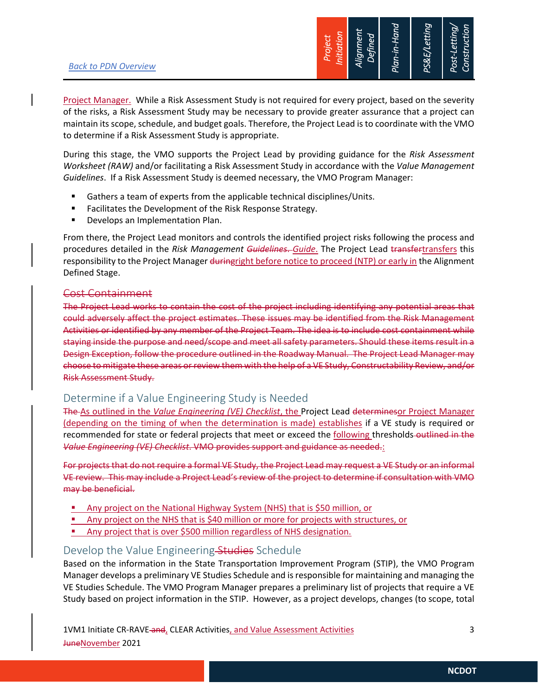

Project Manager. While a Risk Assessment Study is not required for every project, based on the severity of the risks, a Risk Assessment Study may be necessary to provide greater assurance that a project can maintain its scope, schedule, and budget goals. Therefore, the Project Lead is to coordinate with the VMO to determine if a Risk Assessment Study is appropriate.

During this stage, the VMO supports the Project Lead by providing guidance for the *Risk Assessment Worksheet (RAW)* and/or facilitating a Risk Assessment Study in accordance with the *Value Management Guidelines*. If a Risk Assessment Study is deemed necessary, the VMO Program Manager:

- Gathers a team of experts from the applicable technical disciplines/Units.
- **Facilitates the Development of the Risk Response Strategy.**
- **•** Develops an Implementation Plan.

From there, the Project Lead monitors and controls the identified project risks following the process and procedures detailed in the *Risk Management Guidelines*. *Guide*. The Project Lead transfertransfers this responsibility to the Project Manager duringright before notice to proceed (NTP) or early in the Alignment Defined Stage.

#### Cost Containment

The Project Lead works to contain the cost of the project including identifying any potential areas that could adversely affect the project estimates. These issues may be identified from the Risk Management Activities or identified by any member of the Project Team. The idea is to include cost containment while staying inside the purpose and need/scope and meet all safety parameters. Should these items result in a Design Exception, follow the procedure outlined in the Roadway Manual. The Project Lead Manager may choose to mitigate these areas or review them with the help of a VE Study, Constructability Review, and/or Risk Assessment Study.

### Determine if a Value Engineering Study is Needed

The As outlined in the *Value Engineering (VE) Checklist*, the Project Lead determinesor Project Manager (depending on the timing of when the determination is made) establishes if a VE study is required or recommended for state or federal projects that meet or exceed the following thresholds-outlined in the *Value Engineering (VE) Checklist*. VMO provides support and guidance as needed.:

For projects that do not require a formal VE Study, the Project Lead may request a VE Study or an informal VE review. This may include a Project Lead's review of the project to determine if consultation with VMO may be beneficial.

- **Any project on the National Highway System (NHS) that is \$50 million, or**
- Any project on the NHS that is \$40 million or more for projects with structures, or
- **Any project that is over \$500 million regardless of NHS designation.**

### Develop the Value Engineering-Studies Schedule

Based on the information in the State Transportation Improvement Program (STIP), the VMO Program Manager develops a preliminary VE Studies Schedule and is responsible for maintaining and managing the VE Studies Schedule. The VMO Program Manager prepares a preliminary list of projects that require a VE Study based on project information in the STIP. However, as a project develops, changes (to scope, total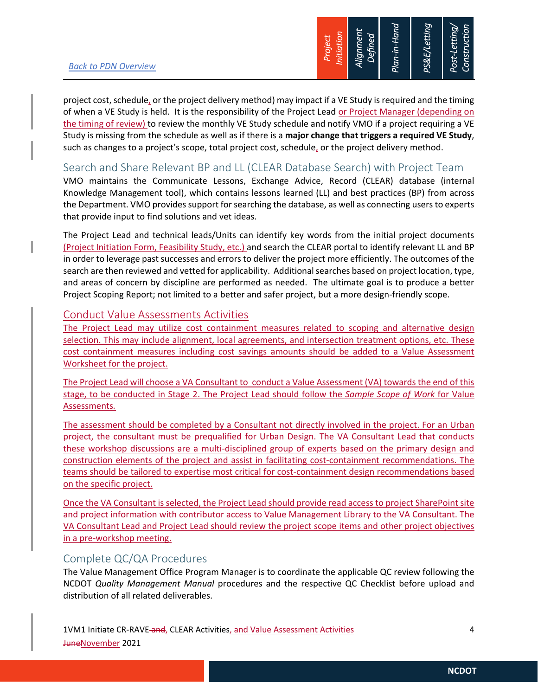

project cost, schedule, or the project delivery method) may impact if a VE Study is required and the timing of when a VE Study is held. It is the responsibility of the Project Lead or Project Manager (depending on the timing of review) to review the monthly VE Study schedule and notify VMO if a project requiring a VE Study is missing from the schedule as well as if there is a **major change that triggers a required VE Study**, such as changes to a project's scope, total project cost, schedule, or the project delivery method.

## Search and Share Relevant BP and LL (CLEAR Database Search) with Project Team

VMO maintains the Communicate Lessons, Exchange Advice, Record (CLEAR) database (internal Knowledge Management tool), which contains lessons learned (LL) and best practices (BP) from across the Department. VMO provides support for searching the database, as well as connecting users to experts that provide input to find solutions and vet ideas.

The Project Lead and technical leads/Units can identify key words from the initial project documents (Project Initiation Form, Feasibility Study, etc.) and search the CLEAR portal to identify relevant LL and BP in order to leverage past successes and errors to deliver the project more efficiently. The outcomes of the search are then reviewed and vetted for applicability. Additional searches based on project location, type, and areas of concern by discipline are performed as needed. The ultimate goal is to produce a better Project Scoping Report; not limited to a better and safer project, but a more design-friendly scope.

## Conduct Value Assessments Activities

The Project Lead may utilize cost containment measures related to scoping and alternative design selection. This may include alignment, local agreements, and intersection treatment options, etc. These cost containment measures including cost savings amounts should be added to a Value Assessment Worksheet for the project.

The Project Lead will choose a VA Consultant to conduct a Value Assessment (VA) towards the end of this stage, to be conducted in Stage 2. The Project Lead should follow the *Sample Scope of Work* for Value Assessments*.* 

The assessment should be completed by a Consultant not directly involved in the project. For an Urban project, the consultant must be prequalified for Urban Design. The VA Consultant Lead that conducts these workshop discussions are a multi-disciplined group of experts based on the primary design and construction elements of the project and assist in facilitating cost-containment recommendations. The teams should be tailored to expertise most critical for cost-containment design recommendations based on the specific project.

Once the VA Consultant is selected, the Project Lead should provide read access to project SharePoint site and project information with contributor access to Value Management Library to the VA Consultant. The VA Consultant Lead and Project Lead should review the project scope items and other project objectives in a pre-workshop meeting.

## Complete QC/QA Procedures

The Value Management Office Program Manager is to coordinate the applicable QC review following the NCDOT *Quality Management Manual* procedures and the respective QC Checklist before upload and distribution of all related deliverables.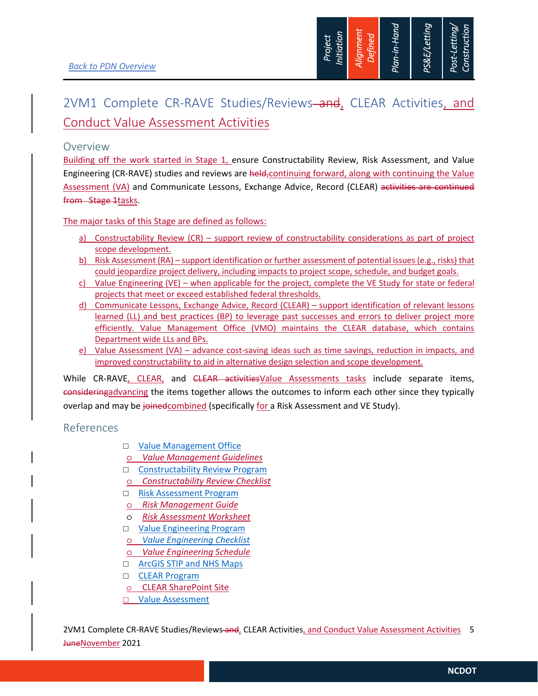

# 2VM1 Complete CR-RAVE Studies/Reviews-and, CLEAR Activities, and Conduct Value Assessment Activities

#### Overview

Building off the work started in Stage 1, ensure Constructability Review, Risk Assessment, and Value Engineering (CR-RAVE) studies and reviews are held, continuing forward, along with continuing the Value Assessment (VA) and Communicate Lessons, Exchange Advice, Record (CLEAR) activities are continued from Stage 1tasks.

The major tasks of this Stage are defined as follows:

- a) Constructability Review (CR) support review of constructability considerations as part of project scope development.
- b) Risk Assessment (RA) support identification or further assessment of potential issues (e.g., risks) that could jeopardize project delivery, including impacts to project scope, schedule, and budget goals.
- c) Value Engineering (VE) when applicable for the project, complete the VE Study for state or federal projects that meet or exceed established federal thresholds.
- d) Communicate Lessons, Exchange Advice, Record (CLEAR) support identification of relevant lessons learned (LL) and best practices (BP) to leverage past successes and errors to deliver project more efficiently. Value Management Office (VMO) maintains the CLEAR database, which contains Department wide LLs and BPs.
- e) Value Assessment (VA) advance cost-saving ideas such as time savings, reduction in impacts, and improved constructability to aid in alternative design selection and scope development.

While CR-RAVE, CLEAR, and CLEAR activitiesValue Assessments tasks include separate items, consideringadvancing the items together allows the outcomes to inform each other since they typically overlap and may be joinedcombined (specifically for a Risk Assessment and VE Study).

## References

- □ Value Management Office
- o *Value Management Guidelines*
- □ Constructability Review Program
- o *Constructability Review Checklist*
- □ Risk Assessment Program
- o *Risk Management Guide*
- o *Risk Assessment Worksheet*
- □ Value Engineering Program
- o *Value Engineering Checklist*
- o *Value Engineering Schedule*
- □ ArcGIS STIP and NHS Maps
- CLEAR Program
- o CLEAR SharePoint Site
- **D** Value Assessment

2VM1 Complete CR-RAVE Studies/Reviews and, CLEAR Activities, and Conduct Value Assessment Activities 5 JuneNovember 2021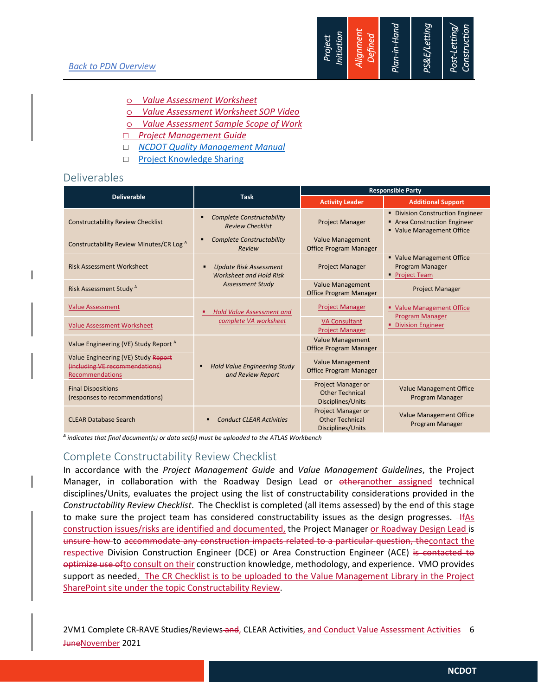

- o *Value Assessment Worksheet*
- o *Value Assessment Worksheet SOP Video*
- o *Value Assessment Sample Scope of Work*
- *Project Management Guide*
- *NCDOT Quality Management Manual*
- □ Project Knowledge Sharing

#### Deliverables

|                                                                                          |                                                                 | <b>Responsible Party</b>                                                 |                                                                                           |
|------------------------------------------------------------------------------------------|-----------------------------------------------------------------|--------------------------------------------------------------------------|-------------------------------------------------------------------------------------------|
| <b>Deliverable</b>                                                                       | <b>Task</b>                                                     | <b>Activity Leader</b>                                                   | <b>Additional Support</b>                                                                 |
| <b>Constructability Review Checklist</b>                                                 | <b>Complete Constructability</b><br><b>Review Checklist</b>     | <b>Project Manager</b>                                                   | • Division Construction Engineer<br>Area Construction Engineer<br>Value Management Office |
| Constructability Review Minutes/CR Log A                                                 | <b>Complete Constructability</b><br>Review                      | <b>Value Management</b><br><b>Office Program Manager</b>                 |                                                                                           |
| <b>Risk Assessment Worksheet</b>                                                         | <b>Update Risk Assessment</b><br><b>Worksheet and Hold Risk</b> | <b>Project Manager</b>                                                   | • Value Management Office<br>Program Manager<br>• Project Team                            |
| Risk Assessment Study <sup>A</sup>                                                       | <b>Assessment Study</b>                                         | <b>Value Management</b><br><b>Office Program Manager</b>                 | <b>Project Manager</b>                                                                    |
| <b>Value Assessment</b>                                                                  | <b>Hold Value Assessment and</b>                                | <b>Project Manager</b>                                                   | " Value Management Office                                                                 |
| <b>Value Assessment Worksheet</b>                                                        | complete VA worksheet                                           | <b>VA Consultant</b><br><b>Project Manager</b>                           | Program Manager<br>• Division Engineer                                                    |
| Value Engineering (VE) Study Report <sup>A</sup>                                         | <b>Hold Value Engineering Study</b><br>and Review Report        | <b>Value Management</b><br><b>Office Program Manager</b>                 |                                                                                           |
| Value Engineering (VE) Study Report<br>(including VE recommendations)<br>Recommendations |                                                                 | <b>Value Management</b><br><b>Office Program Manager</b>                 |                                                                                           |
| <b>Final Dispositions</b><br>(responses to recommendations)                              |                                                                 | <b>Project Manager or</b><br><b>Other Technical</b><br>Disciplines/Units | <b>Value Management Office</b><br>Program Manager                                         |
| <b>CLEAR Database Search</b>                                                             | <b>Conduct CLEAR Activities</b><br>п                            | <b>Project Manager or</b><br><b>Other Technical</b><br>Disciplines/Units | <b>Value Management Office</b><br>Program Manager                                         |

*<sup>A</sup> indicates that final document(s) or data set(s) must be uploaded to the ATLAS Workbench* 

## Complete Constructability Review Checklist

In accordance with the *Project Management Guide* and *Value Management Guidelines*, the Project Manager, in collaboration with the Roadway Design Lead or otheranother assigned technical disciplines/Units, evaluates the project using the list of constructability considerations provided in the *Constructability Review Checklist*. The Checklist is completed (all items assessed) by the end of this stage to make sure the project team has considered constructability issues as the design progresses. + fAs construction issues/risks are identified and documented, the Project Manager or Roadway Design Lead is unsure how to accommodate any construction impacts related to a particular question, thecontact the respective Division Construction Engineer (DCE) or Area Construction Engineer (ACE) is contacted to optimize use ofto consult on their construction knowledge, methodology, and experience. VMO provides support as needed. The CR Checklist is to be uploaded to the Value Management Library in the Project SharePoint site under the topic Constructability Review.

2VM1 Complete CR-RAVE Studies/Reviews and, CLEAR Activities, and Conduct Value Assessment Activities 6 JuneNovember 2021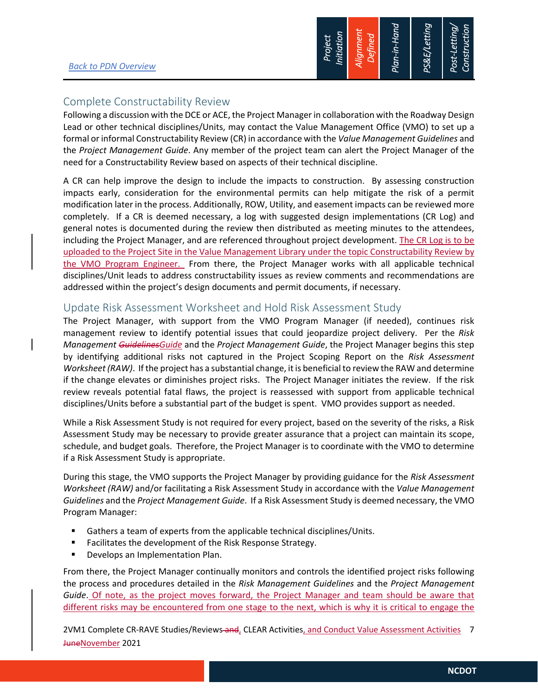

## Complete Constructability Review

Following a discussion with the DCE or ACE, the Project Manager in collaboration with the Roadway Design Lead or other technical disciplines/Units, may contact the Value Management Office (VMO) to set up a formal or informal Constructability Review (CR) in accordance with the *Value Management Guidelines* and the *Project Management Guide*. Any member of the project team can alert the Project Manager of the need for a Constructability Review based on aspects of their technical discipline.

A CR can help improve the design to include the impacts to construction. By assessing construction impacts early, consideration for the environmental permits can help mitigate the risk of a permit modification later in the process. Additionally, ROW, Utility, and easement impacts can be reviewed more completely. If a CR is deemed necessary, a log with suggested design implementations (CR Log) and general notes is documented during the review then distributed as meeting minutes to the attendees, including the Project Manager, and are referenced throughout project development. The CR Log is to be uploaded to the Project Site in the Value Management Library under the topic Constructability Review by the VMO Program Engineer. From there, the Project Manager works with all applicable technical disciplines/Unit leads to address constructability issues as review comments and recommendations are addressed within the project's design documents and permit documents, if necessary.

### Update Risk Assessment Worksheet and Hold Risk Assessment Study

The Project Manager, with support from the VMO Program Manager (if needed), continues risk management review to identify potential issues that could jeopardize project delivery. Per the *Risk Management GuidelinesGuide* and the *Project Management Guide*, the Project Manager begins this step by identifying additional risks not captured in the Project Scoping Report on the *Risk Assessment Worksheet (RAW)*. If the project has a substantial change, it is beneficial to review the RAW and determine if the change elevates or diminishes project risks. The Project Manager initiates the review. If the risk review reveals potential fatal flaws, the project is reassessed with support from applicable technical disciplines/Units before a substantial part of the budget is spent. VMO provides support as needed.

While a Risk Assessment Study is not required for every project, based on the severity of the risks, a Risk Assessment Study may be necessary to provide greater assurance that a project can maintain its scope, schedule, and budget goals. Therefore, the Project Manager is to coordinate with the VMO to determine if a Risk Assessment Study is appropriate.

During this stage, the VMO supports the Project Manager by providing guidance for the *Risk Assessment Worksheet (RAW)* and/or facilitating a Risk Assessment Study in accordance with the *Value Management Guidelines* and the *Project Management Guide*. If a Risk Assessment Study is deemed necessary, the VMO Program Manager:

- Gathers a team of experts from the applicable technical disciplines/Units.
- **Facilitates the development of the Risk Response Strategy.**
- Develops an Implementation Plan.

From there, the Project Manager continually monitors and controls the identified project risks following the process and procedures detailed in the *Risk Management Guidelines* and the *Project Management Guide*. Of note, as the project moves forward, the Project Manager and team should be aware that different risks may be encountered from one stage to the next, which is why it is critical to engage the

2VM1 Complete CR-RAVE Studies/Reviews and, CLEAR Activities, and Conduct Value Assessment Activities 7 JuneNovember 2021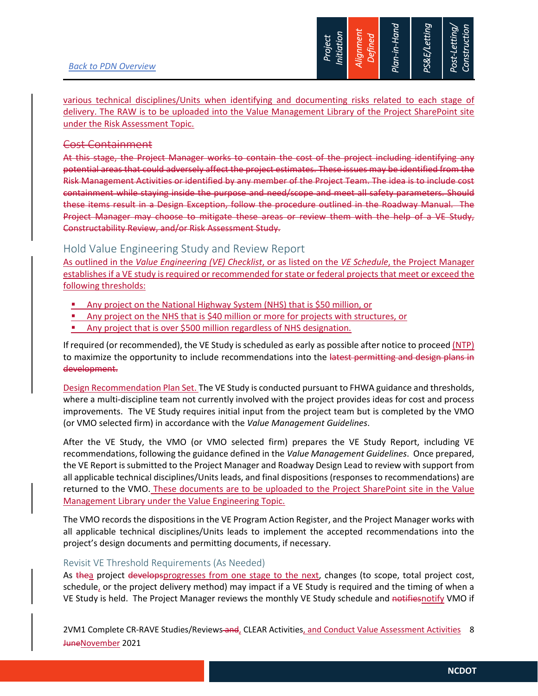

various technical disciplines/Units when identifying and documenting risks related to each stage of delivery. The RAW is to be uploaded into the Value Management Library of the Project SharePoint site under the Risk Assessment Topic.

#### Cost Containment

At this stage, the Project Manager works to contain the cost of the project including identifying any potential areas that could adversely affect the project estimates. These issues may be identified from the Risk Management Activities or identified by any member of the Project Team. The idea is to include cost containment while staying inside the purpose and need/scope and meet all safety parameters. Should these items result in a Design Exception, follow the procedure outlined in the Roadway Manual. The Project Manager may choose to mitigate these areas or review them with the help of a VE Study, Constructability Review, and/or Risk Assessment Study.

## Hold Value Engineering Study and Review Report

As outlined in the *Value Engineering (VE) Checklist*, or as listed on the *VE Schedule*, the Project Manager establishes if a VE study is required or recommended for state or federal projects that meet or exceed the following thresholds:

- Any project on the National Highway System (NHS) that is \$50 million, or
- Any project on the NHS that is \$40 million or more for projects with structures, or
- **Any project that is over \$500 million regardless of NHS designation.**

If required (or recommended), the VE Study is scheduled as early as possible after notice to proceed (NTP) to maximize the opportunity to include recommendations into the latest permitting and design plans in development.

Design Recommendation Plan Set. The VE Study is conducted pursuant to FHWA guidance and thresholds, where a multi-discipline team not currently involved with the project provides ideas for cost and process improvements. The VE Study requires initial input from the project team but is completed by the VMO (or VMO selected firm) in accordance with the *Value Management Guidelines*.

After the VE Study, the VMO (or VMO selected firm) prepares the VE Study Report, including VE recommendations, following the guidance defined in the *Value Management Guidelines*. Once prepared, the VE Report is submitted to the Project Manager and Roadway Design Lead to review with support from all applicable technical disciplines/Units leads, and final dispositions (responses to recommendations) are returned to the VMO. These documents are to be uploaded to the Project SharePoint site in the Value Management Library under the Value Engineering Topic.

The VMO records the dispositions in the VE Program Action Register, and the Project Manager works with all applicable technical disciplines/Units leads to implement the accepted recommendations into the project's design documents and permitting documents, if necessary.

#### Revisit VE Threshold Requirements (As Needed)

As thea project developsprogresses from one stage to the next, changes (to scope, total project cost, schedule, or the project delivery method) may impact if a VE Study is required and the timing of when a VE Study is held. The Project Manager reviews the monthly VE Study schedule and notifiesnotify VMO if

2VM1 Complete CR-RAVE Studies/Reviews and, CLEAR Activities, and Conduct Value Assessment Activities 8 JuneNovember 2021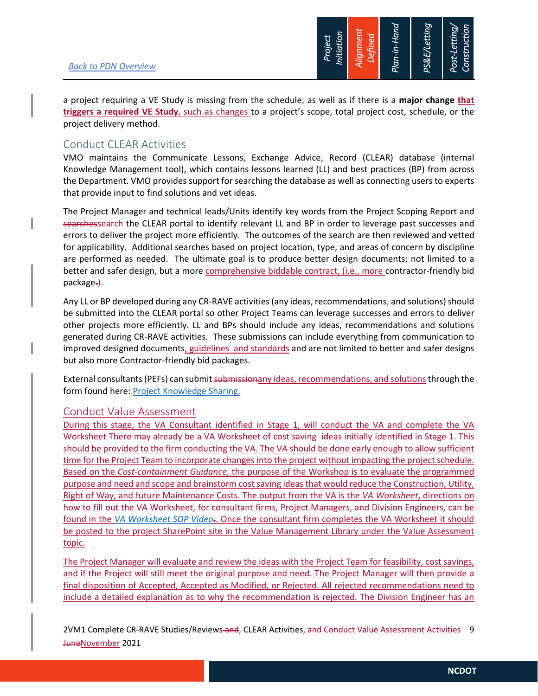

a project requiring a VE Study is missing from the schedule, as well as if there is a **major change that triggers a required VE Study**, such as changes to a project's scope, total project cost, schedule, or the project delivery method.

### Conduct CLEAR Activities

VMO maintains the Communicate Lessons, Exchange Advice, Record (CLEAR) database (internal Knowledge Management tool), which contains lessons learned (LL) and best practices (BP) from across the Department. VMO provides support for searching the database as well as connecting users to experts that provide input to find solutions and vet ideas.

The Project Manager and technical leads/Units identify key words from the Project Scoping Report and searchessearch the CLEAR portal to identify relevant LL and BP in order to leverage past successes and errors to deliver the project more efficiently. The outcomes of the search are then reviewed and vetted for applicability. Additional searches based on project location, type, and areas of concern by discipline are performed as needed. The ultimate goal is to produce better design documents; not limited to a better and safer design, but a more comprehensive biddable contract, (i.e., more contractor-friendly bid package-).

Any LL or BP developed during any CR-RAVE activities (any ideas, recommendations, and solutions) should be submitted into the CLEAR portal so other Project Teams can leverage successes and errors to deliver other projects more efficiently. LL and BPs should include any ideas, recommendations and solutions generated during CR-RAVE activities. These submissions can include everything from communication to improved designed documents, guidelines and standards and are not limited to better and safer designs but also more Contractor-friendly bid packages.

External consultants (PEFs) can submit submissionany ideas, recommendations, and solutions through the form found here: **Project Knowledge Sharing.** 

### Conduct Value Assessment

During this stage, the VA Consultant identified in Stage 1, will conduct the VA and complete the VA Worksheet There may already be a VA Worksheet of cost saving ideas initially identified in Stage 1. This should be provided to the firm conducting the VA. The VA should be done early enough to allow sufficient time for the Project Team to incorporate changes into the project without impacting the project schedule. Based on the *Cost-containment Guidance*, the purpose of the Workshop is to evaluate the programmed purpose and need and scope and brainstorm cost saving ideas that would reduce the Construction, Utility, Right of Way, and future Maintenance Costs. The output from the VA is the *VA Worksheet*, directions on how to fill out the VA Worksheet, for consultant firms, Project Managers, and Division Engineers, can be found in the *VA Worksheet SOP Video*.. Once the consultant firm completes the VA Worksheet it should be posted to the project SharePoint site in the Value Management Library under the Value Assessment topic.

The Project Manager will evaluate and review the ideas with the Project Team for feasibility, cost savings, and if the Project will still meet the original purpose and need. The Project Manager will then provide a final disposition of Accepted, Accepted as Modified, or Rejected. All rejected recommendations need to include a detailed explanation as to why the recommendation is rejected. The Division Engineer has an

2VM1 Complete CR-RAVE Studies/Reviews and, CLEAR Activities, and Conduct Value Assessment Activities 9 JuneNovember 2021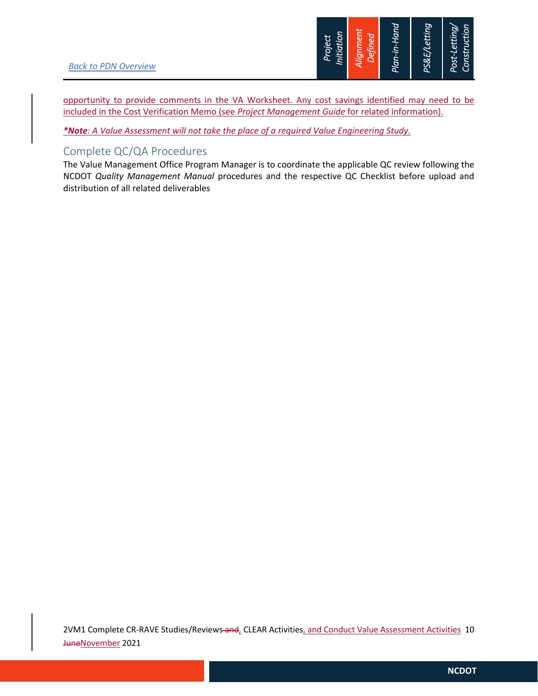

opportunity to provide comments in the VA Worksheet. Any cost savings identified may need to be included in the Cost Verification Memo (see *Project Management Guide* for related information).

*\*Note: A Value Assessment will not take the place of a required Value Engineering Study.* 

## Complete QC/QA Procedures

The Value Management Office Program Manager is to coordinate the applicable QC review following the NCDOT *Quality Management Manual* procedures and the respective QC Checklist before upload and distribution of all related deliverables

2VM1 Complete CR-RAVE Studies/Reviews and, CLEAR Activities, and Conduct Value Assessment Activities 10 JuneNovember 2021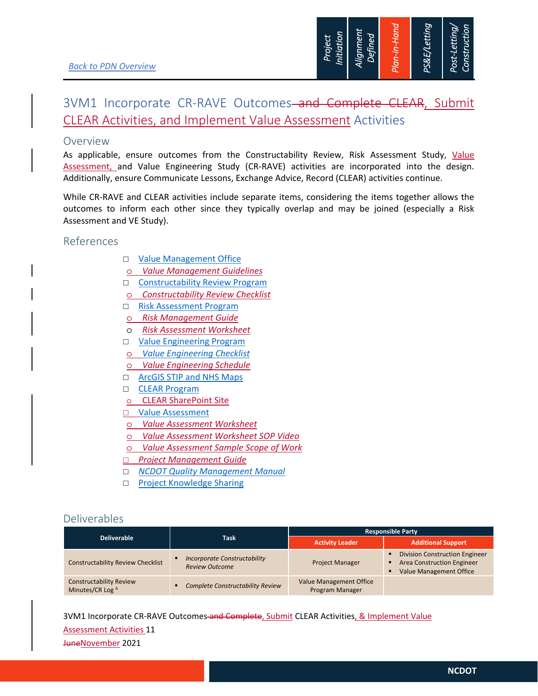

## 3VM1 Incorporate CR-RAVE Outcomes-and Complete CLEAR, Submit CLEAR Activities, and Implement Value Assessment Activities

#### Overview

As applicable, ensure outcomes from the Constructability Review, Risk Assessment Study, Value Assessment, and Value Engineering Study (CR-RAVE) activities are incorporated into the design. Additionally, ensure Communicate Lessons, Exchange Advice, Record (CLEAR) activities continue.

While CR-RAVE and CLEAR activities include separate items, considering the items together allows the outcomes to inform each other since they typically overlap and may be joined (especially a Risk Assessment and VE Study).

### References

- □ Value Management Office
- o *Value Management Guidelines*
- □ Constructability Review Program
- o *Constructability Review Checklist*
- □ Risk Assessment Program
- o *Risk Management Guide*
- o *Risk Assessment Worksheet*
- □ Value Engineering Program
- o *Value Engineering Checklist*
- o *Value Engineering Schedule*
- □ ArcGIS STIP and NHS Maps
- D **CLEAR Program**
- o CLEAR SharePoint Site
- □ Value Assessment
- o *Value Assessment Worksheet*
- o *Value Assessment Worksheet SOP Video*
- o *Value Assessment Sample Scope of Work*
- *Project Management Guide*
- *NCDOT Quality Management Manual*
- □ Project Knowledge Sharing

### Deliverables

| <b>Deliverable</b>                                 | <b>Task</b>                                                  | <b>Responsible Party</b>                          |                                                                                                              |  |
|----------------------------------------------------|--------------------------------------------------------------|---------------------------------------------------|--------------------------------------------------------------------------------------------------------------|--|
|                                                    |                                                              | <b>Activity Leader</b>                            | <b>Additional Support</b>                                                                                    |  |
| <b>Constructability Review Checklist</b>           | <b>Incorporate Constructability</b><br><b>Review Outcome</b> | <b>Project Manager</b>                            | <b>Division Construction Engineer</b><br><b>Area Construction Engineer</b><br><b>Value Management Office</b> |  |
| <b>Constructability Review</b><br>Minutes/CR Log A | <b>Complete Constructability Review</b><br>$\blacksquare$    | <b>Value Management Office</b><br>Program Manager |                                                                                                              |  |

3VM1 Incorporate CR-RAVE Outcomes and Complete, Submit CLEAR Activities, & Implement Value

#### Assessment Activities 11

JuneNovember 2021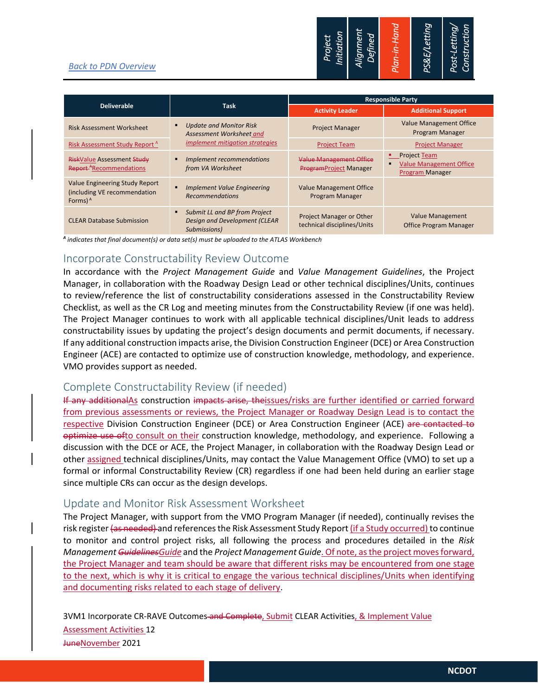#### *Back to PDN Overview*



|                                                                              |                                                                                | <b>Responsible Party</b>                                        |                                                                            |  |
|------------------------------------------------------------------------------|--------------------------------------------------------------------------------|-----------------------------------------------------------------|----------------------------------------------------------------------------|--|
| <b>Deliverable</b>                                                           | <b>Task</b>                                                                    | <b>Activity Leader</b>                                          | <b>Additional Support</b>                                                  |  |
| <b>Risk Assessment Worksheet</b>                                             | <b>Update and Monitor Risk</b><br>Assessment Worksheet and                     | <b>Project Manager</b>                                          | <b>Value Management Office</b><br>Program Manager                          |  |
| Risk Assessment Study Report <sup>A</sup>                                    | implement mitigation strategies                                                | <b>Project Team</b>                                             | <b>Project Manager</b>                                                     |  |
| <b>RiskValue Assessment Study</b><br>Report <sup>A</sup> Recommendations     | Implement recommendations<br>from VA Worksheet                                 | <b>Value Management Office</b><br><b>ProgramProject Manager</b> | <b>•</b> Project Team<br><b>Value Management Office</b><br>Program Manager |  |
| Value Engineering Study Report<br>(including VE recommendation<br>Forms) $A$ | <b>Implement Value Engineering</b><br><b>Recommendations</b>                   | <b>Value Management Office</b><br>Program Manager               |                                                                            |  |
| <b>CLEAR Database Submission</b>                                             | Submit LL and BP from Project<br>Design and Development (CLEAR<br>Submissions) | Project Manager or Other<br>technical disciplines/Units         | <b>Value Management</b><br><b>Office Program Manager</b>                   |  |

*<sup>A</sup> indicates that final document(s) or data set(s) must be uploaded to the ATLAS Workbench* 

### Incorporate Constructability Review Outcome

In accordance with the *Project Management Guide* and *Value Management Guidelines*, the Project Manager, in collaboration with the Roadway Design Lead or other technical disciplines/Units, continues to review/reference the list of constructability considerations assessed in the Constructability Review Checklist, as well as the CR Log and meeting minutes from the Constructability Review (if one was held). The Project Manager continues to work with all applicable technical disciplines/Unit leads to address constructability issues by updating the project's design documents and permit documents, if necessary. If any additional construction impacts arise, the Division Construction Engineer (DCE) or Area Construction Engineer (ACE) are contacted to optimize use of construction knowledge, methodology, and experience. VMO provides support as needed.

## Complete Constructability Review (if needed)

If any additionalAs construction impacts arise, theissues/risks are further identified or carried forward from previous assessments or reviews, the Project Manager or Roadway Design Lead is to contact the respective Division Construction Engineer (DCE) or Area Construction Engineer (ACE) are contacted to optimize use ofto consult on their construction knowledge, methodology, and experience. Following a discussion with the DCE or ACE, the Project Manager, in collaboration with the Roadway Design Lead or other assigned technical disciplines/Units, may contact the Value Management Office (VMO) to set up a formal or informal Constructability Review (CR) regardless if one had been held during an earlier stage since multiple CRs can occur as the design develops.

### Update and Monitor Risk Assessment Worksheet

The Project Manager, with support from the VMO Program Manager (if needed), continually revises the risk register (as needed) and references the Risk Assessment Study Report (if a Study occurred) to continue to monitor and control project risks, all following the process and procedures detailed in the *Risk Management GuidelinesGuide* and the *Project Management Guide*. Of note, as the project moves forward, the Project Manager and team should be aware that different risks may be encountered from one stage to the next, which is why it is critical to engage the various technical disciplines/Units when identifying and documenting risks related to each stage of delivery.

3VM1 Incorporate CR-RAVE Outcomes and Complete, Submit CLEAR Activities, & Implement Value

Assessment Activities 12 JuneNovember 2021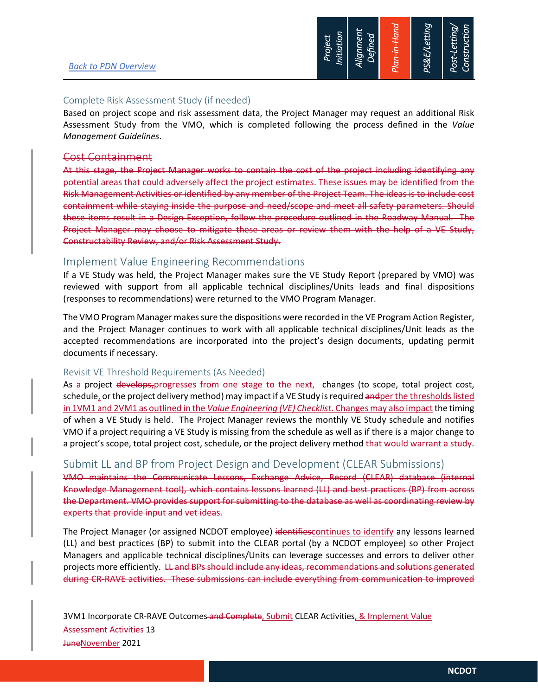

#### Complete Risk Assessment Study (if needed)

Based on project scope and risk assessment data, the Project Manager may request an additional Risk Assessment Study from the VMO, which is completed following the process defined in the *Value Management Guidelines*.

#### Cost Containment

At this stage, the Project Manager works to contain the cost of the project including identifying any potential areas that could adversely affect the project estimates. These issues may be identified from the Risk Management Activities or identified by any member of the Project Team. The ideas is to include cost containment while staying inside the purpose and need/scope and meet all safety parameters. Should these items result in a Design Exception, follow the procedure outlined in the Roadway Manual. The Project Manager may choose to mitigate these areas or review them with the help of a VE Study, Constructability Review, and/or Risk Assessment Study.

#### Implement Value Engineering Recommendations

If a VE Study was held, the Project Manager makes sure the VE Study Report (prepared by VMO) was reviewed with support from all applicable technical disciplines/Units leads and final dispositions (responses to recommendations) were returned to the VMO Program Manager.

The VMO Program Manager makes sure the dispositions were recorded in the VE Program Action Register, and the Project Manager continues to work with all applicable technical disciplines/Unit leads as the accepted recommendations are incorporated into the project's design documents, updating permit documents if necessary.

#### Revisit VE Threshold Requirements (As Needed)

As a project develops, progresses from one stage to the next, changes (to scope, total project cost, schedule, or the project delivery method) may impact if a VE Study is required andper the thresholds listed in 1VM1 and 2VM1 as outlined in the *Value Engineering (VE) Checklist*. Changes may also impact the timing of when a VE Study is held. The Project Manager reviews the monthly VE Study schedule and notifies VMO if a project requiring a VE Study is missing from the schedule as well as if there is a major change to a project's scope, total project cost, schedule, or the project delivery method that would warrant a study.

#### Submit LL and BP from Project Design and Development (CLEAR Submissions)

VMO maintains the Communicate Lessons, Exchange Advice, Record (CLEAR) database (internal Knowledge Management tool), which contains lessons learned (LL) and best practices (BP) from across the Department. VMO provides support for submitting to the database as well as coordinating review by experts that provide input and vet ideas.

The Project Manager (or assigned NCDOT employee) identifiescontinues to identify any lessons learned (LL) and best practices (BP) to submit into the CLEAR portal (by a NCDOT employee) so other Project Managers and applicable technical disciplines/Units can leverage successes and errors to deliver other projects more efficiently. LL and BPs should include any ideas, recommendations and solutions generated during CR-RAVE activities. These submissions can include everything from communication to improved

3VM1 Incorporate CR-RAVE Outcomes and Complete, Submit CLEAR Activities, & Implement Value Assessment Activities 13 JuneNovember 2021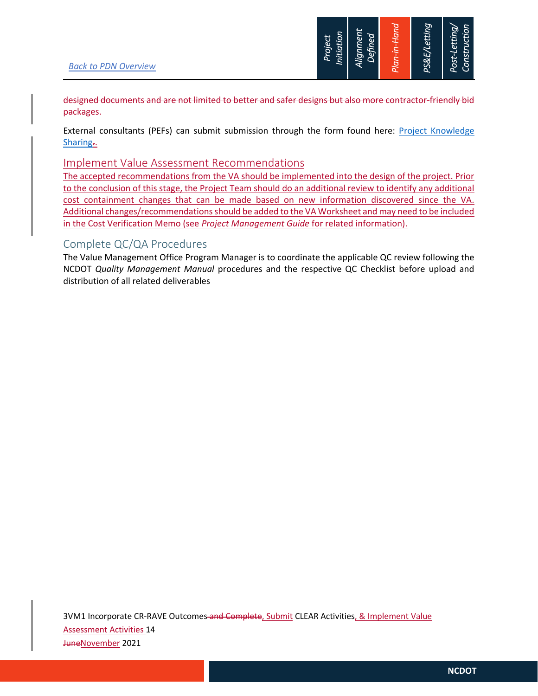

designed documents and are not limited to better and safer designs but also more contractor-friendly bid packages.

External consultants (PEFs) can submit submission through the form found here: Project Knowledge Sharing..

#### Implement Value Assessment Recommendations

The accepted recommendations from the VA should be implemented into the design of the project. Prior to the conclusion of this stage, the Project Team should do an additional review to identify any additional cost containment changes that can be made based on new information discovered since the VA. Additional changes/recommendations should be added to the VA Worksheet and may need to be included in the Cost Verification Memo (see *Project Management Guide* for related information).

#### Complete QC/QA Procedures

The Value Management Office Program Manager is to coordinate the applicable QC review following the NCDOT *Quality Management Manual* procedures and the respective QC Checklist before upload and distribution of all related deliverables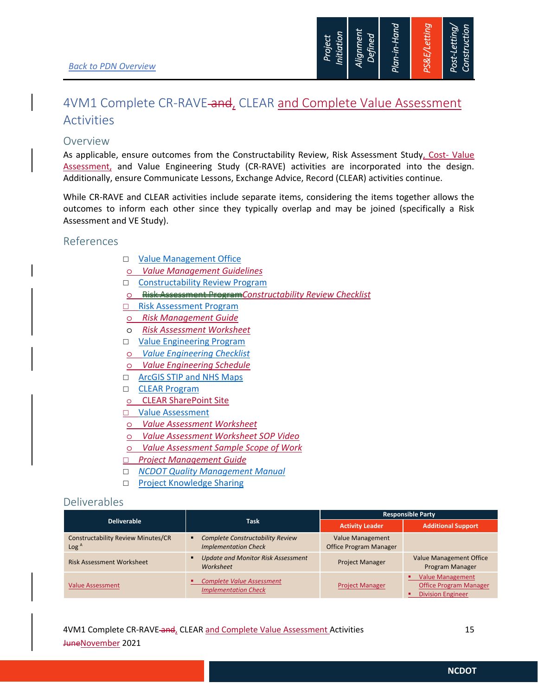

## 4VM1 Complete CR-RAVE-and, CLEAR and Complete Value Assessment Activities

### Overview

As applicable, ensure outcomes from the Constructability Review, Risk Assessment Study, Cost- Value Assessment, and Value Engineering Study (CR-RAVE) activities are incorporated into the design. Additionally, ensure Communicate Lessons, Exchange Advice, Record (CLEAR) activities continue.

While CR-RAVE and CLEAR activities include separate items, considering the items together allows the outcomes to inform each other since they typically overlap and may be joined (specifically a Risk Assessment and VE Study).

### References

- □ Value Management Office
- o *Value Management Guidelines*
- □ Constructability Review Program
- o Risk Assessment Program*Constructability Review Checklist*
- □ Risk Assessment Program
- o *Risk Management Guide*
- o *Risk Assessment Worksheet*
- □ Value Engineering Program
- o *Value Engineering Checklist*
- o *Value Engineering Schedule*
- □ ArcGIS STIP and NHS Maps
- □ CLEAR Program
- o CLEAR SharePoint Site
- □ Value Assessment
- o *Value Assessment Worksheet*
- o *Value Assessment Worksheet SOP Video*
- o *Value Assessment Sample Scope of Work*
- *Project Management Guide*
- *NCDOT Quality Management Manual*
- □ Project Knowledge Sharing

## Deliverables

|                                                               |                                                                        | <b>Responsible Party</b>                                 |                                                                                      |
|---------------------------------------------------------------|------------------------------------------------------------------------|----------------------------------------------------------|--------------------------------------------------------------------------------------|
| <b>Deliverable</b>                                            | <b>Task</b>                                                            | <b>Activity Leader</b>                                   | <b>Additional Support</b>                                                            |
| <b>Constructability Review Minutes/CR</b><br>Log <sup>A</sup> | <b>Complete Constructability Review</b><br><b>Implementation Check</b> | <b>Value Management</b><br><b>Office Program Manager</b> |                                                                                      |
| <b>Risk Assessment Worksheet</b>                              | <b>Update and Monitor Risk Assessment</b><br>Worksheet                 | <b>Project Manager</b>                                   | <b>Value Management Office</b><br>Program Manager                                    |
| <b>Value Assessment</b>                                       | <b>Complete Value Assessment</b><br><b>Implementation Check</b>        | <b>Project Manager</b>                                   | <b>Value Management</b><br><b>Office Program Manager</b><br><b>Division Engineer</b> |

4VM1 Complete CR-RAVE and CLEAR and Complete Value Assessment Activities 15 JuneNovember 2021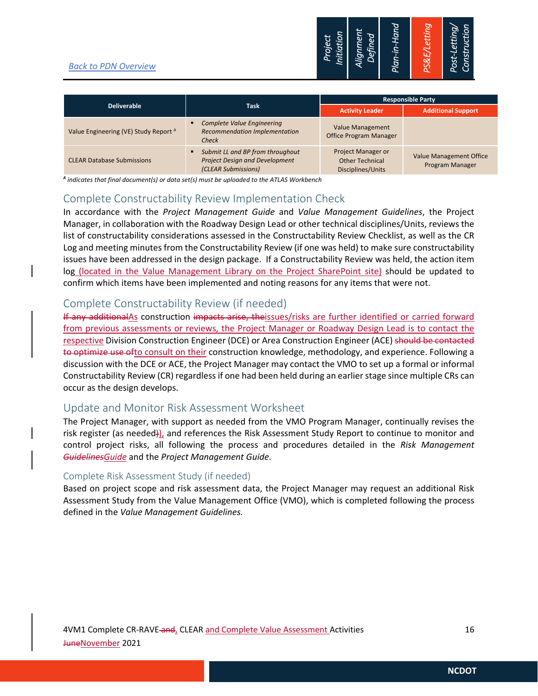#### *Back to PDN Overview*



| <b>Deliverable</b>                               |                                                                                                  | <b>Responsible Party</b>                                          |                                                   |
|--------------------------------------------------|--------------------------------------------------------------------------------------------------|-------------------------------------------------------------------|---------------------------------------------------|
|                                                  | <b>Task</b>                                                                                      | <b>Activity Leader</b>                                            | <b>Additional Support</b>                         |
| Value Engineering (VE) Study Report <sup>A</sup> | Complete Value Engineering<br><b>Recommendation Implementation</b><br>Check                      | Value Management<br><b>Office Program Manager</b>                 |                                                   |
| <b>CLEAR Database Submissions</b>                | Submit LL and BP from throughout<br><b>Project Design and Development</b><br>(CLEAR Submissions) | Project Manager or<br><b>Other Technical</b><br>Disciplines/Units | <b>Value Management Office</b><br>Program Manager |

*<sup>A</sup> indicates that final document(s) or data set(s) must be uploaded to the ATLAS Workbench* 

### Complete Constructability Review Implementation Check

In accordance with the *Project Management Guide* and *Value Management Guidelines*, the Project Manager, in collaboration with the Roadway Design Lead or other technical disciplines/Units, reviews the list of constructability considerations assessed in the Constructability Review Checklist, as well as the CR Log and meeting minutes from the Constructability Review (if one was held) to make sure constructability issues have been addressed in the design package. If a Constructability Review was held, the action item log (located in the Value Management Library on the Project SharePoint site) should be updated to confirm which items have been implemented and noting reasons for any items that were not.

### Complete Constructability Review (if needed)

If any additionalAs construction impacts arise, theissues/risks are further identified or carried forward from previous assessments or reviews, the Project Manager or Roadway Design Lead is to contact the respective Division Construction Engineer (DCE) or Area Construction Engineer (ACE) should be contacted to optimize use ofto consult on their construction knowledge, methodology, and experience. Following a discussion with the DCE or ACE, the Project Manager may contact the VMO to set up a formal or informal Constructability Review (CR) regardless if one had been held during an earlier stage since multiple CRs can occur as the design develops.

### Update and Monitor Risk Assessment Worksheet

The Project Manager, with support as needed from the VMO Program Manager, continually revises the risk register (as needed)), and references the Risk Assessment Study Report to continue to monitor and control project risks, all following the process and procedures detailed in the *Risk Management GuidelinesGuide* and the *Project Management Guide*.

#### Complete Risk Assessment Study (if needed)

Based on project scope and risk assessment data, the Project Manager may request an additional Risk Assessment Study from the Value Management Office (VMO), which is completed following the process defined in the *Value Management Guidelines.*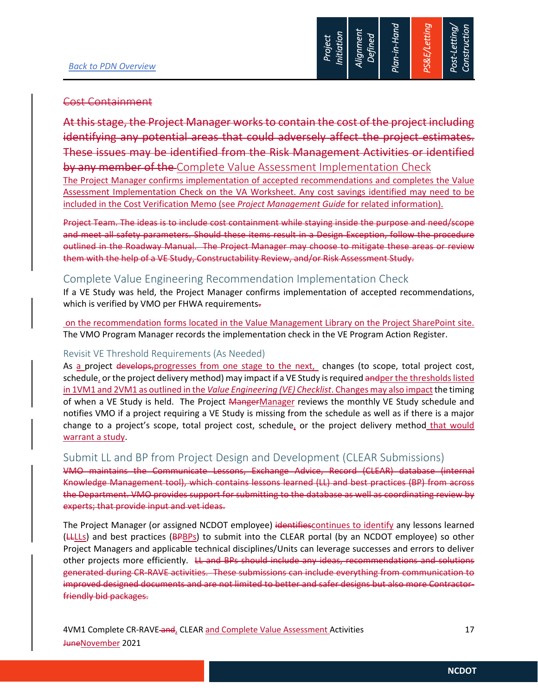

#### Cost Containment

this stage, the Project Manager works to contain the cost of the project including identifying any potential areas that could adversely affect the project estimates. These issues may be identified from the Risk Management Activities or identified by any member of the Complete Value Assessment Implementation Check

The Project Manager confirms implementation of accepted recommendations and completes the Value Assessment Implementation Check on the VA Worksheet. Any cost savings identified may need to be included in the Cost Verification Memo (see *Project Management Guide* for related information).

Project Team. The ideas is to include cost containment while staying inside the purpose and need/scope and meet all safety parameters. Should these items result in a Design Exception, follow the procedure outlined in the Roadway Manual. The Project Manager may choose to mitigate these areas or review them with the help of a VE Study, Constructability Review, and/or Risk Assessment Study.

## Complete Value Engineering Recommendation Implementation Check

If a VE Study was held, the Project Manager confirms implementation of accepted recommendations, which is verified by VMO per FHWA requirements-

 on the recommendation forms located in the Value Management Library on the Project SharePoint site. The VMO Program Manager records the implementation check in the VE Program Action Register.

#### Revisit VE Threshold Requirements (As Needed)

As a project develops, progresses from one stage to the next, changes (to scope, total project cost, schedule, or the project delivery method) may impact if a VE Study is required andper the thresholds listed in 1VM1 and 2VM1 as outlined in the *Value Engineering (VE) Checklist*. Changes may also impact the timing of when a VE Study is held. The Project MangerManager reviews the monthly VE Study schedule and notifies VMO if a project requiring a VE Study is missing from the schedule as well as if there is a major change to a project's scope, total project cost, schedule, or the project delivery method that would warrant a study.

### Submit LL and BP from Project Design and Development (CLEAR Submissions)

VMO maintains the Communicate Lessons, Exchange Advice, Record (CLEAR) database (internal Knowledge Management tool), which contains lessons learned (LL) and best practices (BP) from across the Department. VMO provides support for submitting to the database as well as coordinating review by experts; that provide input and vet ideas.

The Project Manager (or assigned NCDOT employee) identifiescontinues to identify any lessons learned (LLLLs) and best practices (BPBPs) to submit into the CLEAR portal (by an NCDOT employee) so other Project Managers and applicable technical disciplines/Units can leverage successes and errors to deliver other projects more efficiently. LL and BPs should include any ideas, recommendations and solutions generated during CR-RAVE activities. These submissions can include everything from communication to improved designed documents and are not limited to better and safer designs but also more Contractorfriendly bid packages.

4VM1 Complete CR-RAVE and CLEAR and Complete Value Assessment Activities 17 JuneNovember 2021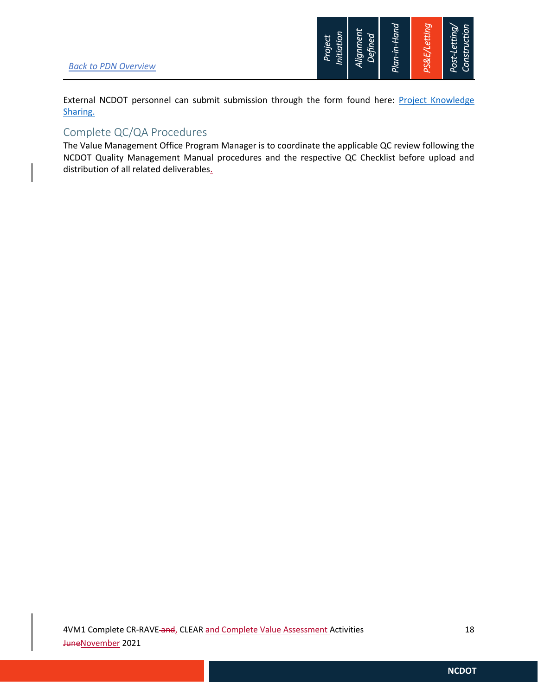

External NCDOT personnel can submit submission through the form found here: Project Knowledge Sharing.

## Complete QC/QA Procedures

The Value Management Office Program Manager is to coordinate the applicable QC review following the NCDOT Quality Management Manual procedures and the respective QC Checklist before upload and distribution of all related deliverables.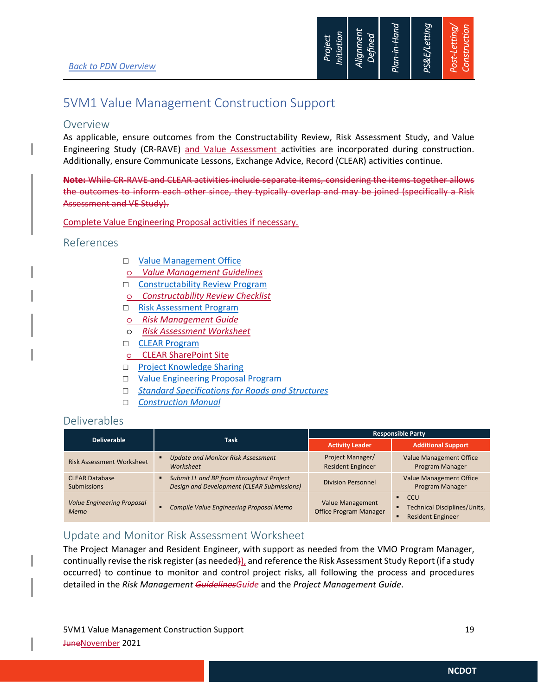

## 5VM1 Value Management Construction Support

#### Overview

As applicable, ensure outcomes from the Constructability Review, Risk Assessment Study, and Value Engineering Study (CR-RAVE) and Value Assessment activities are incorporated during construction. Additionally, ensure Communicate Lessons, Exchange Advice, Record (CLEAR) activities continue.

**Note:** While CR-RAVE and CLEAR activities include separate items, considering the items together allows the outcomes to inform each other since, they typically overlap and may be joined (specifically a Risk Assessment and VE Study).

Complete Value Engineering Proposal activities if necessary.

#### References

- □ Value Management Office
- o *Value Management Guidelines*
- Constructability Review Program
- o *Constructability Review Checklist*
- □ Risk Assessment Program
- o *Risk Management Guide*
- o *Risk Assessment Worksheet*
- □ CLEAR Program
- o CLEAR SharePoint Site
- □ Project Knowledge Sharing
- □ Value Engineering Proposal Program
- *Standard Specifications for Roads and Structures*
- *Construction Manual*

### Deliverables

|                                             |                                                                                        | <b>Responsible Party</b>                                 |                                                                                                 |  |
|---------------------------------------------|----------------------------------------------------------------------------------------|----------------------------------------------------------|-------------------------------------------------------------------------------------------------|--|
| <b>Deliverable</b>                          | <b>Task</b>                                                                            | <b>Activity Leader</b>                                   | <b>Additional Support</b>                                                                       |  |
| <b>Risk Assessment Worksheet</b>            | <b>Update and Monitor Risk Assessment</b><br>Worksheet                                 | Project Manager/<br><b>Resident Engineer</b>             | <b>Value Management Office</b><br>Program Manager                                               |  |
| <b>CLEAR Database</b><br><b>Submissions</b> | Submit LL and BP from throughout Project<br>Design and Development (CLEAR Submissions) | <b>Division Personnel</b>                                | <b>Value Management Office</b><br>Program Manager                                               |  |
| <b>Value Engineering Proposal</b><br>Memo   | Compile Value Engineering Proposal Memo                                                | <b>Value Management</b><br><b>Office Program Manager</b> | <b>CCU</b><br>$\blacksquare$<br><b>Technical Disciplines/Units,</b><br><b>Resident Engineer</b> |  |

## Update and Monitor Risk Assessment Worksheet

The Project Manager and Resident Engineer, with support as needed from the VMO Program Manager, continually revise the risk register (as needed)), and reference the Risk Assessment Study Report (if a study occurred) to continue to monitor and control project risks, all following the process and procedures detailed in the *Risk Management GuidelinesGuide* and the *Project Management Guide*.

5VM1 Value Management Construction Support 19 JuneNovember 2021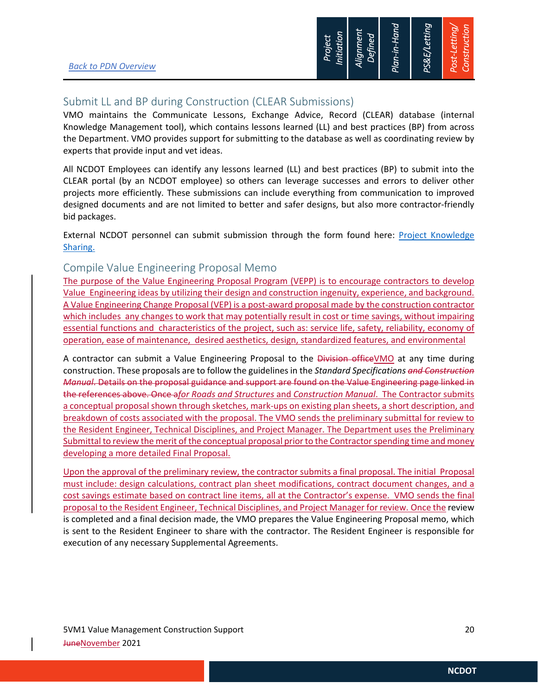

## Submit LL and BP during Construction (CLEAR Submissions)

VMO maintains the Communicate Lessons, Exchange Advice, Record (CLEAR) database (internal Knowledge Management tool), which contains lessons learned (LL) and best practices (BP) from across the Department. VMO provides support for submitting to the database as well as coordinating review by experts that provide input and vet ideas.

All NCDOT Employees can identify any lessons learned (LL) and best practices (BP) to submit into the CLEAR portal (by an NCDOT employee) so others can leverage successes and errors to deliver other projects more efficiently. These submissions can include everything from communication to improved designed documents and are not limited to better and safer designs, but also more contractor-friendly bid packages.

External NCDOT personnel can submit submission through the form found here: Project Knowledge Sharing.

### Compile Value Engineering Proposal Memo

The purpose of the Value Engineering Proposal Program (VEPP) is to encourage contractors to develop Value Engineering ideas by utilizing their design and construction ingenuity, experience, and background. A Value Engineering Change Proposal (VEP) is a post-award proposal made by the construction contractor which includes any changes to work that may potentially result in cost or time savings, without impairing essential functions and characteristics of the project, such as: service life, safety, reliability, economy of operation, ease of maintenance, desired aesthetics, design, standardized features, and environmental

A contractor can submit a Value Engineering Proposal to the Division officeVMO at any time during construction. These proposals are to follow the guidelines in the *Standard Specifications and Construction Manual*. Details on the proposal guidance and support are found on the Value Engineering page linked in the references above. Once a*for Roads and Structures* and *Construction Manual*. The Contractor submits a conceptual proposal shown through sketches, mark-ups on existing plan sheets, a short description, and breakdown of costs associated with the proposal. The VMO sends the preliminary submittal for review to the Resident Engineer, Technical Disciplines, and Project Manager. The Department uses the Preliminary Submittal to review the merit of the conceptual proposal prior to the Contractor spending time and money developing a more detailed Final Proposal.

Upon the approval of the preliminary review, the contractor submits a final proposal. The initial Proposal must include: design calculations, contract plan sheet modifications, contract document changes, and a cost savings estimate based on contract line items, all at the Contractor's expense. VMO sends the final proposal to the Resident Engineer, Technical Disciplines, and Project Manager for review. Once the review is completed and a final decision made, the VMO prepares the Value Engineering Proposal memo, which is sent to the Resident Engineer to share with the contractor. The Resident Engineer is responsible for execution of any necessary Supplemental Agreements.

5VM1 Value Management Construction Support 20 JuneNovember 2021